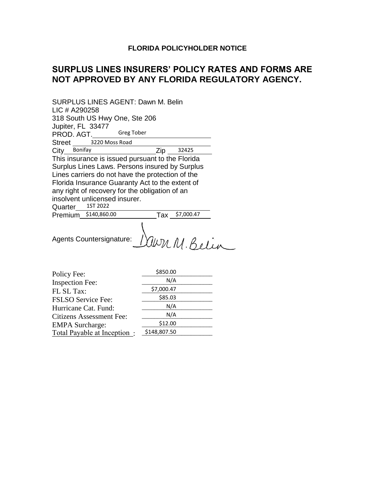### **SURPLUS LINES INSURERS' POLICY RATES AND FORMS ARE NOT APPROVED BY ANY FLORIDA REGULATORY AGENCY.**

SURPLUS LINES AGENT: Dawn M. Belin LIC # A290258 318 South US Hwy One, Ste 206 Jupiter, FL 33477 Greg ToberPROD. AGT. 3220 Moss Road Street City Bonifay Zip 32425 This insurance is issued pursuant to the Florida Surplus Lines Laws. Persons insured by Surplus Lines carriers do not have the protection of the Florida Insurance Guaranty Act to the extent of any right of recovery for the obligation of an insolvent unlicensed insurer. Quarter
1ST 2022  $P$ remium \$140,860.00  $Tax$  \$7,000.47 awn M. Belin Agents Countersignature:

| Policy Fee:                     | \$850.00     |  |
|---------------------------------|--------------|--|
| <b>Inspection Fee:</b>          | N/A          |  |
| FL SL Tax:                      | \$7,000.47   |  |
| <b>FSLSO Service Fee:</b>       | \$85.03      |  |
| Hurricane Cat. Fund:            | N/A          |  |
| <b>Citizens Assessment Fee:</b> | N/A          |  |
| <b>EMPA</b> Surcharge:          | \$12.00      |  |
| Total Payable at Inception:     | \$148,807.50 |  |
|                                 |              |  |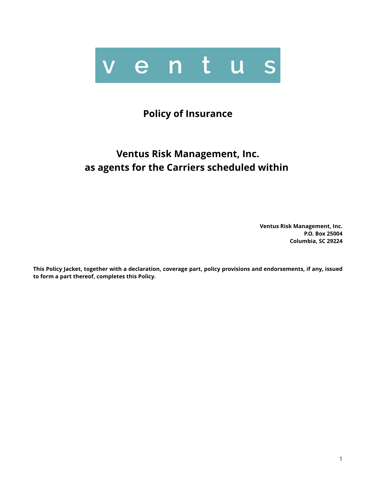

# **Policy of Insurance**

# **Ventus Risk Management, Inc. as agents for the Carriers scheduled within**

**Ventus Risk Management, Inc. P.O. Box 25004 Columbia, SC 29224**

**This Policy Jacket, together with a declaration, coverage part, policy provisions and endorsements, if any, issued to form a part thereof, completes this Policy.**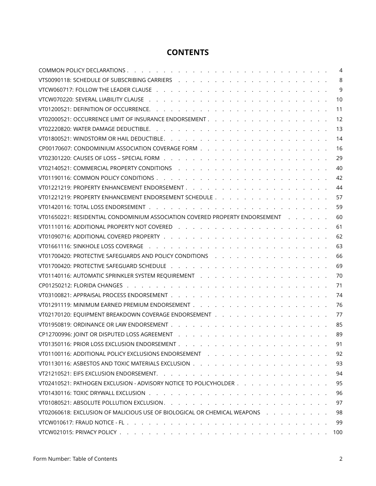## **CONTENTS**

|                                                                              | 4   |
|------------------------------------------------------------------------------|-----|
|                                                                              | 8   |
|                                                                              | 9   |
|                                                                              | 10  |
|                                                                              | 11  |
|                                                                              | 12  |
|                                                                              | 13  |
|                                                                              | 14  |
|                                                                              | 16  |
|                                                                              | 29  |
|                                                                              | 40  |
|                                                                              | 42  |
|                                                                              | 44  |
|                                                                              | 57  |
|                                                                              | 59  |
| VT01650221: RESIDENTIAL CONDOMINIUM ASSOCIATION COVERED PROPERTY ENDORSEMENT | 60  |
|                                                                              | 61  |
|                                                                              | 62  |
|                                                                              | 63  |
|                                                                              | 66  |
|                                                                              | 69  |
|                                                                              | 70  |
|                                                                              | 71  |
|                                                                              | 74  |
|                                                                              | 76  |
|                                                                              | 77  |
|                                                                              | 85  |
|                                                                              | 89  |
|                                                                              | 91  |
|                                                                              | 92  |
|                                                                              | 93  |
|                                                                              | 94  |
| VT02410521: PATHOGEN EXCLUSION - ADVISORY NOTICE TO POLICYHOLDER             | 95  |
|                                                                              | 96  |
|                                                                              | 97  |
| VT02060618: EXCLUSION OF MALICIOUS USE OF BIOLOGICAL OR CHEMICAL WEAPONS     | 98  |
|                                                                              | 99  |
|                                                                              | 100 |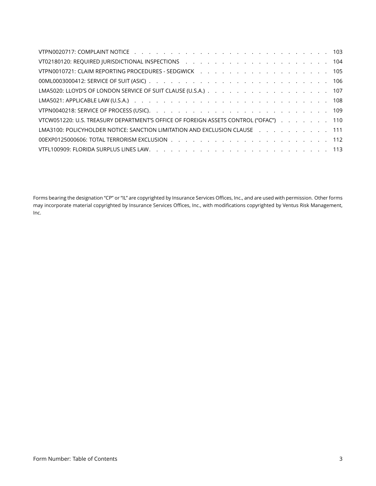| VTCW051220: U.S. TREASURY DEPARTMENT'S OFFICE OF FOREIGN ASSETS CONTROL ("OFAC") 110 |  |  |  |  |  |
|--------------------------------------------------------------------------------------|--|--|--|--|--|
| LMA3100: POLICYHOLDER NOTICE: SANCTION LIMITATION AND EXCLUSION CLAUSE 111           |  |  |  |  |  |
|                                                                                      |  |  |  |  |  |
|                                                                                      |  |  |  |  |  |

Forms bearing the designation "CP" or "IL" are copyrighted by Insurance Services Offices, Inc., and are used with permission. Other forms may incorporate material copyrighted by Insurance Services Offices, Inc., with modifications copyrighted by Ventus Risk Management, Inc.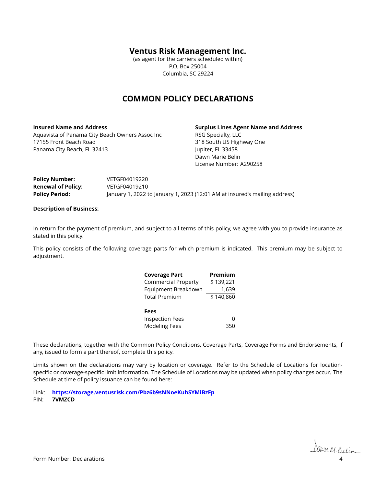### **Ventus Risk Management Inc.**

(as agent for the carriers scheduled within) P.O. Box 25004 Columbia, SC 29224

### **COMMON POLICY DECLARATIONS**

<span id="page-4-0"></span>**Insured Name and Address** Aquavista of Panama City Beach Owners Assoc Inc 17155 Front Beach Road Panama City Beach, FL 32413

**Surplus Lines Agent Name and Address**

RSG Specialty, LLC 318 South US Highway One Jupiter, FL 33458 Dawn Marie Belin License Number: A290258

| <b>Policy Number:</b>     | VETGF04019220                                                              |
|---------------------------|----------------------------------------------------------------------------|
| <b>Renewal of Policy:</b> | VETGF04019210                                                              |
| <b>Policy Period:</b>     | January 1, 2022 to January 1, 2023 (12:01 AM at insured's mailing address) |

#### **Description of Business:**

In return for the payment of premium, and subject to all terms of this policy, we agree with you to provide insurance as stated in this policy.

This policy consists of the following coverage parts for which premium is indicated. This premium may be subject to adjustment.

| <b>Coverage Part</b>       | Premium   |
|----------------------------|-----------|
| <b>Commercial Property</b> | \$139,221 |
| Equipment Breakdown        | 1.639     |
| <b>Total Premium</b>       | \$140,860 |
|                            |           |
| Fees                       |           |
| <b>Inspection Fees</b>     | U         |
| <b>Modeling Fees</b>       | 350       |

These declarations, together with the Common Policy Conditions, Coverage Parts, Coverage Forms and Endorsements, if any, issued to form a part thereof, complete this policy.

Limits shown on the declarations may vary by location or coverage. Refer to the Schedule of Locations for locationspecific or coverage-specific limit information. The Schedule of Locations may be updated when policy changes occur. The Schedule at time of policy issuance can be found here:

Link: **<https://storage.ventusrisk.com/Pbz6b9sNNoeKuhSYMiBzFp>** PIN: **7VMZCD**

Dawn M. Belin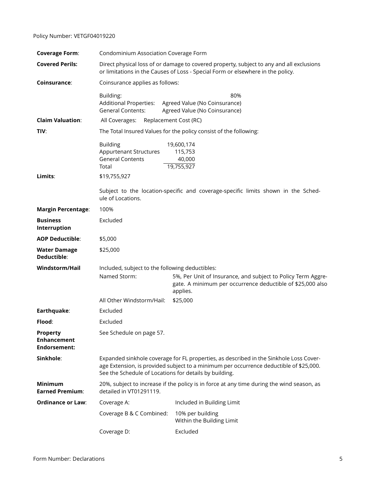#### Policy Number: VETGF04019220

| <b>Coverage Form:</b>                                 | Condominium Association Coverage Form                                                |                                                                                                                                                                                  |
|-------------------------------------------------------|--------------------------------------------------------------------------------------|----------------------------------------------------------------------------------------------------------------------------------------------------------------------------------|
| <b>Covered Perils:</b>                                |                                                                                      | Direct physical loss of or damage to covered property, subject to any and all exclusions<br>or limitations in the Causes of Loss - Special Form or elsewhere in the policy.      |
| Coinsurance:                                          | Coinsurance applies as follows:                                                      |                                                                                                                                                                                  |
|                                                       | Building:<br><b>Additional Properties:</b><br><b>General Contents:</b>               | 80%<br>Agreed Value (No Coinsurance)<br>Agreed Value (No Coinsurance)                                                                                                            |
| <b>Claim Valuation:</b>                               | All Coverages:                                                                       | Replacement Cost (RC)                                                                                                                                                            |
| TIV:                                                  |                                                                                      | The Total Insured Values for the policy consist of the following:                                                                                                                |
|                                                       | <b>Building</b><br><b>Appurtenant Structures</b><br><b>General Contents</b><br>Total | 19,600,174<br>115,753<br>40,000<br>19,755,927                                                                                                                                    |
| Limits:                                               | \$19,755,927                                                                         |                                                                                                                                                                                  |
|                                                       | ule of Locations.                                                                    | Subject to the location-specific and coverage-specific limits shown in the Sched-                                                                                                |
| <b>Margin Percentage:</b>                             | 100%                                                                                 |                                                                                                                                                                                  |
| <b>Business</b><br>Interruption                       | Excluded                                                                             |                                                                                                                                                                                  |
| <b>AOP Deductible:</b>                                | \$5,000                                                                              |                                                                                                                                                                                  |
| <b>Water Damage</b><br>Deductible:                    | \$25,000                                                                             |                                                                                                                                                                                  |
| Windstorm/Hail                                        | Included, subject to the following deductibles:<br>Named Storm:                      | 5%, Per Unit of Insurance, and subject to Policy Term Aggre-<br>gate. A minimum per occurrence deductible of \$25,000 also<br>applies.                                           |
|                                                       | All Other Windstorm/Hail:                                                            | \$25,000                                                                                                                                                                         |
| Earthquake:                                           | Excluded                                                                             |                                                                                                                                                                                  |
| Flood:                                                | Excluded                                                                             |                                                                                                                                                                                  |
| <b>Property</b><br><b>Enhancement</b><br>Endorsement: | See Schedule on page 57.                                                             |                                                                                                                                                                                  |
| Sinkhole:                                             | See the Schedule of Locations for details by building.                               | Expanded sinkhole coverage for FL properties, as described in the Sinkhole Loss Cover-<br>age Extension, is provided subject to a minimum per occurrence deductible of \$25,000. |
| <b>Minimum</b><br><b>Earned Premium:</b>              | detailed in VT01291119.                                                              | 20%, subject to increase if the policy is in force at any time during the wind season, as                                                                                        |
| <b>Ordinance or Law:</b>                              | Coverage A:                                                                          | Included in Building Limit                                                                                                                                                       |
|                                                       | Coverage B & C Combined:                                                             | 10% per building<br>Within the Building Limit                                                                                                                                    |
|                                                       | Coverage D:                                                                          | Excluded                                                                                                                                                                         |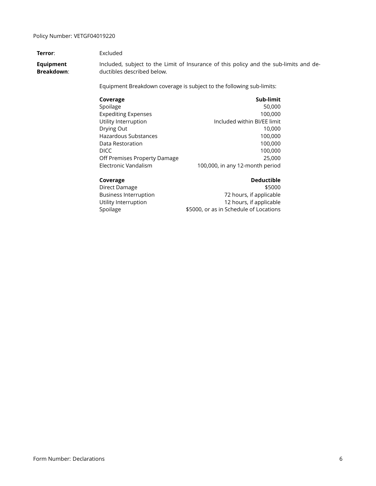#### Policy Number: VETGF04019220

#### **Terror**: Excluded

**Equipment Breakdown**: Included, subject to the Limit of Insurance of this policy and the sub-limits and deductibles described below.

Equipment Breakdown coverage is subject to the following sub-limits:

| Coverage                     | Sub-limit                       |
|------------------------------|---------------------------------|
| Spoilage                     | 50,000                          |
| <b>Expediting Expenses</b>   | 100,000                         |
| Utility Interruption         | Included within BI/EE limit     |
| Drying Out                   | 10,000                          |
| Hazardous Substances         | 100,000                         |
| Data Restoration             | 100,000                         |
| <b>DICC</b>                  | 100,000                         |
| Off Premises Property Damage | 25,000                          |
| Electronic Vandalism         | 100,000, in any 12-month period |

#### Coverage **Deductible**

Direct Damage \$5000 Business Interruption **12 bous 2018** 72 hours, if applicable Utility Interruption **12 hours**, if applicable Spoilage **\$5000**, or as in Schedule of Locations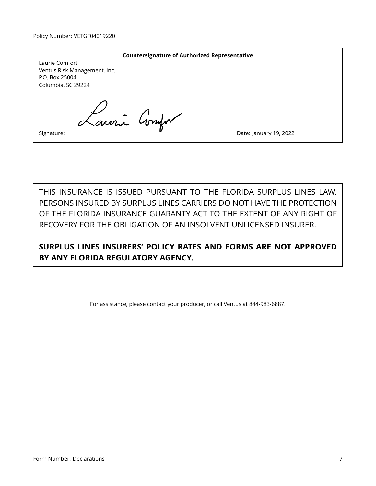| <b>Countersignature of Authorized Representative</b><br>Laurie Comfort<br>Ventus Risk Management, Inc.<br>P.O. Box 25004 |                        |
|--------------------------------------------------------------------------------------------------------------------------|------------------------|
| Columbia, SC 29224                                                                                                       |                        |
| Laurie Compo                                                                                                             |                        |
| Signature:                                                                                                               | Date: January 19, 2022 |

THIS INSURANCE IS ISSUED PURSUANT TO THE FLORIDA SURPLUS LINES LAW. PERSONS INSURED BY SURPLUS LINES CARRIERS DO NOT HAVE THE PROTECTION OF THE FLORIDA INSURANCE GUARANTY ACT TO THE EXTENT OF ANY RIGHT OF RECOVERY FOR THE OBLIGATION OF AN INSOLVENT UNLICENSED INSURER.

**SURPLUS LINES INSURERS' POLICY RATES AND FORMS ARE NOT APPROVED BY ANY FLORIDA REGULATORY AGENCY.**

For assistance, please contact your producer, or call Ventus at 844-983-6887.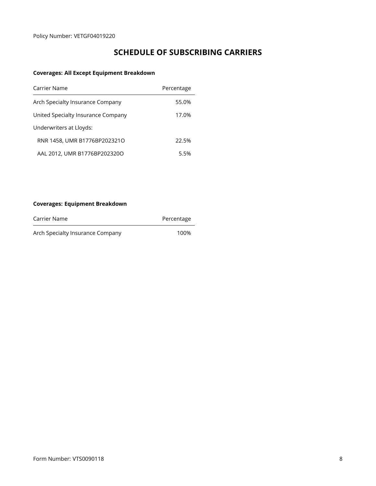### **SCHEDULE OF SUBSCRIBING CARRIERS**

### <span id="page-8-0"></span>**Coverages: All Except Equipment Breakdown**

| Carrier Name                       | Percentage |
|------------------------------------|------------|
| Arch Specialty Insurance Company   | 55.0%      |
| United Specialty Insurance Company | 17.0%      |
| Underwriters at Lloyds:            |            |
| RNR 1458, UMR B1776BP202321O       | 22.5%      |
| AAL 2012, UMR B1776BP202320O       | 55%        |

### **Coverages: Equipment Breakdown**

| Carrier Name                     | Percentage |
|----------------------------------|------------|
| Arch Specialty Insurance Company | 100%       |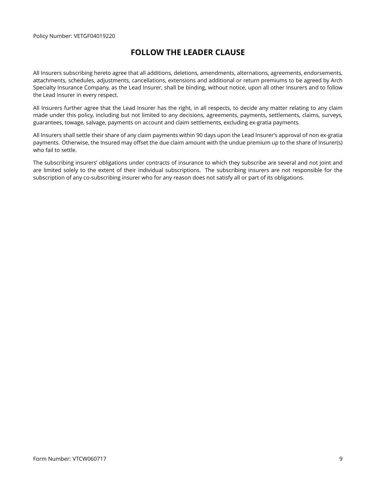### **FOLLOW THE LEADER CLAUSE**

<span id="page-9-0"></span>All Insurers subscribing hereto agree that all additions, deletions, amendments, alternations, agreements, endorsements, attachments, schedules, adjustments, cancellations, extensions and additional or return premiums to be agreed by Arch Specialty Insurance Company, as the Lead Insurer, shall be binding, without notice, upon all other Insurers and to follow the Lead Insurer in every respect.

All Insurers further agree that the Lead Insurer has the right, in all respects, to decide any matter relating to any claim made under this policy, including but not limited to any decisions, agreements, payments, settlements, claims, surveys, guarantees, towage, salvage, payments on account and claim settlements, excluding ex-gratia payments.

All Insurers shall settle their share of any claim payments within 90 days upon the Lead Insurer's approval of non ex-gratia payments. Otherwise, the Insured may offset the due claim amount with the undue premium up to the share of Insurer(s) who fail to settle.

The subscribing insurers' obligations under contracts of insurance to which they subscribe are several and not joint and are limited solely to the extent of their individual subscriptions. The subscribing insurers are not responsible for the subscription of any co-subscribing insurer who for any reason does not satisfy all or part of its obligations.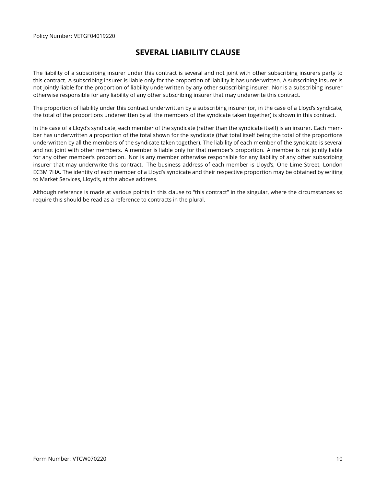### **SEVERAL LIABILITY CLAUSE**

<span id="page-10-0"></span>The liability of a subscribing insurer under this contract is several and not joint with other subscribing insurers party to this contract. A subscribing insurer is liable only for the proportion of liability it has underwritten. A subscribing insurer is not jointly liable for the proportion of liability underwritten by any other subscribing insurer. Nor is a subscribing insurer otherwise responsible for any liability of any other subscribing insurer that may underwrite this contract.

The proportion of liability under this contract underwritten by a subscribing insurer (or, in the case of a Lloyd's syndicate, the total of the proportions underwritten by all the members of the syndicate taken together) is shown in this contract.

In the case of a Lloyd's syndicate, each member of the syndicate (rather than the syndicate itself) is an insurer. Each member has underwritten a proportion of the total shown for the syndicate (that total itself being the total of the proportions underwritten by all the members of the syndicate taken together). The liability of each member of the syndicate is several and not joint with other members. A member is liable only for that member's proportion. A member is not jointly liable for any other member's proportion. Nor is any member otherwise responsible for any liability of any other subscribing insurer that may underwrite this contract. The business address of each member is Lloyd's, One Lime Street, London EC3M 7HA. The identity of each member of a Lloyd's syndicate and their respective proportion may be obtained by writing to Market Services, Lloyd's, at the above address.

Although reference is made at various points in this clause to "this contract" in the singular, where the circumstances so require this should be read as a reference to contracts in the plural.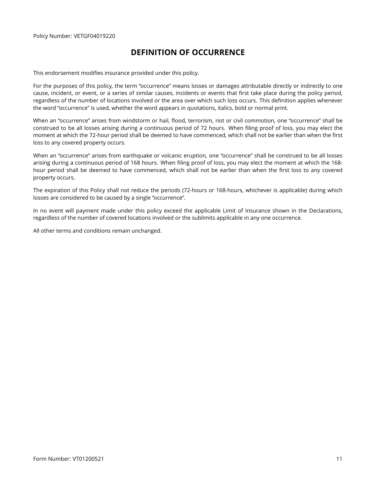### **DEFINITION OF OCCURRENCE**

<span id="page-11-0"></span>This endorsement modifies insurance provided under this policy.

For the purposes of this policy, the term "occurrence" means losses or damages attributable directly or indirectly to one cause, incident, or event, or a series of similar causes, incidents or events that first take place during the policy period, regardless of the number of locations involved or the area over which such loss occurs. This definition applies whenever the word "occurrence" is used, whether the word appears in quotations, italics, bold or normal print.

When an "occurrence" arises from windstorm or hail, flood, terrorism, riot or civil commotion, one "occurrence" shall be construed to be all losses arising during a continuous period of 72 hours. When filing proof of loss, you may elect the moment at which the 72-hour period shall be deemed to have commenced, which shall not be earlier than when the first loss to any covered property occurs.

When an "occurrence" arises from earthquake or volcanic eruption, one "occurrence" shall be construed to be all losses arising during a continuous period of 168 hours. When filing proof of loss, you may elect the moment at which the 168 hour period shall be deemed to have commenced, which shall not be earlier than when the first loss to any covered property occurs.

The expiration of this Policy shall not reduce the periods (72-hours or 168-hours, whichever is applicable) during which losses are considered to be caused by a single "occurrence".

In no event will payment made under this policy exceed the applicable Limit of Insurance shown in the Declarations, regardless of the number of covered locations involved or the sublimits applicable in any one occurrence.

All other terms and conditions remain unchanged.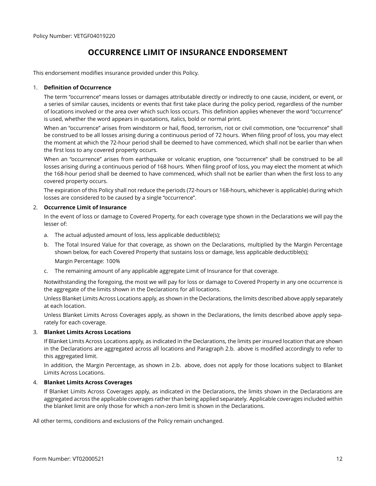### **OCCURRENCE LIMIT OF INSURANCE ENDORSEMENT**

<span id="page-12-0"></span>This endorsement modifies insurance provided under this Policy.

#### 1. **Definition of Occurrence**

The term "occurrence" means losses or damages attributable directly or indirectly to one cause, incident, or event, or a series of similar causes, incidents or events that first take place during the policy period, regardless of the number of locations involved or the area over which such loss occurs. This definition applies whenever the word "occurrence" is used, whether the word appears in quotations, italics, bold or normal print.

When an "occurrence" arises from windstorm or hail, flood, terrorism, riot or civil commotion, one "occurrence" shall be construed to be all losses arising during a continuous period of 72 hours. When filing proof of loss, you may elect the moment at which the 72-hour period shall be deemed to have commenced, which shall not be earlier than when the first loss to any covered property occurs.

When an "occurrence" arises from earthquake or volcanic eruption, one "occurrence" shall be construed to be all losses arising during a continuous period of 168 hours. When filing proof of loss, you may elect the moment at which the 168-hour period shall be deemed to have commenced, which shall not be earlier than when the first loss to any covered property occurs.

The expiration of this Policy shall not reduce the periods (72-hours or 168-hours, whichever is applicable) during which losses are considered to be caused by a single "occurrence".

#### 2. **Occurrence Limit of Insurance**

In the event of loss or damage to Covered Property, for each coverage type shown in the Declarations we will pay the lesser of:

- a. The actual adjusted amount of loss, less applicable deductible(s);
- b. The Total Insured Value for that coverage, as shown on the Declarations, multiplied by the Margin Percentage shown below, for each Covered Property that sustains loss or damage, less applicable deductible(s); Margin Percentage: 100%
- c. The remaining amount of any applicable aggregate Limit of Insurance for that coverage.

Notwithstanding the foregoing, the most we will pay for loss or damage to Covered Property in any one occurrence is the aggregate of the limits shown in the Declarations for all locations.

Unless Blanket Limits Across Locations apply, as shown in the Declarations, the limits described above apply separately at each location.

Unless Blanket Limits Across Coverages apply, as shown in the Declarations, the limits described above apply separately for each coverage.

#### 3. **Blanket Limits Across Locations**

If Blanket Limits Across Locations apply, as indicated in the Declarations, the limits per insured location that are shown in the Declarations are aggregated across all locations and Paragraph 2.b. above is modified accordingly to refer to this aggregated limit.

In addition, the Margin Percentage, as shown in 2.b. above, does not apply for those locations subject to Blanket Limits Across Locations.

#### 4. **Blanket Limits Across Coverages**

If Blanket Limits Across Coverages apply, as indicated in the Declarations, the limits shown in the Declarations are aggregated across the applicable coverages rather than being applied separately. Applicable coverages included within the blanket limit are only those for which a non-zero limit is shown in the Declarations.

All other terms, conditions and exclusions of the Policy remain unchanged.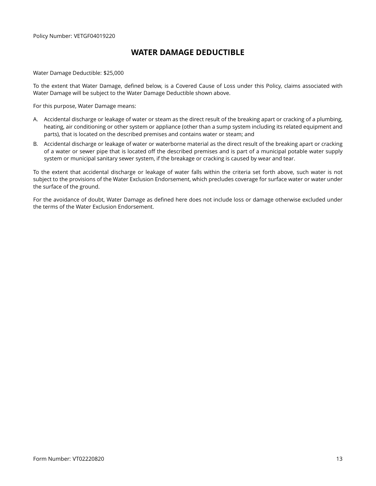### **WATER DAMAGE DEDUCTIBLE**

<span id="page-13-0"></span>Water Damage Deductible: \$25,000

To the extent that Water Damage, defined below, is a Covered Cause of Loss under this Policy, claims associated with Water Damage will be subject to the Water Damage Deductible shown above.

For this purpose, Water Damage means:

- A. Accidental discharge or leakage of water or steam as the direct result of the breaking apart or cracking of a plumbing, heating, air conditioning or other system or appliance (other than a sump system including its related equipment and parts), that is located on the described premises and contains water or steam; and
- B. Accidental discharge or leakage of water or waterborne material as the direct result of the breaking apart or cracking of a water or sewer pipe that is located off the described premises and is part of a municipal potable water supply system or municipal sanitary sewer system, if the breakage or cracking is caused by wear and tear.

To the extent that accidental discharge or leakage of water falls within the criteria set forth above, such water is not subject to the provisions of the Water Exclusion Endorsement, which precludes coverage for surface water or water under the surface of the ground.

For the avoidance of doubt, Water Damage as defined here does not include loss or damage otherwise excluded under the terms of the Water Exclusion Endorsement.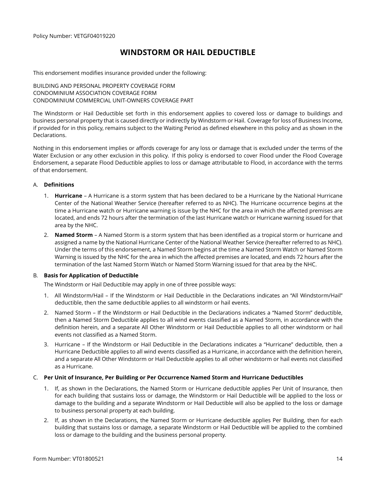### **WINDSTORM OR HAIL DEDUCTIBLE**

<span id="page-14-0"></span>This endorsement modifies insurance provided under the following:

BUILDING AND PERSONAL PROPERTY COVERAGE FORM CONDOMINIUM ASSOCIATION COVERAGE FORM CONDOMINIUM COMMERCIAL UNIT-OWNERS COVERAGE PART

The Windstorm or Hail Deductible set forth in this endorsement applies to covered loss or damage to buildings and business personal property that is caused directly or indirectly by Windstorm or Hail. Coverage for loss of Business Income, if provided for in this policy, remains subject to the Waiting Period as defined elsewhere in this policy and as shown in the Declarations.

Nothing in this endorsement implies or affords coverage for any loss or damage that is excluded under the terms of the Water Exclusion or any other exclusion in this policy. If this policy is endorsed to cover Flood under the Flood Coverage Endorsement, a separate Flood Deductible applies to loss or damage attributable to Flood, in accordance with the terms of that endorsement.

#### A. **Definitions**

- 1. **Hurricane** A Hurricane is a storm system that has been declared to be a Hurricane by the National Hurricane Center of the National Weather Service (hereafter referred to as NHC). The Hurricane occurrence begins at the time a Hurricane watch or Hurricane warning is issue by the NHC for the area in which the affected premises are located, and ends 72 hours after the termination of the last Hurricane watch or Hurricane warning issued for that area by the NHC.
- 2. **Named Storm** A Named Storm is a storm system that has been identified as a tropical storm or hurricane and assigned a name by the National Hurricane Center of the National Weather Service (hereafter referred to as NHC). Under the terms of this endorsement, a Named Storm begins at the time a Named Storm Watch or Named Storm Warning is issued by the NHC for the area in which the affected premises are located, and ends 72 hours after the termination of the last Named Storm Watch or Named Storm Warning issued for that area by the NHC.

#### B. **Basis for Application of Deductible**

The Windstorm or Hail Deductible may apply in one of three possible ways:

- 1. All Windstorm/Hail If the Windstorm or Hail Deductible in the Declarations indicates an "All Windstorm/Hail" deductible, then the same deductible applies to all windstorm or hail events.
- 2. Named Storm If the Windstorm or Hail Deductible in the Declarations indicates a "Named Storm" deductible, then a Named Storm Deductible applies to all wind events classified as a Named Storm, in accordance with the definition herein, and a separate All Other Windstorm or Hail Deductible applies to all other windstorm or hail events not classified as a Named Storm.
- 3. Hurricane If the Windstorm or Hail Deductible in the Declarations indicates a "Hurricane" deductible, then a Hurricane Deductible applies to all wind events classified as a Hurricane, in accordance with the definition herein, and a separate All Other Windstorm or Hail Deductible applies to all other windstorm or hail events not classified as a Hurricane.

#### C. **Per Unit of Insurance, Per Building or Per Occurrence Named Storm and Hurricane Deductibles**

- 1. If, as shown in the Declarations, the Named Storm or Hurricane deductible applies Per Unit of Insurance, then for each building that sustains loss or damage, the Windstorm or Hail Deductible will be applied to the loss or damage to the building and a separate Windstorm or Hail Deductible will also be applied to the loss or damage to business personal property at each building.
- 2. If, as shown in the Declarations, the Named Storm or Hurricane deductible applies Per Building, then for each building that sustains loss or damage, a separate Windstorm or Hail Deductible will be applied to the combined loss or damage to the building and the business personal property.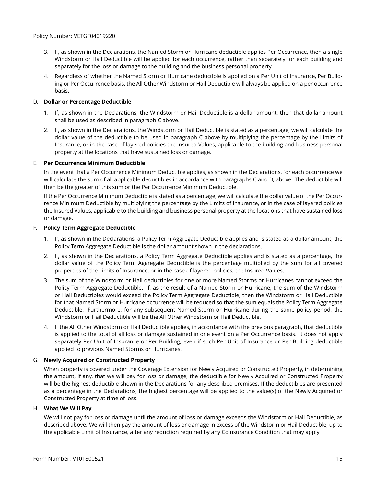- 3. If, as shown in the Declarations, the Named Storm or Hurricane deductible applies Per Occurrence, then a single Windstorm or Hail Deductible will be applied for each occurrence, rather than separately for each building and separately for the loss or damage to the building and the business personal property.
- 4. Regardless of whether the Named Storm or Hurricane deductible is applied on a Per Unit of Insurance, Per Building or Per Occurrence basis, the All Other Windstorm or Hail Deductible will always be applied on a per occurrence basis.

#### D. **Dollar or Percentage Deductible**

- 1. If, as shown in the Declarations, the Windstorm or Hail Deductible is a dollar amount, then that dollar amount shall be used as described in paragraph C above.
- 2. If, as shown in the Declarations, the Windstorm or Hail Deductible is stated as a percentage, we will calculate the dollar value of the deductible to be used in paragraph C above by multiplying the percentage by the Limits of Insurance, or in the case of layered policies the Insured Values, applicable to the building and business personal property at the locations that have sustained loss or damage.

#### E. **Per Occurrence Minimum Deductible**

In the event that a Per Occurrence Minimum Deductible applies, as shown in the Declarations, for each occurrence we will calculate the sum of all applicable deductibles in accordance with paragraphs C and D, above. The deductible will then be the greater of this sum or the Per Occurrence Minimum Deductible.

If the Per Occurrence Minimum Deductible is stated as a percentage, we will calculate the dollar value of the Per Occurrence Minimum Deductible by multiplying the percentage by the Limits of Insurance, or in the case of layered policies the Insured Values, applicable to the building and business personal property at the locations that have sustained loss or damage.

#### F. **Policy Term Aggregate Deductible**

- 1. If, as shown in the Declarations, a Policy Term Aggregate Deductible applies and is stated as a dollar amount, the Policy Term Aggregate Deductible is the dollar amount shown in the declarations.
- 2. If, as shown in the Declarations, a Policy Term Aggregate Deductible applies and is stated as a percentage, the dollar value of the Policy Term Aggregate Deductible is the percentage multiplied by the sum for all covered properties of the Limits of Insurance, or in the case of layered policies, the Insured Values.
- 3. The sum of the Windstorm or Hail deductibles for one or more Named Storms or Hurricanes cannot exceed the Policy Term Aggregate Deductible. If, as the result of a Named Storm or Hurricane, the sum of the Windstorm or Hail Deductibles would exceed the Policy Term Aggregate Deductible, then the Windstorm or Hail Deductible for that Named Storm or Hurricane occurrence will be reduced so that the sum equals the Policy Term Aggregate Deductible. Furthermore, for any subsequent Named Storm or Hurricane during the same policy period, the Windstorm or Hail Deductible will be the All Other Windstorm or Hail Deductible.
- 4. If the All Other Windstorm or Hail Deductible applies, in accordance with the previous paragraph, that deductible is applied to the total of all loss or damage sustained in one event on a Per Occurrence basis. It does not apply separately Per Unit of Insurance or Per Building, even if such Per Unit of Insurance or Per Building deductible applied to previous Named Storms or Hurricanes.

#### G. **Newly Acquired or Constructed Property**

When property is covered under the Coverage Extension for Newly Acquired or Constructed Property, in determining the amount, if any, that we will pay for loss or damage, the deductible for Newly Acquired or Constructed Property will be the highest deductible shown in the Declarations for any described premises. If the deductibles are presented as a percentage in the Declarations, the highest percentage will be applied to the value(s) of the Newly Acquired or Constructed Property at time of loss.

#### H. **What We Will Pay**

We will not pay for loss or damage until the amount of loss or damage exceeds the Windstorm or Hail Deductible, as described above. We will then pay the amount of loss or damage in excess of the Windstorm or Hail Deductible, up to the applicable Limit of Insurance, after any reduction required by any Coinsurance Condition that may apply.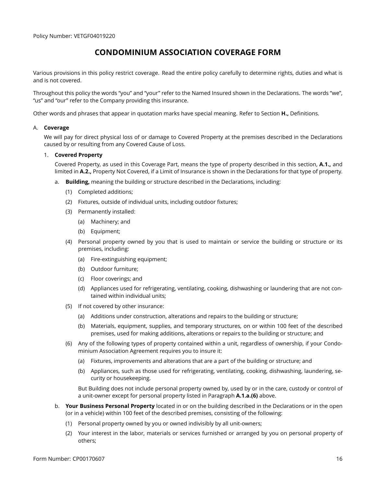### **CONDOMINIUM ASSOCIATION COVERAGE FORM**

<span id="page-16-0"></span>Various provisions in this policy restrict coverage. Read the entire policy carefully to determine rights, duties and what is and is not covered.

Throughout this policy the words "you" and "your" refer to the Named Insured shown in the Declarations. The words "we", "us" and "our" refer to the Company providing this insurance.

Other words and phrases that appear in quotation marks have special meaning. Refer to Section **H.,** Definitions.

#### A. **Coverage**

We will pay for direct physical loss of or damage to Covered Property at the premises described in the Declarations caused by or resulting from any Covered Cause of Loss.

#### 1. **Covered Property**

Covered Property, as used in this Coverage Part, means the type of property described in this section, **A.1.,** and limited in **A.2.,** Property Not Covered, if a Limit of Insurance is shown in the Declarations for that type of property.

- a. **Building,** meaning the building or structure described in the Declarations, including:
	- (1) Completed additions;
	- (2) Fixtures, outside of individual units, including outdoor fixtures;
	- (3) Permanently installed:
		- (a) Machinery; and
		- (b) Equipment;
	- (4) Personal property owned by you that is used to maintain or service the building or structure or its premises, including:
		- (a) Fire-extinguishing equipment;
		- (b) Outdoor furniture;
		- (c) Floor coverings; and
		- (d) Appliances used for refrigerating, ventilating, cooking, dishwashing or laundering that are not contained within individual units;
	- (5) If not covered by other insurance:
		- (a) Additions under construction, alterations and repairs to the building or structure;
		- (b) Materials, equipment, supplies, and temporary structures, on or within 100 feet of the described premises, used for making additions, alterations or repairs to the building or structure; and
	- (6) Any of the following types of property contained within a unit, regardless of ownership, if your Condominium Association Agreement requires you to insure it:
		- (a) Fixtures, improvements and alterations that are a part of the building or structure; and
		- (b) Appliances, such as those used for refrigerating, ventilating, cooking, dishwashing, laundering, security or housekeeping.

But Building does not include personal property owned by, used by or in the care, custody or control of a unit-owner except for personal property listed in Paragraph **A.1.a.(6)** above.

- b. **Your Business Personal Property** located in or on the building described in the Declarations or in the open (or in a vehicle) within 100 feet of the described premises, consisting of the following:
	- (1) Personal property owned by you or owned indivisibly by all unit-owners;
	- (2) Your interest in the labor, materials or services furnished or arranged by you on personal property of others;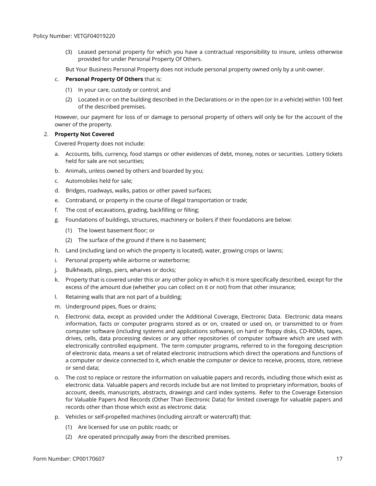(3) Leased personal property for which you have a contractual responsibility to insure, unless otherwise provided for under Personal Property Of Others.

But Your Business Personal Property does not include personal property owned only by a unit-owner.

#### c. **Personal Property Of Others** that is:

- (1) In your care, custody or control; and
- (2) Located in or on the building described in the Declarations or in the open (or in a vehicle) within 100 feet of the described premises.

However, our payment for loss of or damage to personal property of others will only be for the account of the owner of the property.

#### 2. **Property Not Covered**

Covered Property does not include:

- a. Accounts, bills, currency, food stamps or other evidences of debt, money, notes or securities. Lottery tickets held for sale are not securities;
- b. Animals, unless owned by others and boarded by you;
- c. Automobiles held for sale;
- d. Bridges, roadways, walks, patios or other paved surfaces;
- e. Contraband, or property in the course of illegal transportation or trade;
- f. The cost of excavations, grading, backfilling or filling;
- g. Foundations of buildings, structures, machinery or boilers if their foundations are below:
	- (1) The lowest basement floor; or
	- (2) The surface of the ground if there is no basement;
- h. Land (including land on which the property is located), water, growing crops or lawns;
- i. Personal property while airborne or waterborne;
- j. Bulkheads, pilings, piers, wharves or docks;
- k. Property that is covered under this or any other policy in which it is more specifically described, except for the excess of the amount due (whether you can collect on it or not) from that other insurance;
- l. Retaining walls that are not part of a building;
- m. Underground pipes, flues or drains;
- n. Electronic data, except as provided under the Additional Coverage, Electronic Data. Electronic data means information, facts or computer programs stored as or on, created or used on, or transmitted to or from computer software (including systems and applications software), on hard or floppy disks, CD-ROMs, tapes, drives, cells, data processing devices or any other repositories of computer software which are used with electronically controlled equipment. The term computer programs, referred to in the foregoing description of electronic data, means a set of related electronic instructions which direct the operations and functions of a computer or device connected to it, which enable the computer or device to receive, process, store, retrieve or send data;
- o. The cost to replace or restore the information on valuable papers and records, including those which exist as electronic data. Valuable papers and records include but are not limited to proprietary information, books of account, deeds, manuscripts, abstracts, drawings and card index systems. Refer to the Coverage Extension for Valuable Papers And Records (Other Than Electronic Data) for limited coverage for valuable papers and records other than those which exist as electronic data;
- p. Vehicles or self-propelled machines (including aircraft or watercraft) that:
	- (1) Are licensed for use on public roads; or
	- (2) Are operated principally away from the described premises.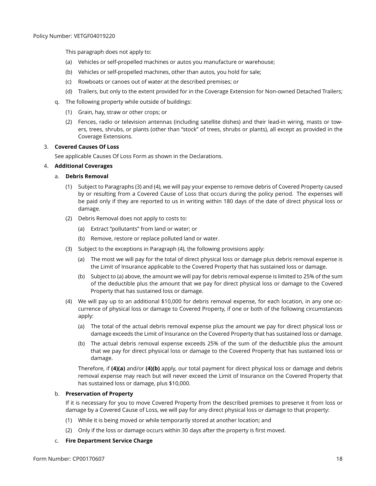This paragraph does not apply to:

- (a) Vehicles or self-propelled machines or autos you manufacture or warehouse;
- (b) Vehicles or self-propelled machines, other than autos, you hold for sale;
- (c) Rowboats or canoes out of water at the described premises; or
- (d) Trailers, but only to the extent provided for in the Coverage Extension for Non-owned Detached Trailers;
- q. The following property while outside of buildings:
	- (1) Grain, hay, straw or other crops; or
	- (2) Fences, radio or television antennas (including satellite dishes) and their lead-in wiring, masts or towers, trees, shrubs, or plants (other than "stock" of trees, shrubs or plants), all except as provided in the Coverage Extensions.

#### 3. **Covered Causes Of Loss**

See applicable Causes Of Loss Form as shown in the Declarations.

#### 4. **Additional Coverages**

### a. **Debris Removal**

- (1) Subject to Paragraphs (3) and (4), we will pay your expense to remove debris of Covered Property caused by or resulting from a Covered Cause of Loss that occurs during the policy period. The expenses will be paid only if they are reported to us in writing within 180 days of the date of direct physical loss or damage.
- (2) Debris Removal does not apply to costs to:
	- (a) Extract "pollutants" from land or water; or
	- (b) Remove, restore or replace polluted land or water.
- (3) Subject to the exceptions in Paragraph (4), the following provisions apply:
	- (a) The most we will pay for the total of direct physical loss or damage plus debris removal expense is the Limit of Insurance applicable to the Covered Property that has sustained loss or damage.
	- (b) Subject to (a) above, the amount we will pay for debris removal expense is limited to 25% of the sum of the deductible plus the amount that we pay for direct physical loss or damage to the Covered Property that has sustained loss or damage.
- (4) We will pay up to an additional \$10,000 for debris removal expense, for each location, in any one occurrence of physical loss or damage to Covered Property, if one or both of the following circumstances apply:
	- (a) The total of the actual debris removal expense plus the amount we pay for direct physical loss or damage exceeds the Limit of Insurance on the Covered Property that has sustained loss or damage.
	- (b) The actual debris removal expense exceeds 25% of the sum of the deductible plus the amount that we pay for direct physical loss or damage to the Covered Property that has sustained loss or damage.

Therefore, if **(4)(a)** and/or **(4)(b)** apply, our total payment for direct physical loss or damage and debris removal expense may reach but will never exceed the Limit of Insurance on the Covered Property that has sustained loss or damage, plus \$10,000.

#### b. **Preservation of Property**

If it is necessary for you to move Covered Property from the described premises to preserve it from loss or damage by a Covered Cause of Loss, we will pay for any direct physical loss or damage to that property:

- (1) While it is being moved or while temporarily stored at another location; and
- (2) Only if the loss or damage occurs within 30 days after the property is first moved.

#### c. **Fire Department Service Charge**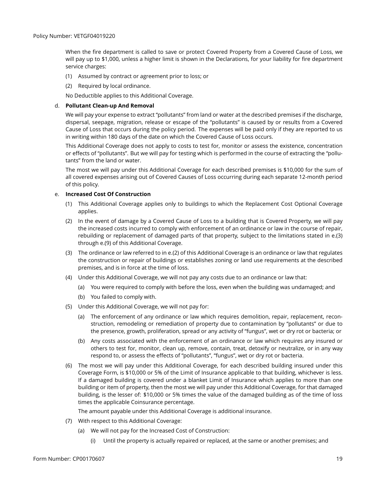When the fire department is called to save or protect Covered Property from a Covered Cause of Loss, we will pay up to \$1,000, unless a higher limit is shown in the Declarations, for your liability for fire department service charges:

- (1) Assumed by contract or agreement prior to loss; or
- (2) Required by local ordinance.

No Deductible applies to this Additional Coverage.

#### d. **Pollutant Clean-up And Removal**

We will pay your expense to extract "pollutants" from land or water at the described premises if the discharge, dispersal, seepage, migration, release or escape of the "pollutants" is caused by or results from a Covered Cause of Loss that occurs during the policy period. The expenses will be paid only if they are reported to us in writing within 180 days of the date on which the Covered Cause of Loss occurs.

This Additional Coverage does not apply to costs to test for, monitor or assess the existence, concentration or effects of "pollutants". But we will pay for testing which is performed in the course of extracting the "pollutants" from the land or water.

The most we will pay under this Additional Coverage for each described premises is \$10,000 for the sum of all covered expenses arising out of Covered Causes of Loss occurring during each separate 12-month period of this policy.

#### e. **Increased Cost Of Construction**

- (1) This Additional Coverage applies only to buildings to which the Replacement Cost Optional Coverage applies.
- (2) In the event of damage by a Covered Cause of Loss to a building that is Covered Property, we will pay the increased costs incurred to comply with enforcement of an ordinance or law in the course of repair, rebuilding or replacement of damaged parts of that property, subject to the limitations stated in e.(3) through e.(9) of this Additional Coverage.
- (3) The ordinance or law referred to in e.(2) of this Additional Coverage is an ordinance or law that regulates the construction or repair of buildings or establishes zoning or land use requirements at the described premises, and is in force at the time of loss.
- (4) Under this Additional Coverage, we will not pay any costs due to an ordinance or law that:
	- (a) You were required to comply with before the loss, even when the building was undamaged; and
	- (b) You failed to comply with.
- (5) Under this Additional Coverage, we will not pay for:
	- (a) The enforcement of any ordinance or law which requires demolition, repair, replacement, reconstruction, remodeling or remediation of property due to contamination by "pollutants" or due to the presence, growth, proliferation, spread or any activity of "fungus", wet or dry rot or bacteria; or
	- (b) Any costs associated with the enforcement of an ordinance or law which requires any insured or others to test for, monitor, clean up, remove, contain, treat, detoxify or neutralize, or in any way respond to, or assess the effects of "pollutants", "fungus", wet or dry rot or bacteria.
- (6) The most we will pay under this Additional Coverage, for each described building insured under this Coverage Form, is \$10,000 or 5% of the Limit of Insurance applicable to that building, whichever is less. If a damaged building is covered under a blanket Limit of Insurance which applies to more than one building or item of property, then the most we will pay under this Additional Coverage, for that damaged building, is the lesser of: \$10,000 or 5% times the value of the damaged building as of the time of loss times the applicable Coinsurance percentage.

The amount payable under this Additional Coverage is additional insurance.

- (7) With respect to this Additional Coverage:
	- (a) We will not pay for the Increased Cost of Construction:
		- (i) Until the property is actually repaired or replaced, at the same or another premises; and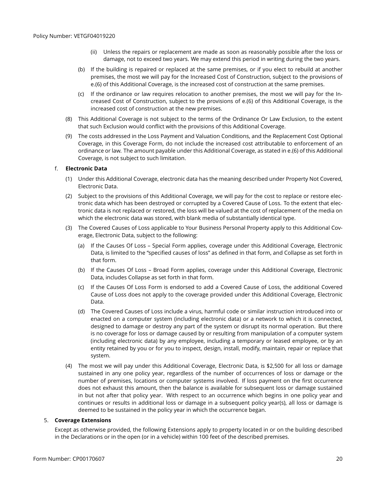- (ii) Unless the repairs or replacement are made as soon as reasonably possible after the loss or damage, not to exceed two years. We may extend this period in writing during the two years.
- (b) If the building is repaired or replaced at the same premises, or if you elect to rebuild at another premises, the most we will pay for the Increased Cost of Construction, subject to the provisions of e.(6) of this Additional Coverage, is the increased cost of construction at the same premises.
- (c) If the ordinance or law requires relocation to another premises, the most we will pay for the Increased Cost of Construction, subject to the provisions of e.(6) of this Additional Coverage, is the increased cost of construction at the new premises.
- (8) This Additional Coverage is not subject to the terms of the Ordinance Or Law Exclusion, to the extent that such Exclusion would conflict with the provisions of this Additional Coverage.
- (9) The costs addressed in the Loss Payment and Valuation Conditions, and the Replacement Cost Optional Coverage, in this Coverage Form, do not include the increased cost attributable to enforcement of an ordinance or law. The amount payable under this Additional Coverage, as stated in e.(6) of this Additional Coverage, is not subject to such limitation.

#### f. **Electronic Data**

- (1) Under this Additional Coverage, electronic data has the meaning described under Property Not Covered, Electronic Data.
- (2) Subject to the provisions of this Additional Coverage, we will pay for the cost to replace or restore electronic data which has been destroyed or corrupted by a Covered Cause of Loss. To the extent that electronic data is not replaced or restored, the loss will be valued at the cost of replacement of the media on which the electronic data was stored, with blank media of substantially identical type.
- (3) The Covered Causes of Loss applicable to Your Business Personal Property apply to this Additional Coverage, Electronic Data, subject to the following:
	- (a) If the Causes Of Loss Special Form applies, coverage under this Additional Coverage, Electronic Data, is limited to the "specified causes of loss" as defined in that form, and Collapse as set forth in that form.
	- (b) If the Causes Of Loss Broad Form applies, coverage under this Additional Coverage, Electronic Data, includes Collapse as set forth in that form.
	- (c) If the Causes Of Loss Form is endorsed to add a Covered Cause of Loss, the additional Covered Cause of Loss does not apply to the coverage provided under this Additional Coverage, Electronic Data.
	- (d) The Covered Causes of Loss include a virus, harmful code or similar instruction introduced into or enacted on a computer system (including electronic data) or a network to which it is connected, designed to damage or destroy any part of the system or disrupt its normal operation. But there is no coverage for loss or damage caused by or resulting from manipulation of a computer system (including electronic data) by any employee, including a temporary or leased employee, or by an entity retained by you or for you to inspect, design, install, modify, maintain, repair or replace that system.
- (4) The most we will pay under this Additional Coverage, Electronic Data, is \$2,500 for all loss or damage sustained in any one policy year, regardless of the number of occurrences of loss or damage or the number of premises, locations or computer systems involved. If loss payment on the first occurrence does not exhaust this amount, then the balance is available for subsequent loss or damage sustained in but not after that policy year. With respect to an occurrence which begins in one policy year and continues or results in additional loss or damage in a subsequent policy year(s), all loss or damage is deemed to be sustained in the policy year in which the occurrence began.

#### 5. **Coverage Extensions**

Except as otherwise provided, the following Extensions apply to property located in or on the building described in the Declarations or in the open (or in a vehicle) within 100 feet of the described premises.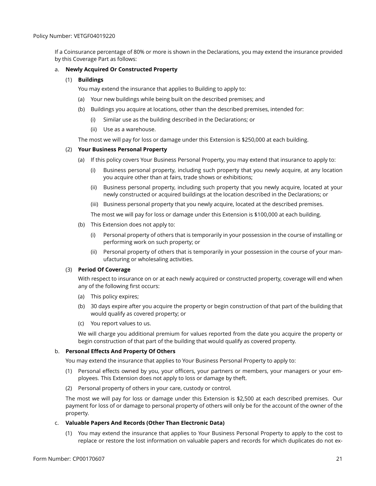If a Coinsurance percentage of 80% or more is shown in the Declarations, you may extend the insurance provided by this Coverage Part as follows:

#### a. **Newly Acquired Or Constructed Property**

#### (1) **Buildings**

You may extend the insurance that applies to Building to apply to:

- (a) Your new buildings while being built on the described premises; and
- (b) Buildings you acquire at locations, other than the described premises, intended for:
	- (i) Similar use as the building described in the Declarations; or
	- (ii) Use as a warehouse.

The most we will pay for loss or damage under this Extension is \$250,000 at each building.

#### (2) **Your Business Personal Property**

- (a) If this policy covers Your Business Personal Property, you may extend that insurance to apply to:
	- (i) Business personal property, including such property that you newly acquire, at any location you acquire other than at fairs, trade shows or exhibitions;
	- (ii) Business personal property, including such property that you newly acquire, located at your newly constructed or acquired buildings at the location described in the Declarations; or
	- (iii) Business personal property that you newly acquire, located at the described premises.

The most we will pay for loss or damage under this Extension is \$100,000 at each building.

- (b) This Extension does not apply to:
	- (i) Personal property of others that is temporarily in your possession in the course of installing or performing work on such property; or
	- (ii) Personal property of others that is temporarily in your possession in the course of your manufacturing or wholesaling activities.

#### (3) **Period Of Coverage**

With respect to insurance on or at each newly acquired or constructed property, coverage will end when any of the following first occurs:

- (a) This policy expires;
- (b) 30 days expire after you acquire the property or begin construction of that part of the building that would qualify as covered property; or
- (c) You report values to us.

We will charge you additional premium for values reported from the date you acquire the property or begin construction of that part of the building that would qualify as covered property.

#### b. **Personal Effects And Property Of Others**

You may extend the insurance that applies to Your Business Personal Property to apply to:

- (1) Personal effects owned by you, your officers, your partners or members, your managers or your employees. This Extension does not apply to loss or damage by theft.
- (2) Personal property of others in your care, custody or control.

The most we will pay for loss or damage under this Extension is \$2,500 at each described premises. Our payment for loss of or damage to personal property of others will only be for the account of the owner of the property.

#### c. **Valuable Papers And Records (Other Than Electronic Data)**

(1) You may extend the insurance that applies to Your Business Personal Property to apply to the cost to replace or restore the lost information on valuable papers and records for which duplicates do not ex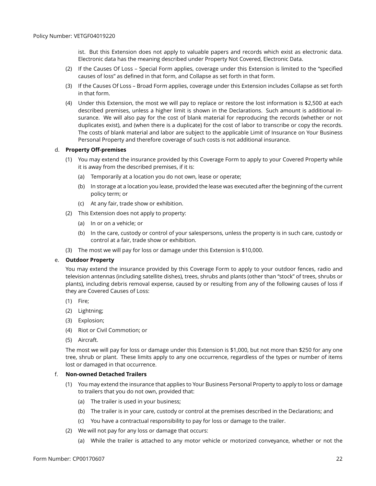ist. But this Extension does not apply to valuable papers and records which exist as electronic data. Electronic data has the meaning described under Property Not Covered, Electronic Data.

- (2) If the Causes Of Loss Special Form applies, coverage under this Extension is limited to the "specified causes of loss" as defined in that form, and Collapse as set forth in that form.
- (3) If the Causes Of Loss Broad Form applies, coverage under this Extension includes Collapse as set forth in that form.
- (4) Under this Extension, the most we will pay to replace or restore the lost information is \$2,500 at each described premises, unless a higher limit is shown in the Declarations. Such amount is additional insurance. We will also pay for the cost of blank material for reproducing the records (whether or not duplicates exist), and (when there is a duplicate) for the cost of labor to transcribe or copy the records. The costs of blank material and labor are subject to the applicable Limit of Insurance on Your Business Personal Property and therefore coverage of such costs is not additional insurance.

#### d. **Property Off-premises**

- (1) You may extend the insurance provided by this Coverage Form to apply to your Covered Property while it is away from the described premises, if it is:
	- (a) Temporarily at a location you do not own, lease or operate;
	- (b) In storage at a location you lease, provided the lease was executed after the beginning of the current policy term; or
	- (c) At any fair, trade show or exhibition.
- (2) This Extension does not apply to property:
	- (a) In or on a vehicle; or
	- (b) In the care, custody or control of your salespersons, unless the property is in such care, custody or control at a fair, trade show or exhibition.
- (3) The most we will pay for loss or damage under this Extension is \$10,000.

#### e. **Outdoor Property**

You may extend the insurance provided by this Coverage Form to apply to your outdoor fences, radio and television antennas (including satellite dishes), trees, shrubs and plants (other than "stock" of trees, shrubs or plants), including debris removal expense, caused by or resulting from any of the following causes of loss if they are Covered Causes of Loss:

- (1) Fire;
- (2) Lightning;
- (3) Explosion;
- (4) Riot or Civil Commotion; or
- (5) Aircraft.

The most we will pay for loss or damage under this Extension is \$1,000, but not more than \$250 for any one tree, shrub or plant. These limits apply to any one occurrence, regardless of the types or number of items lost or damaged in that occurrence.

#### f. **Non-owned Detached Trailers**

- (1) You may extend the insurance that applies to Your Business Personal Property to apply to loss or damage to trailers that you do not own, provided that:
	- (a) The trailer is used in your business;
	- (b) The trailer is in your care, custody or control at the premises described in the Declarations; and
	- (c) You have a contractual responsibility to pay for loss or damage to the trailer.
- (2) We will not pay for any loss or damage that occurs:
	- (a) While the trailer is attached to any motor vehicle or motorized conveyance, whether or not the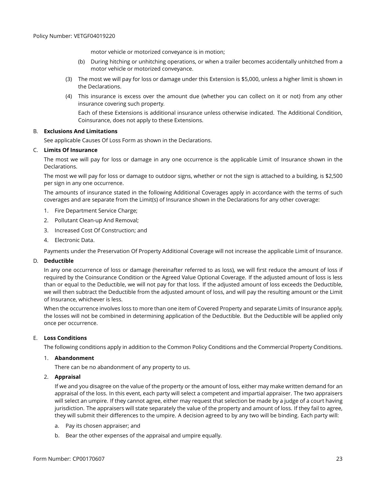motor vehicle or motorized conveyance is in motion;

- (b) During hitching or unhitching operations, or when a trailer becomes accidentally unhitched from a motor vehicle or motorized conveyance.
- (3) The most we will pay for loss or damage under this Extension is \$5,000, unless a higher limit is shown in the Declarations.
- (4) This insurance is excess over the amount due (whether you can collect on it or not) from any other insurance covering such property.

Each of these Extensions is additional insurance unless otherwise indicated. The Additional Condition, Coinsurance, does not apply to these Extensions.

#### B. **Exclusions And Limitations**

See applicable Causes Of Loss Form as shown in the Declarations.

#### C. **Limits Of Insurance**

The most we will pay for loss or damage in any one occurrence is the applicable Limit of Insurance shown in the Declarations.

The most we will pay for loss or damage to outdoor signs, whether or not the sign is attached to a building, is \$2,500 per sign in any one occurrence.

The amounts of insurance stated in the following Additional Coverages apply in accordance with the terms of such coverages and are separate from the Limit(s) of Insurance shown in the Declarations for any other coverage:

- 1. Fire Department Service Charge;
- 2. Pollutant Clean-up And Removal;
- 3. Increased Cost Of Construction; and
- 4. Electronic Data.

Payments under the Preservation Of Property Additional Coverage will not increase the applicable Limit of Insurance.

#### D. **Deductible**

In any one occurrence of loss or damage (hereinafter referred to as loss), we will first reduce the amount of loss if required by the Coinsurance Condition or the Agreed Value Optional Coverage. If the adjusted amount of loss is less than or equal to the Deductible, we will not pay for that loss. If the adjusted amount of loss exceeds the Deductible, we will then subtract the Deductible from the adjusted amount of loss, and will pay the resulting amount or the Limit of Insurance, whichever is less.

When the occurrence involves loss to more than one item of Covered Property and separate Limits of Insurance apply, the losses will not be combined in determining application of the Deductible. But the Deductible will be applied only once per occurrence.

#### E. **Loss Conditions**

The following conditions apply in addition to the Common Policy Conditions and the Commercial Property Conditions.

#### 1. **Abandonment**

There can be no abandonment of any property to us.

#### 2. **Appraisal**

If we and you disagree on the value of the property or the amount of loss, either may make written demand for an appraisal of the loss. In this event, each party will select a competent and impartial appraiser. The two appraisers will select an umpire. If they cannot agree, either may request that selection be made by a judge of a court having jurisdiction. The appraisers will state separately the value of the property and amount of loss. If they fail to agree, they will submit their differences to the umpire. A decision agreed to by any two will be binding. Each party will:

- a. Pay its chosen appraiser; and
- b. Bear the other expenses of the appraisal and umpire equally.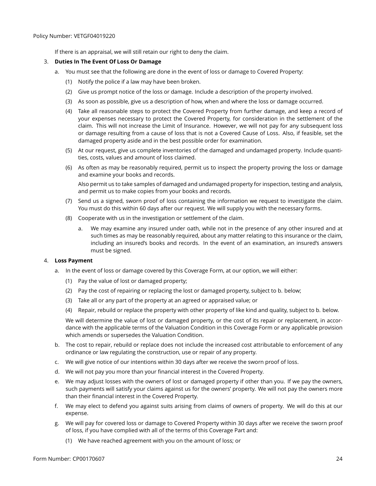If there is an appraisal, we will still retain our right to deny the claim.

#### 3. **Duties In The Event Of Loss Or Damage**

- a. You must see that the following are done in the event of loss or damage to Covered Property:
	- (1) Notify the police if a law may have been broken.
	- (2) Give us prompt notice of the loss or damage. Include a description of the property involved.
	- (3) As soon as possible, give us a description of how, when and where the loss or damage occurred.
	- (4) Take all reasonable steps to protect the Covered Property from further damage, and keep a record of your expenses necessary to protect the Covered Property, for consideration in the settlement of the claim. This will not increase the Limit of Insurance. However, we will not pay for any subsequent loss or damage resulting from a cause of loss that is not a Covered Cause of Loss. Also, if feasible, set the damaged property aside and in the best possible order for examination.
	- (5) At our request, give us complete inventories of the damaged and undamaged property. Include quantities, costs, values and amount of loss claimed.
	- (6) As often as may be reasonably required, permit us to inspect the property proving the loss or damage and examine your books and records.

Also permit us to take samples of damaged and undamaged property for inspection, testing and analysis, and permit us to make copies from your books and records.

- (7) Send us a signed, sworn proof of loss containing the information we request to investigate the claim. You must do this within 60 days after our request. We will supply you with the necessary forms.
- (8) Cooperate with us in the investigation or settlement of the claim.
	- a. We may examine any insured under oath, while not in the presence of any other insured and at such times as may be reasonably required, about any matter relating to this insurance or the claim, including an insured's books and records. In the event of an examination, an insured's answers must be signed.

#### 4. **Loss Payment**

- a. In the event of loss or damage covered by this Coverage Form, at our option, we will either:
	- (1) Pay the value of lost or damaged property;
	- (2) Pay the cost of repairing or replacing the lost or damaged property, subject to b. below;
	- (3) Take all or any part of the property at an agreed or appraised value; or
	- (4) Repair, rebuild or replace the property with other property of like kind and quality, subject to b. below.

We will determine the value of lost or damaged property, or the cost of its repair or replacement, in accordance with the applicable terms of the Valuation Condition in this Coverage Form or any applicable provision which amends or supersedes the Valuation Condition.

- b. The cost to repair, rebuild or replace does not include the increased cost attributable to enforcement of any ordinance or law regulating the construction, use or repair of any property.
- c. We will give notice of our intentions within 30 days after we receive the sworn proof of loss.
- d. We will not pay you more than your financial interest in the Covered Property.
- e. We may adjust losses with the owners of lost or damaged property if other than you. If we pay the owners, such payments will satisfy your claims against us for the owners' property. We will not pay the owners more than their financial interest in the Covered Property.
- f. We may elect to defend you against suits arising from claims of owners of property. We will do this at our expense.
- g. We will pay for covered loss or damage to Covered Property within 30 days after we receive the sworn proof of loss, if you have complied with all of the terms of this Coverage Part and:
	- (1) We have reached agreement with you on the amount of loss; or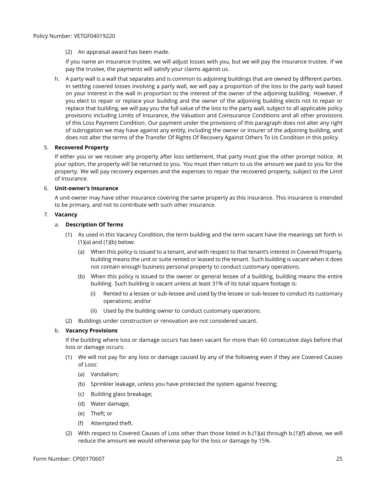(2) An appraisal award has been made.

If you name an insurance trustee, we will adjust losses with you, but we will pay the insurance trustee. If we pay the trustee, the payments will satisfy your claims against us.

h. A party wall is a wall that separates and is common to adjoining buildings that are owned by different parties. In settling covered losses involving a party wall, we will pay a proportion of the loss to the party wall based on your interest in the wall in proportion to the interest of the owner of the adjoining building. However, if you elect to repair or replace your building and the owner of the adjoining building elects not to repair or replace that building, we will pay you the full value of the loss to the party wall, subject to all applicable policy provisions including Limits of Insurance, the Valuation and Coinsurance Conditions and all other provisions of this Loss Payment Condition. Our payment under the provisions of this paragraph does not alter any right of subrogation we may have against any entity, including the owner or insurer of the adjoining building, and does not alter the terms of the Transfer Of Rights Of Recovery Against Others To Us Condition in this policy.

#### 5. **Recovered Property**

If either you or we recover any property after loss settlement, that party must give the other prompt notice. At your option, the property will be returned to you. You must then return to us the amount we paid to you for the property. We will pay recovery expenses and the expenses to repair the recovered property, subject to the Limit of Insurance.

#### 6. **Unit-owner's Insurance**

A unit-owner may have other insurance covering the same property as this insurance. This insurance is intended to be primary, and not to contribute with such other insurance.

#### 7. **Vacancy**

#### a. **Description Of Terms**

- (1) As used in this Vacancy Condition, the term building and the term vacant have the meanings set forth in  $(1)(a)$  and  $(1)(b)$  below:
	- (a) When this policy is issued to a tenant, and with respect to that tenant's interest in Covered Property, building means the unit or suite rented or leased to the tenant. Such building is vacant when it does not contain enough business personal property to conduct customary operations.
	- (b) When this policy is issued to the owner or general lessee of a building, building means the entire building. Such building is vacant unless at least 31% of its total square footage is:
		- (i) Rented to a lessee or sub-lessee and used by the lessee or sub-lessee to conduct its customary operations; and/or
		- (ii) Used by the building owner to conduct customary operations.
- (2) Buildings under construction or renovation are not considered vacant.

#### b. **Vacancy Provisions**

If the building where loss or damage occurs has been vacant for more than 60 consecutive days before that loss or damage occurs:

- (1) We will not pay for any loss or damage caused by any of the following even if they are Covered Causes of Loss:
	- (a) Vandalism;
	- (b) Sprinkler leakage, unless you have protected the system against freezing;
	- (c) Building glass breakage;
	- (d) Water damage;
	- (e) Theft; or
	- (f) Attempted theft.
- (2) With respect to Covered Causes of Loss other than those listed in b.(1)(a) through b.(1)(f) above, we will reduce the amount we would otherwise pay for the loss or damage by 15%.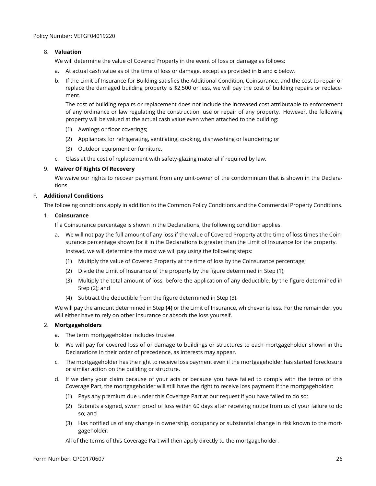#### Policy Number: VETGF04019220

#### 8. **Valuation**

We will determine the value of Covered Property in the event of loss or damage as follows:

- a. At actual cash value as of the time of loss or damage, except as provided in **b** and **c** below.
- b. If the Limit of Insurance for Building satisfies the Additional Condition, Coinsurance, and the cost to repair or replace the damaged building property is \$2,500 or less, we will pay the cost of building repairs or replacement.

The cost of building repairs or replacement does not include the increased cost attributable to enforcement of any ordinance or law regulating the construction, use or repair of any property. However, the following property will be valued at the actual cash value even when attached to the building:

- (1) Awnings or floor coverings;
- (2) Appliances for refrigerating, ventilating, cooking, dishwashing or laundering; or
- (3) Outdoor equipment or furniture.
- c. Glass at the cost of replacement with safety-glazing material if required by law.

#### 9. **Waiver Of Rights Of Recovery**

We waive our rights to recover payment from any unit-owner of the condominium that is shown in the Declarations.

#### F. **Additional Conditions**

The following conditions apply in addition to the Common Policy Conditions and the Commercial Property Conditions.

#### 1. **Coinsurance**

If a Coinsurance percentage is shown in the Declarations, the following condition applies.

- a. We will not pay the full amount of any loss if the value of Covered Property at the time of loss times the Coinsurance percentage shown for it in the Declarations is greater than the Limit of Insurance for the property. Instead, we will determine the most we will pay using the following steps:
	- (1) Multiply the value of Covered Property at the time of loss by the Coinsurance percentage;
	- (2) Divide the Limit of Insurance of the property by the figure determined in Step (1);
	- (3) Multiply the total amount of loss, before the application of any deductible, by the figure determined in Step (2); and
	- (4) Subtract the deductible from the figure determined in Step (3).

We will pay the amount determined in Step **(4)** or the Limit of Insurance, whichever is less. For the remainder, you will either have to rely on other insurance or absorb the loss yourself.

#### 2. **Mortgageholders**

- a. The term mortgageholder includes trustee.
- b. We will pay for covered loss of or damage to buildings or structures to each mortgageholder shown in the Declarations in their order of precedence, as interests may appear.
- c. The mortgageholder has the right to receive loss payment even if the mortgageholder has started foreclosure or similar action on the building or structure.
- d. If we deny your claim because of your acts or because you have failed to comply with the terms of this Coverage Part, the mortgageholder will still have the right to receive loss payment if the mortgageholder:
	- (1) Pays any premium due under this Coverage Part at our request if you have failed to do so;
	- (2) Submits a signed, sworn proof of loss within 60 days after receiving notice from us of your failure to do so; and
	- (3) Has notified us of any change in ownership, occupancy or substantial change in risk known to the mortgageholder.

All of the terms of this Coverage Part will then apply directly to the mortgageholder.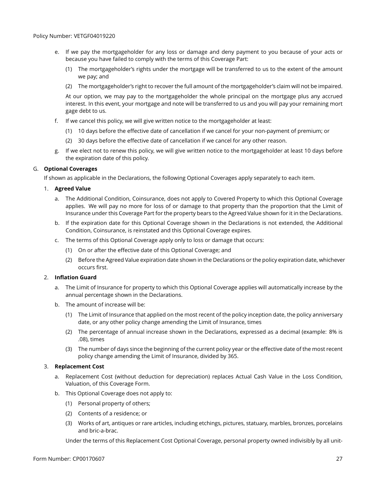- e. If we pay the mortgageholder for any loss or damage and deny payment to you because of your acts or because you have failed to comply with the terms of this Coverage Part:
	- (1) The mortgageholder's rights under the mortgage will be transferred to us to the extent of the amount we pay; and
	- (2) The mortgageholder's right to recover the full amount of the mortgageholder's claim will not be impaired.

At our option, we may pay to the mortgageholder the whole principal on the mortgage plus any accrued interest. In this event, your mortgage and note will be transferred to us and you will pay your remaining mort gage debt to us.

- f. If we cancel this policy, we will give written notice to the mortgageholder at least:
	- (1) 10 days before the effective date of cancellation if we cancel for your non-payment of premium; or
	- (2) 30 days before the effective date of cancellation if we cancel for any other reason.
- g. If we elect not to renew this policy, we will give written notice to the mortgageholder at least 10 days before the expiration date of this policy.

#### G. **Optional Coverages**

If shown as applicable in the Declarations, the following Optional Coverages apply separately to each item.

#### 1. **Agreed Value**

- a. The Additional Condition, Coinsurance, does not apply to Covered Property to which this Optional Coverage applies. We will pay no more for loss of or damage to that property than the proportion that the Limit of Insurance under this Coverage Part for the property bears to the Agreed Value shown for it in the Declarations.
- b. If the expiration date for this Optional Coverage shown in the Declarations is not extended, the Additional Condition, Coinsurance, is reinstated and this Optional Coverage expires.
- c. The terms of this Optional Coverage apply only to loss or damage that occurs:
	- (1) On or after the effective date of this Optional Coverage; and
	- (2) Before the Agreed Value expiration date shown in the Declarations or the policy expiration date, whichever occurs first.

#### 2. **Inflation Guard**

- a. The Limit of Insurance for property to which this Optional Coverage applies will automatically increase by the annual percentage shown in the Declarations.
- b. The amount of increase will be:
	- (1) The Limit of Insurance that applied on the most recent of the policy inception date, the policy anniversary date, or any other policy change amending the Limit of Insurance, times
	- (2) The percentage of annual increase shown in the Declarations, expressed as a decimal (example: 8% is .08), times
	- (3) The number of days since the beginning of the current policy year or the effective date of the most recent policy change amending the Limit of Insurance, divided by 365.

#### 3. **Replacement Cost**

- a. Replacement Cost (without deduction for depreciation) replaces Actual Cash Value in the Loss Condition, Valuation, of this Coverage Form.
- b. This Optional Coverage does not apply to:
	- (1) Personal property of others;
	- (2) Contents of a residence; or
	- (3) Works of art, antiques or rare articles, including etchings, pictures, statuary, marbles, bronzes, porcelains and bric-a-brac.

Under the terms of this Replacement Cost Optional Coverage, personal property owned indivisibly by all unit-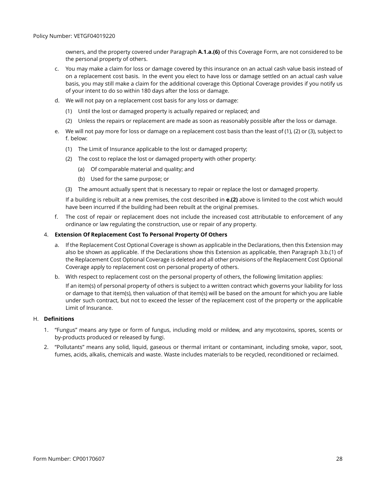owners, and the property covered under Paragraph **A.1.a.(6)** of this Coverage Form, are not considered to be the personal property of others.

- c. You may make a claim for loss or damage covered by this insurance on an actual cash value basis instead of on a replacement cost basis. In the event you elect to have loss or damage settled on an actual cash value basis, you may still make a claim for the additional coverage this Optional Coverage provides if you notify us of your intent to do so within 180 days after the loss or damage.
- d. We will not pay on a replacement cost basis for any loss or damage:
	- (1) Until the lost or damaged property is actually repaired or replaced; and
	- (2) Unless the repairs or replacement are made as soon as reasonably possible after the loss or damage.
- e. We will not pay more for loss or damage on a replacement cost basis than the least of (1), (2) or (3), subject to f. below:
	- (1) The Limit of Insurance applicable to the lost or damaged property;
	- (2) The cost to replace the lost or damaged property with other property:
		- (a) Of comparable material and quality; and
		- (b) Used for the same purpose; or
	- (3) The amount actually spent that is necessary to repair or replace the lost or damaged property.

If a building is rebuilt at a new premises, the cost described in **e.(2)** above is limited to the cost which would have been incurred if the building had been rebuilt at the original premises.

f. The cost of repair or replacement does not include the increased cost attributable to enforcement of any ordinance or law regulating the construction, use or repair of any property.

#### 4. **Extension Of Replacement Cost To Personal Property Of Others**

- a. If the Replacement Cost Optional Coverage is shown as applicable in the Declarations, then this Extension may also be shown as applicable. If the Declarations show this Extension as applicable, then Paragraph 3.b.(1) of the Replacement Cost Optional Coverage is deleted and all other provisions of the Replacement Cost Optional Coverage apply to replacement cost on personal property of others.
- b. With respect to replacement cost on the personal property of others, the following limitation applies:

If an item(s) of personal property of others is subject to a written contract which governs your liability for loss or damage to that item(s), then valuation of that item(s) will be based on the amount for which you are liable under such contract, but not to exceed the lesser of the replacement cost of the property or the applicable Limit of Insurance.

#### H. **Definitions**

- 1. "Fungus" means any type or form of fungus, including mold or mildew, and any mycotoxins, spores, scents or by-products produced or released by fungi.
- 2. "Pollutants" means any solid, liquid, gaseous or thermal irritant or contaminant, including smoke, vapor, soot, fumes, acids, alkalis, chemicals and waste. Waste includes materials to be recycled, reconditioned or reclaimed.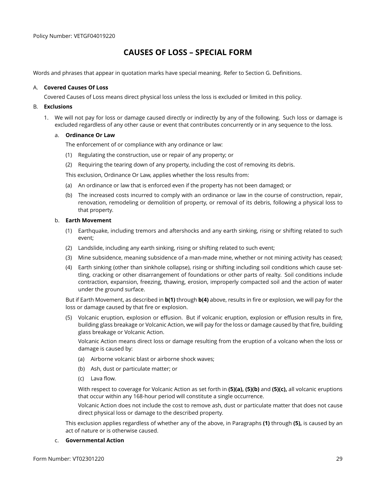### **CAUSES OF LOSS – SPECIAL FORM**

<span id="page-29-0"></span>Words and phrases that appear in quotation marks have special meaning. Refer to Section G. Definitions.

#### A. **Covered Causes Of Loss**

Covered Causes of Loss means direct physical loss unless the loss is excluded or limited in this policy.

#### B. **Exclusions**

1. We will not pay for loss or damage caused directly or indirectly by any of the following. Such loss or damage is excluded regardless of any other cause or event that contributes concurrently or in any sequence to the loss.

#### a. **Ordinance Or Law**

The enforcement of or compliance with any ordinance or law:

- (1) Regulating the construction, use or repair of any property; or
- (2) Requiring the tearing down of any property, including the cost of removing its debris.

This exclusion, Ordinance Or Law, applies whether the loss results from:

- (a) An ordinance or law that is enforced even if the property has not been damaged; or
- (b) The increased costs incurred to comply with an ordinance or law in the course of construction, repair, renovation, remodeling or demolition of property, or removal of its debris, following a physical loss to that property.

#### b. **Earth Movement**

- (1) Earthquake, including tremors and aftershocks and any earth sinking, rising or shifting related to such event;
- (2) Landslide, including any earth sinking, rising or shifting related to such event;
- (3) Mine subsidence, meaning subsidence of a man-made mine, whether or not mining activity has ceased;
- (4) Earth sinking (other than sinkhole collapse), rising or shifting including soil conditions which cause settling, cracking or other disarrangement of foundations or other parts of realty. Soil conditions include contraction, expansion, freezing, thawing, erosion, improperly compacted soil and the action of water under the ground surface.

But if Earth Movement, as described in **b(1)** through **b(4)** above, results in fire or explosion, we will pay for the loss or damage caused by that fire or explosion.

(5) Volcanic eruption, explosion or effusion. But if volcanic eruption, explosion or effusion results in fire, building glass breakage or Volcanic Action, we will pay for the loss or damage caused by that fire, building glass breakage or Volcanic Action.

Volcanic Action means direct loss or damage resulting from the eruption of a volcano when the loss or damage is caused by:

- (a) Airborne volcanic blast or airborne shock waves;
- (b) Ash, dust or particulate matter; or
- (c) Lava flow.

With respect to coverage for Volcanic Action as set forth in **(5)(a), (5)(b)** and **(5)(c),** all volcanic eruptions that occur within any 168-hour period will constitute a single occurrence.

Volcanic Action does not include the cost to remove ash, dust or particulate matter that does not cause direct physical loss or damage to the described property.

This exclusion applies regardless of whether any of the above, in Paragraphs **(1)** through **(5),** is caused by an act of nature or is otherwise caused.

#### c. **Governmental Action**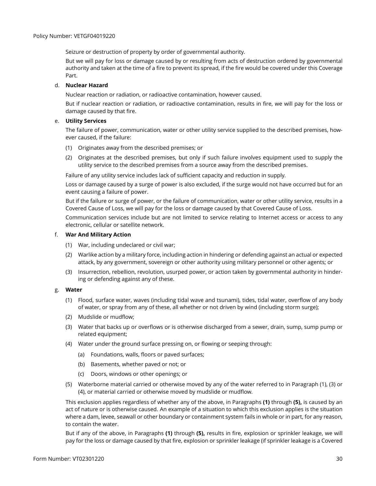Seizure or destruction of property by order of governmental authority.

But we will pay for loss or damage caused by or resulting from acts of destruction ordered by governmental authority and taken at the time of a fire to prevent its spread, if the fire would be covered under this Coverage Part.

#### d. **Nuclear Hazard**

Nuclear reaction or radiation, or radioactive contamination, however caused.

But if nuclear reaction or radiation, or radioactive contamination, results in fire, we will pay for the loss or damage caused by that fire.

#### e. **Utility Services**

The failure of power, communication, water or other utility service supplied to the described premises, however caused, if the failure:

- (1) Originates away from the described premises; or
- (2) Originates at the described premises, but only if such failure involves equipment used to supply the utility service to the described premises from a source away from the described premises.

Failure of any utility service includes lack of sufficient capacity and reduction in supply.

Loss or damage caused by a surge of power is also excluded, if the surge would not have occurred but for an event causing a failure of power.

But if the failure or surge of power, or the failure of communication, water or other utility service, results in a Covered Cause of Loss, we will pay for the loss or damage caused by that Covered Cause of Loss.

Communication services include but are not limited to service relating to Internet access or access to any electronic, cellular or satellite network.

#### f. **War And Military Action**

- (1) War, including undeclared or civil war;
- (2) Warlike action by a military force, including action in hindering or defending against an actual or expected attack, by any government, sovereign or other authority using military personnel or other agents; or
- (3) Insurrection, rebellion, revolution, usurped power, or action taken by governmental authority in hindering or defending against any of these.

#### g. **Water**

- (1) Flood, surface water, waves (including tidal wave and tsunami), tides, tidal water, overflow of any body of water, or spray from any of these, all whether or not driven by wind (including storm surge);
- (2) Mudslide or mudflow;
- (3) Water that backs up or overflows or is otherwise discharged from a sewer, drain, sump, sump pump or related equipment;
- (4) Water under the ground surface pressing on, or flowing or seeping through:
	- (a) Foundations, walls, floors or paved surfaces;
	- (b) Basements, whether paved or not; or
	- (c) Doors, windows or other openings; or
- (5) Waterborne material carried or otherwise moved by any of the water referred to in Paragraph (1), (3) or (4), or material carried or otherwise moved by mudslide or mudflow.

This exclusion applies regardless of whether any of the above, in Paragraphs **(1)** through **(5),** is caused by an act of nature or is otherwise caused. An example of a situation to which this exclusion applies is the situation where a dam, levee, seawall or other boundary or containment system fails in whole or in part, for any reason, to contain the water.

But if any of the above, in Paragraphs **(1)** through **(5),** results in fire, explosion or sprinkler leakage, we will pay for the loss or damage caused by that fire, explosion or sprinkler leakage (if sprinkler leakage is a Covered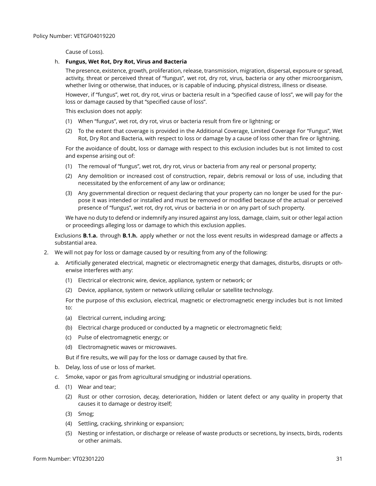Cause of Loss).

#### h. **Fungus, Wet Rot, Dry Rot, Virus and Bacteria**

The presence, existence, growth, proliferation, release, transmission, migration, dispersal, exposure or spread, activity, threat or perceived threat of "fungus", wet rot, dry rot, virus, bacteria or any other microorganism, whether living or otherwise, that induces, or is capable of inducing, physical distress, illness or disease.

However, if "fungus", wet rot, dry rot, virus or bacteria result in a "specified cause of loss", we will pay for the loss or damage caused by that "specified cause of loss".

This exclusion does not apply:

- (1) When "fungus", wet rot, dry rot, virus or bacteria result from fire or lightning; or
- (2) To the extent that coverage is provided in the Additional Coverage, Limited Coverage For "Fungus", Wet Rot, Dry Rot and Bacteria, with respect to loss or damage by a cause of loss other than fire or lightning.

For the avoidance of doubt, loss or damage with respect to this exclusion includes but is not limited to cost and expense arising out of:

- (1) The removal of "fungus", wet rot, dry rot, virus or bacteria from any real or personal property;
- (2) Any demolition or increased cost of construction, repair, debris removal or loss of use, including that necessitated by the enforcement of any law or ordinance;
- (3) Any governmental direction or request declaring that your property can no longer be used for the purpose it was intended or installed and must be removed or modified because of the actual or perceived presence of "fungus", wet rot, dry rot, virus or bacteria in or on any part of such property.

We have no duty to defend or indemnify any insured against any loss, damage, claim, suit or other legal action or proceedings alleging loss or damage to which this exclusion applies.

Exclusions **B.1.a.** through **B.1.h.** apply whether or not the loss event results in widespread damage or affects a substantial area.

- 2. We will not pay for loss or damage caused by or resulting from any of the following:
	- a. Artificially generated electrical, magnetic or electromagnetic energy that damages, disturbs, disrupts or otherwise interferes with any:
		- (1) Electrical or electronic wire, device, appliance, system or network; or
		- (2) Device, appliance, system or network utilizing cellular or satellite technology.

For the purpose of this exclusion, electrical, magnetic or electromagnetic energy includes but is not limited to:

- (a) Electrical current, including arcing;
- (b) Electrical charge produced or conducted by a magnetic or electromagnetic field;
- (c) Pulse of electromagnetic energy; or
- (d) Electromagnetic waves or microwaves.

But if fire results, we will pay for the loss or damage caused by that fire.

- b. Delay, loss of use or loss of market.
- c. Smoke, vapor or gas from agricultural smudging or industrial operations.
- d. (1) Wear and tear;
	- (2) Rust or other corrosion, decay, deterioration, hidden or latent defect or any quality in property that causes it to damage or destroy itself;
	- (3) Smog;
	- (4) Settling, cracking, shrinking or expansion;
	- (5) Nesting or infestation, or discharge or release of waste products or secretions, by insects, birds, rodents or other animals.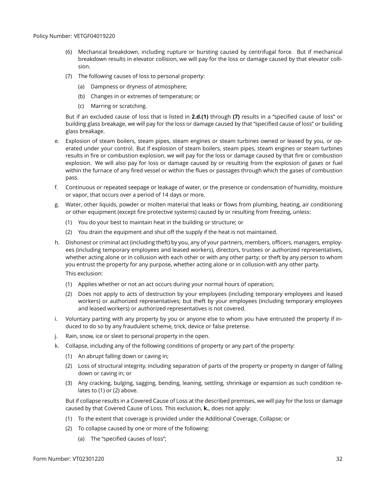- (6) Mechanical breakdown, including rupture or bursting caused by centrifugal force. But if mechanical breakdown results in elevator collision, we will pay for the loss or damage caused by that elevator collision.
- (7) The following causes of loss to personal property:
	- (a) Dampness or dryness of atmosphere;
	- (b) Changes in or extremes of temperature; or
	- (c) Marring or scratching.

But if an excluded cause of loss that is listed in **2.d.(1)** through **(7)** results in a "specified cause of loss" or building glass breakage, we will pay for the loss or damage caused by that "specified cause of loss" or building glass breakage.

- e. Explosion of steam boilers, steam pipes, steam engines or steam turbines owned or leased by you, or operated under your control. But if explosion of steam boilers, steam pipes, steam engines or steam turbines results in fire or combustion explosion, we will pay for the loss or damage caused by that fire or combustion explosion. We will also pay for loss or damage caused by or resulting from the explosion of gases or fuel within the furnace of any fired vessel or within the flues or passages through which the gases of combustion pass.
- f. Continuous or repeated seepage or leakage of water, or the presence or condensation of humidity, moisture or vapor, that occurs over a period of 14 days or more.
- g. Water, other liquids, powder or molten material that leaks or flows from plumbing, heating, air conditioning or other equipment (except fire protective systems) caused by or resulting from freezing, unless:
	- (1) You do your best to maintain heat in the building or structure; or
	- (2) You drain the equipment and shut off the supply if the heat is not maintained.
- h. Dishonest or criminal act (including theft) by you, any of your partners, members, officers, managers, employees (including temporary employees and leased workers), directors, trustees or authorized representatives, whether acting alone or in collusion with each other or with any other party; or theft by any person to whom you entrust the property for any purpose, whether acting alone or in collusion with any other party. This exclusion:
	- (1) Applies whether or not an act occurs during your normal hours of operation;
	- (2) Does not apply to acts of destruction by your employees (including temporary employees and leased workers) or authorized representatives; but theft by your employees (including temporary employees and leased workers) or authorized representatives is not covered.
- i. Voluntary parting with any property by you or anyone else to whom you have entrusted the property if induced to do so by any fraudulent scheme, trick, device or false pretense.
- j. Rain, snow, ice or sleet to personal property in the open.
- k. Collapse, including any of the following conditions of property or any part of the property:
	- (1) An abrupt falling down or caving in;
	- (2) Loss of structural integrity, including separation of parts of the property or property in danger of falling down or caving in; or
	- (3) Any cracking, bulging, sagging, bending, leaning, settling, shrinkage or expansion as such condition relates to (1) or (2) above.

But if collapse results in a Covered Cause of Loss at the described premises, we will pay for the loss or damage caused by that Covered Cause of Loss. This exclusion, **k.**, does not apply:

- (1) To the extent that coverage is provided under the Additional Coverage, Collapse; or
- (2) To collapse caused by one or more of the following:
	- (a) The "specified causes of loss";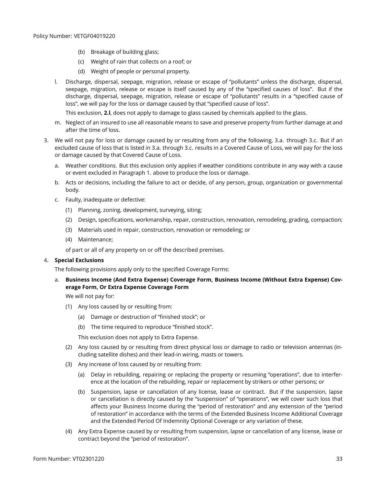- (b) Breakage of building glass;
- (c) Weight of rain that collects on a roof; or
- (d) Weight of people or personal property.
- l. Discharge, dispersal, seepage, migration, release or escape of "pollutants" unless the discharge, dispersal, seepage, migration, release or escape is itself caused by any of the "specified causes of loss". But if the discharge, dispersal, seepage, migration, release or escape of "pollutants" results in a "specified cause of loss", we will pay for the loss or damage caused by that "specified cause of loss".

This exclusion, **2.l**, does not apply to damage to glass caused by chemicals applied to the glass.

- m. Neglect of an insured to use all reasonable means to save and preserve property from further damage at and after the time of loss.
- 3. We will not pay for loss or damage caused by or resulting from any of the following, 3.a. through 3.c. But if an excluded cause of loss that is listed in 3.a. through 3.c. results in a Covered Cause of Loss, we will pay for the loss or damage caused by that Covered Cause of Loss.
	- a. Weather conditions. But this exclusion only applies if weather conditions contribute in any way with a cause or event excluded in Paragraph 1. above to produce the loss or damage.
	- b. Acts or decisions, including the failure to act or decide, of any person, group, organization or governmental body.
	- c. Faulty, inadequate or defective:
		- (1) Planning, zoning, development, surveying, siting;
		- (2) Design, specifications, workmanship, repair, construction, renovation, remodeling, grading, compaction;
		- (3) Materials used in repair, construction, renovation or remodeling; or
		- (4) Maintenance;

of part or all of any property on or off the described premises.

#### 4. **Special Exclusions**

The following provisions apply only to the specified Coverage Forms:

a. **Business Income (And Extra Expense) Coverage Form, Business Income (Without Extra Expense) Coverage Form, Or Extra Expense Coverage Form**

We will not pay for:

- (1) Any loss caused by or resulting from:
	- (a) Damage or destruction of "finished stock"; or
	- (b) The time required to reproduce "finished stock".

This exclusion does not apply to Extra Expense.

- (2) Any loss caused by or resulting from direct physical loss or damage to radio or television antennas (including satellite dishes) and their lead-in wiring, masts or towers.
- (3) Any increase of loss caused by or resulting from:
	- (a) Delay in rebuilding, repairing or replacing the property or resuming "operations", due to interference at the location of the rebuilding, repair or replacement by strikers or other persons; or
	- (b) Suspension, lapse or cancellation of any license, lease or contract. But if the suspension, lapse or cancellation is directly caused by the "suspension" of "operations", we will cover such loss that affects your Business Income during the "period of restoration" and any extension of the "period of restoration" in accordance with the terms of the Extended Business Income Additional Coverage and the Extended Period Of Indemnity Optional Coverage or any variation of these.
- (4) Any Extra Expense caused by or resulting from suspension, lapse or cancellation of any license, lease or contract beyond the "period of restoration".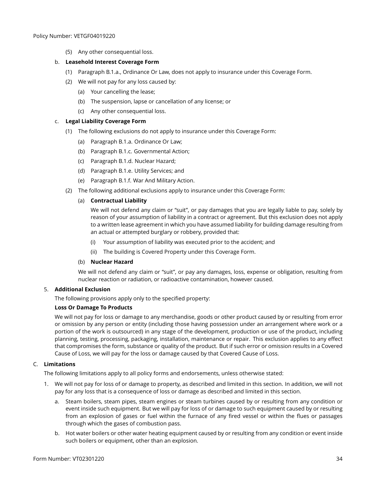(5) Any other consequential loss.

#### b. **Leasehold Interest Coverage Form**

- (1) Paragraph B.1.a., Ordinance Or Law, does not apply to insurance under this Coverage Form.
- (2) We will not pay for any loss caused by:
	- (a) Your cancelling the lease;
	- (b) The suspension, lapse or cancellation of any license; or
	- (c) Any other consequential loss.

#### c. **Legal Liability Coverage Form**

- (1) The following exclusions do not apply to insurance under this Coverage Form:
	- (a) Paragraph B.1.a. Ordinance Or Law;
	- (b) Paragraph B.1.c. Governmental Action;
	- (c) Paragraph B.1.d. Nuclear Hazard;
	- (d) Paragraph B.1.e. Utility Services; and
	- (e) Paragraph B.1.f. War And Military Action.
- (2) The following additional exclusions apply to insurance under this Coverage Form:

#### (a) **Contractual Liability**

We will not defend any claim or "suit", or pay damages that you are legally liable to pay, solely by reason of your assumption of liability in a contract or agreement. But this exclusion does not apply to a written lease agreement in which you have assumed liability for building damage resulting from an actual or attempted burglary or robbery, provided that:

- (i) Your assumption of liability was executed prior to the accident; and
- (ii) The building is Covered Property under this Coverage Form.

#### (b) **Nuclear Hazard**

We will not defend any claim or "suit", or pay any damages, loss, expense or obligation, resulting from nuclear reaction or radiation, or radioactive contamination, however caused.

#### 5. **Additional Exclusion**

The following provisions apply only to the specified property:

#### **Loss Or Damage To Products**

We will not pay for loss or damage to any merchandise, goods or other product caused by or resulting from error or omission by any person or entity (including those having possession under an arrangement where work or a portion of the work is outsourced) in any stage of the development, production or use of the product, including planning, testing, processing, packaging, installation, maintenance or repair. This exclusion applies to any effect that compromises the form, substance or quality of the product. But if such error or omission results in a Covered Cause of Loss, we will pay for the loss or damage caused by that Covered Cause of Loss.

#### C. **Limitations**

The following limitations apply to all policy forms and endorsements, unless otherwise stated:

- 1. We will not pay for loss of or damage to property, as described and limited in this section. In addition, we will not pay for any loss that is a consequence of loss or damage as described and limited in this section.
	- a. Steam boilers, steam pipes, steam engines or steam turbines caused by or resulting from any condition or event inside such equipment. But we will pay for loss of or damage to such equipment caused by or resulting from an explosion of gases or fuel within the furnace of any fired vessel or within the flues or passages through which the gases of combustion pass.
	- b. Hot water boilers or other water heating equipment caused by or resulting from any condition or event inside such boilers or equipment, other than an explosion.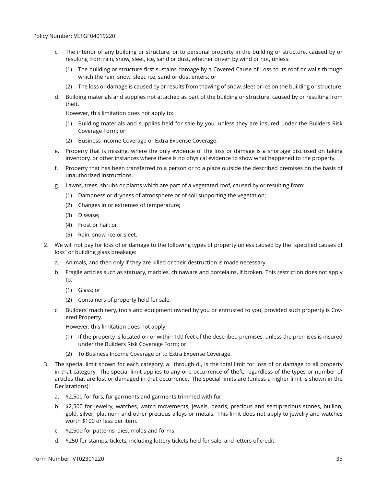- c. The interior of any building or structure, or to personal property in the building or structure, caused by or resulting from rain, snow, sleet, ice, sand or dust, whether driven by wind or not, unless:
	- (1) The building or structure first sustains damage by a Covered Cause of Loss to its roof or walls through which the rain, snow, sleet, ice, sand or dust enters; or
	- (2) The loss or damage is caused by or results from thawing of snow, sleet or ice on the building or structure.
- d. Building materials and supplies not attached as part of the building or structure, caused by or resulting from theft.

However, this limitation does not apply to:

- (1) Building materials and supplies held for sale by you, unless they are insured under the Builders Risk Coverage Form; or
- (2) Business Income Coverage or Extra Expense Coverage.
- e. Property that is missing, where the only evidence of the loss or damage is a shortage disclosed on taking inventory, or other instances where there is no physical evidence to show what happened to the property.
- f. Property that has been transferred to a person or to a place outside the described premises on the basis of unauthorized instructions.
- g. Lawns, trees, shrubs or plants which are part of a vegetated roof, caused by or resulting from:
	- (1) Dampness or dryness of atmosphere or of soil supporting the vegetation;
	- (2) Changes in or extremes of temperature;
	- (3) Disease;
	- (4) Frost or hail; or
	- (5) Rain, snow, ice or sleet.
- 2. We will not pay for loss of or damage to the following types of property unless caused by the "specified causes of loss" or building glass breakage:
	- a. Animals, and then only if they are killed or their destruction is made necessary.
	- b. Fragile articles such as statuary, marbles, chinaware and porcelains, if broken. This restriction does not apply to:
		- (1) Glass; or
		- (2) Containers of property held for sale.
	- c. Builders' machinery, tools and equipment owned by you or entrusted to you, provided such property is Covered Property.

However, this limitation does not apply:

- (1) If the property is located on or within 100 feet of the described premises, unless the premises is insured under the Builders Risk Coverage Form; or
- (2) To Business Income Coverage or to Extra Expense Coverage.
- 3. The special limit shown for each category, a. through d., is the total limit for loss of or damage to all property in that category. The special limit applies to any one occurrence of theft, regardless of the types or number of articles that are lost or damaged in that occurrence. The special limits are (unless a higher limit is shown in the Declarations):
	- a. \$2,500 for furs, fur garments and garments trimmed with fur.
	- b. \$2,500 for jewelry, watches, watch movements, jewels, pearls, precious and semiprecious stones, bullion, gold, silver, platinum and other precious alloys or metals. This limit does not apply to jewelry and watches worth \$100 or less per item.
	- c. \$2,500 for patterns, dies, molds and forms.
	- d. \$250 for stamps, tickets, including lottery tickets held for sale, and letters of credit.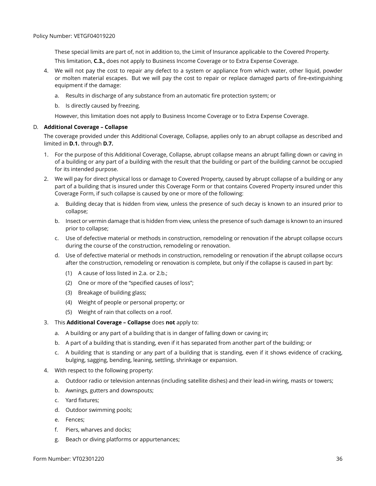These special limits are part of, not in addition to, the Limit of Insurance applicable to the Covered Property.

This limitation, **C.3.,** does not apply to Business Income Coverage or to Extra Expense Coverage.

- 4. We will not pay the cost to repair any defect to a system or appliance from which water, other liquid, powder or molten material escapes. But we will pay the cost to repair or replace damaged parts of fire-extinguishing equipment if the damage:
	- a. Results in discharge of any substance from an automatic fire protection system; or
	- b. Is directly caused by freezing.

However, this limitation does not apply to Business Income Coverage or to Extra Expense Coverage.

## D. **Additional Coverage – Collapse**

The coverage provided under this Additional Coverage, Collapse, applies only to an abrupt collapse as described and limited in **D.1.** through **D.7.**

- 1. For the purpose of this Additional Coverage, Collapse, abrupt collapse means an abrupt falling down or caving in of a building or any part of a building with the result that the building or part of the building cannot be occupied for its intended purpose.
- 2. We will pay for direct physical loss or damage to Covered Property, caused by abrupt collapse of a building or any part of a building that is insured under this Coverage Form or that contains Covered Property insured under this Coverage Form, if such collapse is caused by one or more of the following:
	- a. Building decay that is hidden from view, unless the presence of such decay is known to an insured prior to collapse;
	- b. Insect or vermin damage that is hidden from view, unless the presence of such damage is known to an insured prior to collapse;
	- c. Use of defective material or methods in construction, remodeling or renovation if the abrupt collapse occurs during the course of the construction, remodeling or renovation.
	- d. Use of defective material or methods in construction, remodeling or renovation if the abrupt collapse occurs after the construction, remodeling or renovation is complete, but only if the collapse is caused in part by:
		- (1) A cause of loss listed in 2.a. or 2.b.;
		- (2) One or more of the "specified causes of loss";
		- (3) Breakage of building glass;
		- (4) Weight of people or personal property; or
		- (5) Weight of rain that collects on a roof.
- 3. This **Additional Coverage – Collapse** does **not** apply to:
	- a. A building or any part of a building that is in danger of falling down or caving in;
	- b. A part of a building that is standing, even if it has separated from another part of the building; or
	- c. A building that is standing or any part of a building that is standing, even if it shows evidence of cracking, bulging, sagging, bending, leaning, settling, shrinkage or expansion.
- 4. With respect to the following property:
	- a. Outdoor radio or television antennas (including satellite dishes) and their lead-in wiring, masts or towers;
	- b. Awnings, gutters and downspouts;
	- c. Yard fixtures;
	- d. Outdoor swimming pools;
	- e. Fences;
	- f. Piers, wharves and docks;
	- g. Beach or diving platforms or appurtenances;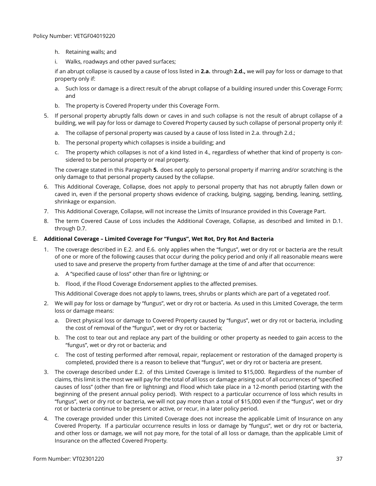- h. Retaining walls; and
- i. Walks, roadways and other paved surfaces;

if an abrupt collapse is caused by a cause of loss listed in **2.a.** through **2.d.,** we will pay for loss or damage to that property only if:

- a. Such loss or damage is a direct result of the abrupt collapse of a building insured under this Coverage Form; and
- b. The property is Covered Property under this Coverage Form.
- 5. If personal property abruptly falls down or caves in and such collapse is not the result of abrupt collapse of a building, we will pay for loss or damage to Covered Property caused by such collapse of personal property only if:
	- a. The collapse of personal property was caused by a cause of loss listed in 2.a. through 2.d.;
	- b. The personal property which collapses is inside a building; and
	- c. The property which collapses is not of a kind listed in 4., regardless of whether that kind of property is considered to be personal property or real property.

The coverage stated in this Paragraph **5.** does not apply to personal property if marring and/or scratching is the only damage to that personal property caused by the collapse.

- 6. This Additional Coverage, Collapse, does not apply to personal property that has not abruptly fallen down or caved in, even if the personal property shows evidence of cracking, bulging, sagging, bending, leaning, settling, shrinkage or expansion.
- 7. This Additional Coverage, Collapse, will not increase the Limits of Insurance provided in this Coverage Part.
- 8. The term Covered Cause of Loss includes the Additional Coverage, Collapse, as described and limited in D.1. through D.7.

## E. **Additional Coverage – Limited Coverage For "Fungus", Wet Rot, Dry Rot And Bacteria**

- 1. The coverage described in E.2. and E.6. only applies when the "fungus", wet or dry rot or bacteria are the result of one or more of the following causes that occur during the policy period and only if all reasonable means were used to save and preserve the property from further damage at the time of and after that occurrence:
	- a. A "specified cause of loss" other than fire or lightning; or
	- b. Flood, if the Flood Coverage Endorsement applies to the affected premises.

This Additional Coverage does not apply to lawns, trees, shrubs or plants which are part of a vegetated roof.

- 2. We will pay for loss or damage by "fungus", wet or dry rot or bacteria. As used in this Limited Coverage, the term loss or damage means:
	- a. Direct physical loss or damage to Covered Property caused by "fungus", wet or dry rot or bacteria, including the cost of removal of the "fungus", wet or dry rot or bacteria;
	- b. The cost to tear out and replace any part of the building or other property as needed to gain access to the "fungus", wet or dry rot or bacteria; and
	- c. The cost of testing performed after removal, repair, replacement or restoration of the damaged property is completed, provided there is a reason to believe that "fungus", wet or dry rot or bacteria are present.
- 3. The coverage described under E.2. of this Limited Coverage is limited to \$15,000. Regardless of the number of claims, this limit is the most we will pay for the total of all loss or damage arising out of all occurrences of "specified causes of loss" (other than fire or lightning) and Flood which take place in a 12-month period (starting with the beginning of the present annual policy period). With respect to a particular occurrence of loss which results in "fungus", wet or dry rot or bacteria, we will not pay more than a total of \$15,000 even if the "fungus", wet or dry rot or bacteria continue to be present or active, or recur, in a later policy period.
- 4. The coverage provided under this Limited Coverage does not increase the applicable Limit of Insurance on any Covered Property. If a particular occurrence results in loss or damage by "fungus", wet or dry rot or bacteria, and other loss or damage, we will not pay more, for the total of all loss or damage, than the applicable Limit of Insurance on the affected Covered Property.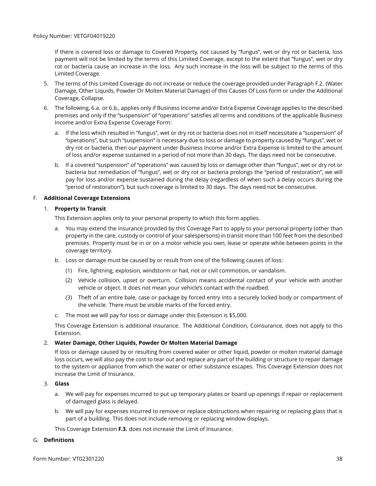If there is covered loss or damage to Covered Property, not caused by "fungus", wet or dry rot or bacteria, loss payment will not be limited by the terms of this Limited Coverage, except to the extent that "fungus", wet or dry rot or bacteria cause an increase in the loss. Any such increase in the loss will be subject to the terms of this Limited Coverage.

- 5. The terms of this Limited Coverage do not increase or reduce the coverage provided under Paragraph F.2. (Water Damage, Other Liquids, Powder Or Molten Material Damage) of this Causes Of Loss form or under the Additional Coverage, Collapse.
- 6. The following, 6.a. or 6.b., applies only if Business Income and/or Extra Expense Coverage applies to the described premises and only if the "suspension" of "operations" satisfies all terms and conditions of the applicable Business Income and/or Extra Expense Coverage Form:
	- a. If the loss which resulted in "fungus", wet or dry rot or bacteria does not in itself necessitate a "suspension" of "operations", but such "suspension" is necessary due to loss or damage to property caused by "fungus", wet or dry rot or bacteria, then our payment under Business Income and/or Extra Expense is limited to the amount of loss and/or expense sustained in a period of not more than 30 days. The days need not be consecutive.
	- b. If a covered "suspension" of "operations" was caused by loss or damage other than "fungus", wet or dry rot or bacteria but remediation of "fungus", wet or dry rot or bacteria prolongs the "period of restoration", we will pay for loss and/or expense sustained during the delay (regardless of when such a delay occurs during the "period of restoration"), but such coverage is limited to 30 days. The days need not be consecutive.

## F. **Additional Coverage Extensions**

## 1. **Property In Transit**

This Extension applies only to your personal property to which this form applies.

- a. You may extend the insurance provided by this Coverage Part to apply to your personal property (other than property in the care, custody or control of your salespersons) in transit more than 100 feet from the described premises. Property must be in or on a motor vehicle you own, lease or operate while between points in the coverage territory.
- b. Loss or damage must be caused by or result from one of the following causes of loss:
	- (1) Fire, lightning, explosion, windstorm or hail, riot or civil commotion, or vandalism.
	- (2) Vehicle collision, upset or overturn. Collision means accidental contact of your vehicle with another vehicle or object. It does not mean your vehicle's contact with the roadbed.
	- (3) Theft of an entire bale, case or package by forced entry into a securely locked body or compartment of the vehicle. There must be visible marks of the forced entry.
- c. The most we will pay for loss or damage under this Extension is \$5,000.

This Coverage Extension is additional insurance. The Additional Condition, Coinsurance, does not apply to this Extension.

## 2. **Water Damage, Other Liquids, Powder Or Molten Material Damage**

If loss or damage caused by or resulting from covered water or other liquid, powder or molten material damage loss occurs, we will also pay the cost to tear out and replace any part of the building or structure to repair damage to the system or appliance from which the water or other substance escapes. This Coverage Extension does not increase the Limit of Insurance.

## 3. **Glass**

- a. We will pay for expenses incurred to put up temporary plates or board up openings if repair or replacement of damaged glass is delayed.
- b. We will pay for expenses incurred to remove or replace obstructions when repairing or replacing glass that is part of a building. This does not include removing or replacing window displays.

This Coverage Extension **F.3.** does not increase the Limit of Insurance.

## G. **Definitions**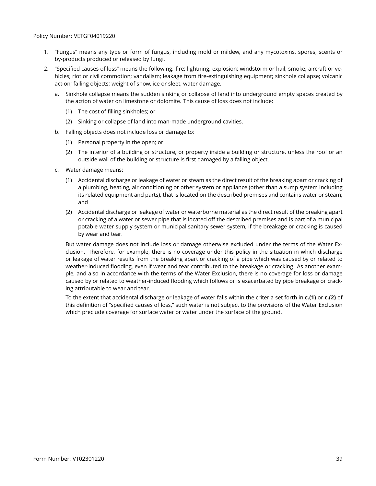- 1. "Fungus" means any type or form of fungus, including mold or mildew, and any mycotoxins, spores, scents or by-products produced or released by fungi.
- 2. "Specified causes of loss" means the following: fire; lightning; explosion; windstorm or hail; smoke; aircraft or vehicles; riot or civil commotion; vandalism; leakage from fire-extinguishing equipment; sinkhole collapse; volcanic action; falling objects; weight of snow, ice or sleet; water damage.
	- a. Sinkhole collapse means the sudden sinking or collapse of land into underground empty spaces created by the action of water on limestone or dolomite. This cause of loss does not include:
		- (1) The cost of filling sinkholes; or
		- (2) Sinking or collapse of land into man-made underground cavities.
	- b. Falling objects does not include loss or damage to:
		- (1) Personal property in the open; or
		- (2) The interior of a building or structure, or property inside a building or structure, unless the roof or an outside wall of the building or structure is first damaged by a falling object.
	- c. Water damage means:
		- (1) Accidental discharge or leakage of water or steam as the direct result of the breaking apart or cracking of a plumbing, heating, air conditioning or other system or appliance (other than a sump system including its related equipment and parts), that is located on the described premises and contains water or steam; and
		- (2) Accidental discharge or leakage of water or waterborne material as the direct result of the breaking apart or cracking of a water or sewer pipe that is located off the described premises and is part of a municipal potable water supply system or municipal sanitary sewer system, if the breakage or cracking is caused by wear and tear.

But water damage does not include loss or damage otherwise excluded under the terms of the Water Exclusion. Therefore, for example, there is no coverage under this policy in the situation in which discharge or leakage of water results from the breaking apart or cracking of a pipe which was caused by or related to weather-induced flooding, even if wear and tear contributed to the breakage or cracking. As another example, and also in accordance with the terms of the Water Exclusion, there is no coverage for loss or damage caused by or related to weather-induced flooding which follows or is exacerbated by pipe breakage or cracking attributable to wear and tear.

To the extent that accidental discharge or leakage of water falls within the criteria set forth in **c.(1)** or **c.(2)** of this definition of "specified causes of loss," such water is not subject to the provisions of the Water Exclusion which preclude coverage for surface water or water under the surface of the ground.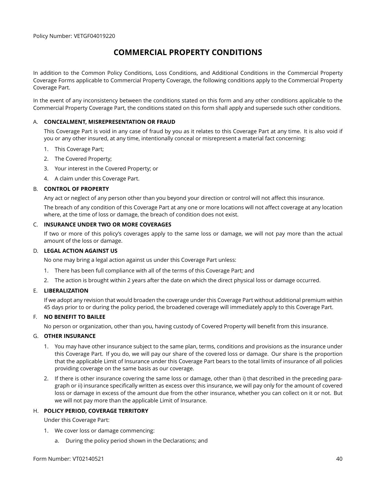## **COMMERCIAL PROPERTY CONDITIONS**

In addition to the Common Policy Conditions, Loss Conditions, and Additional Conditions in the Commercial Property Coverage Forms applicable to Commercial Property Coverage, the following conditions apply to the Commercial Property Coverage Part.

In the event of any inconsistency between the conditions stated on this form and any other conditions applicable to the Commercial Property Coverage Part, the conditions stated on this form shall apply and supersede such other conditions.

## A. **CONCEALMENT, MISREPRESENTATION OR FRAUD**

This Coverage Part is void in any case of fraud by you as it relates to this Coverage Part at any time. It is also void if you or any other insured, at any time, intentionally conceal or misrepresent a material fact concerning:

- 1. This Coverage Part;
- 2. The Covered Property;
- 3. Your interest in the Covered Property; or
- 4. A claim under this Coverage Part.

## B. **CONTROL OF PROPERTY**

Any act or neglect of any person other than you beyond your direction or control will not affect this insurance.

The breach of any condition of this Coverage Part at any one or more locations will not affect coverage at any location where, at the time of loss or damage, the breach of condition does not exist.

## C. **INSURANCE UNDER TWO OR MORE COVERAGES**

If two or more of this policy's coverages apply to the same loss or damage, we will not pay more than the actual amount of the loss or damage.

## D. **LEGAL ACTION AGAINST US**

No one may bring a legal action against us under this Coverage Part unless:

- 1. There has been full compliance with all of the terms of this Coverage Part; and
- 2. The action is brought within 2 years after the date on which the direct physical loss or damage occurred.

## E. **LIBERALIZATION**

If we adopt any revision that would broaden the coverage under this Coverage Part without additional premium within 45 days prior to or during the policy period, the broadened coverage will immediately apply to this Coverage Part.

## F. **NO BENEFIT TO BAILEE**

No person or organization, other than you, having custody of Covered Property will benefit from this insurance.

## G. **OTHER INSURANCE**

- 1. You may have other insurance subject to the same plan, terms, conditions and provisions as the insurance under this Coverage Part. If you do, we will pay our share of the covered loss or damage. Our share is the proportion that the applicable Limit of Insurance under this Coverage Part bears to the total limits of insurance of all policies providing coverage on the same basis as our coverage.
- 2. If there is other insurance covering the same loss or damage, other than i) that described in the preceding paragraph or ii) insurance specifically written as excess over this insurance, we will pay only for the amount of covered loss or damage in excess of the amount due from the other insurance, whether you can collect on it or not. But we will not pay more than the applicable Limit of Insurance.

#### H. **POLICY PERIOD, COVERAGE TERRITORY**

Under this Coverage Part:

- 1. We cover loss or damage commencing:
	- a. During the policy period shown in the Declarations; and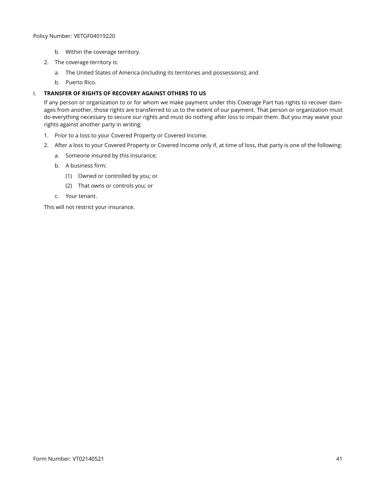- b. Within the coverage territory.
- 2. The coverage territory is:
	- a. The United States of America (including its territories and possessions); and
	- b. Puerto Rico.

## I. **TRANSFER OF RIGHTS OF RECOVERY AGAINST OTHERS TO US**

If any person or organization to or for whom we make payment under this Coverage Part has rights to recover damages from another, those rights are transferred to us to the extent of our payment. That person or organization must do everything necessary to secure our rights and must do nothing after loss to impair them. But you may waive your rights against another party in writing:

- 1. Prior to a loss to your Covered Property or Covered Income.
- 2. After a loss to your Covered Property or Covered Income only if, at time of loss, that party is one of the following:
	- a. Someone insured by this insurance;
	- b. A business firm:
		- (1) Owned or controlled by you; or
		- (2) That owns or controls you; or
	- c. Your tenant.

This will not restrict your insurance.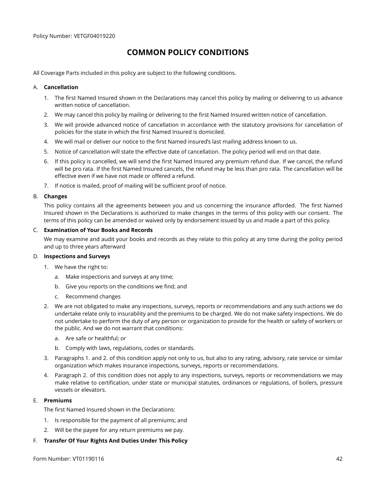## **COMMON POLICY CONDITIONS**

All Coverage Parts included in this policy are subject to the following conditions.

## A. **Cancellation**

- 1. The first Named Insured shown in the Declarations may cancel this policy by mailing or delivering to us advance written notice of cancellation.
- 2. We may cancel this policy by mailing or delivering to the first Named Insured written notice of cancellation.
- 3. We will provide advanced notice of cancellation in accordance with the statutory provisions for cancellation of policies for the state in which the first Named Insured is domiciled.
- 4. We will mail or deliver our notice to the first Named insured's last mailing address known to us.
- 5. Notice of cancellation will state the effective date of cancellation. The policy period will end on that date.
- 6. If this policy is cancelled, we will send the first Named Insured any premium refund due. If we cancel, the refund will be pro rata. If the first Named Insured cancels, the refund may be less than pro rata. The cancellation will be effective even if we have not made or offered a refund.
- 7. If notice is mailed, proof of mailing will be sufficient proof of notice.

## B. **Changes**

This policy contains all the agreements between you and us concerning the insurance afforded. The first Named Insured shown in the Declarations is authorized to make changes in the terms of this policy with our consent. The terms of this policy can be amended or waived only by endorsement issued by us and made a part of this policy.

## C. **Examination of Your Books and Records**

We may examine and audit your books and records as they relate to this policy at any time during the policy period and up to three years afterward

#### D. **Inspections and Surveys**

- 1. We have the right to:
	- a. Make inspections and surveys at any time;
	- b. Give you reports on the conditions we find; and
	- c. Recommend changes
- 2. We are not obligated to make any inspections, surveys, reports or recommendations and any such actions we do undertake relate only to insurability and the premiums to be charged. We do not make safety inspections. We do not undertake to perform the duty of any person or organization to provide for the health or safety of workers or the public. And we do not warrant that conditions:
	- a. Are safe or healthful; or
	- b. Comply with laws, regulations, codes or standards.
- 3. Paragraphs 1. and 2. of this condition apply not only to us, but also to any rating, advisory, rate service or similar organization which makes insurance inspections, surveys, reports or recommendations.
- 4. Paragraph 2. of this condition does not apply to any inspections, surveys, reports or recommendations we may make relative to certification, under state or municipal statutes, ordinances or regulations, of boilers, pressure vessels or elevators.

#### E. **Premiums**

The first Named Insured shown in the Declarations:

- 1. Is responsible for the payment of all premiums; and
- 2. Will be the payee for any return premiums we pay.

## F. **Transfer Of Your Rights And Duties Under This Policy**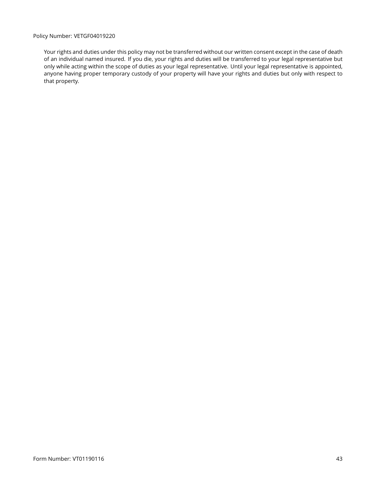Your rights and duties under this policy may not be transferred without our written consent except in the case of death of an individual named insured. If you die, your rights and duties will be transferred to your legal representative but only while acting within the scope of duties as your legal representative. Until your legal representative is appointed, anyone having proper temporary custody of your property will have your rights and duties but only with respect to that property.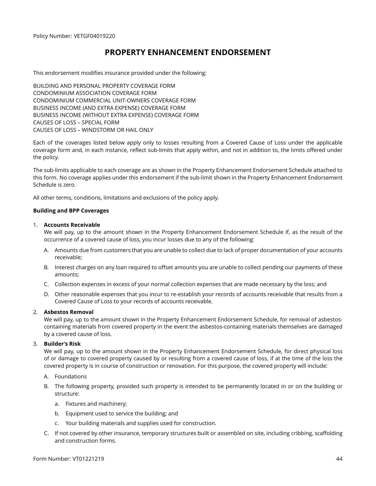## **PROPERTY ENHANCEMENT ENDORSEMENT**

This endorsement modifies insurance provided under the following:

BUILDING AND PERSONAL PROPERTY COVERAGE FORM CONDOMINIUM ASSOCIATION COVERAGE FORM CONDOMINIUM COMMERCIAL UNIT-OWNERS COVERAGE FORM BUSINESS INCOME (AND EXTRA EXPENSE) COVERAGE FORM BUSINESS INCOME (WITHOUT EXTRA EXPENSE) COVERAGE FORM CAUSES OF LOSS – SPECIAL FORM CAUSES OF LOSS – WINDSTORM OR HAIL ONLY

Each of the coverages listed below apply only to losses resulting from a Covered Cause of Loss under the applicable coverage form and, in each instance, reflect sub-limits that apply within, and not in addition to, the limits offered under the policy.

The sub-limits applicable to each coverage are as shown in the Property Enhancement Endorsement Schedule attached to this form. No coverage applies under this endorsement if the sub-limit shown in the Property Enhancement Endorsement Schedule is zero.

All other terms, conditions, limitations and exclusions of the policy apply.

## **Building and BPP Coverages**

## 1. **Accounts Receivable**

We will pay, up to the amount shown in the Property Enhancement Endorsement Schedule if, as the result of the occurrence of a covered cause of loss, you incur losses due to any of the following:

- A. Amounts due from customers that you are unable to collect due to lack of proper documentation of your accounts receivable;
- B. Interest charges on any loan required to offset amounts you are unable to collect pending our payments of these amounts;
- C. Collection expenses in excess of your normal collection expenses that are made necessary by the loss; and
- D. Other reasonable expenses that you incur to re-establish your records of accounts receivable that results from a Covered Cause of Loss to your records of accounts receivable.

## 2. **Asbestos Removal**

We will pay, up to the amount shown in the Property Enhancement Endorsement Schedule, for removal of asbestoscontaining materials from covered property in the event the asbestos-containing materials themselves are damaged by a covered cause of loss.

## 3. **Builder's Risk**

We will pay, up to the amount shown in the Property Enhancement Endorsement Schedule, for direct physical loss of or damage to covered property caused by or resulting from a covered cause of loss, if at the time of the loss the covered property is in course of construction or renovation. For this purpose, the covered property will include:

- A. Foundations
- B. The following property, provided such property is intended to be permanently located in or on the building or structure:
	- a. Fixtures and machinery;
	- b. Equipment used to service the building; and
	- c. Your building materials and supplies used for construction.
- C. If not covered by other insurance, temporary structures built or assembled on site, including cribbing, scaffolding and construction forms.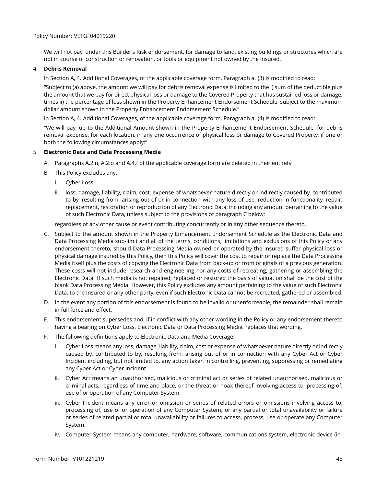We will not pay, under this Builder's Risk endorsement, for damage to land, existing buildings or structures which are not in course of construction or renovation, or tools or equipment not owned by the insured.

## 4. **Debris Removal**

In Section A, 4. Additional Coverages, of the applicable coverage form, Paragraph a. (3) is modified to read:

"Subject to (a) above, the amount we will pay for debris removal expense is limited to the i) sum of the deductible plus the amount that we pay for direct physical loss or damage to the Covered Property that has sustained loss or damage, times ii) the percentage of loss shown in the Property Enhancement Endorsement Schedule, subject to the maximum dollar amount shown in the Property Enhancement Endorsement Schedule."

In Section A, 4. Additional Coverages, of the applicable coverage form, Paragraph a. (4) is modified to read:

"We will pay, up to the Additional Amount shown in the Property Enhancement Endorsement Schedule, for debris removal expense, for each location, in any one occurrence of physical loss or damage to Covered Property, if one or both the following circumstances apply:"

## 5. **Electronic Data and Data Processing Media**

- A. Paragraphs A.2.n, A.2.o and A.4.f of the applicable coverage form are deleted in their entirety.
- B. This Policy excludes any:
	- i. Cyber Loss;
	- ii. loss, damage, liability, claim, cost, expense of whatsoever nature directly or indirectly caused by, contributed to by, resulting from, arising out of or in connection with any loss of use, reduction in functionality, repair, replacement, restoration or reproduction of any Electronic Data, including any amount pertaining to the value of such Electronic Data, unless subject to the provisions of paragraph C below;

regardless of any other cause or event contributing concurrently or in any other sequence thereto.

- C. Subject to the amount shown in the Property Enhancement Endorsement Schedule as the Electronic Data and Data Processing Media sub-limit and all of the terms, conditions, limitations and exclusions of this Policy or any endorsement thereto, should Data Processing Media owned or operated by the Insured suffer physical loss or physical damage insured by this Policy, then this Policy will cover the cost to repair or replace the Data Processing Media itself plus the costs of copying the Electronic Data from back-up or from originals of a previous generation. These costs will not include research and engineering nor any costs of recreating, gathering or assembling the Electronic Data. If such media is not repaired, replaced or restored the basis of valuation shall be the cost of the blank Data Processing Media. However, this Policy excludes any amount pertaining to the value of such Electronic Data, to the Insured or any other party, even if such Electronic Data cannot be recreated, gathered or assembled.
- D. In the event any portion of this endorsement is found to be invalid or unenforceable, the remainder shall remain in full force and effect.
- E. This endorsement supersedes and, if in conflict with any other wording in the Policy or any endorsement thereto having a bearing on Cyber Loss, Electronic Data or Data Processing Media, replaces that wording.
- F. The following definitions apply to Electronic Data and Media Coverage:
	- i. Cyber Loss means any loss, damage, liability, claim, cost or expense of whatsoever nature directly or indirectly caused by, contributed to by, resulting from, arising out of or in connection with any Cyber Act or Cyber Incident including, but not limited to, any action taken in controlling, preventing, suppressing or remediating any Cyber Act or Cyber Incident.
	- ii. Cyber Act means an unauthorised, malicious or criminal act or series of related unauthorised, malicious or criminal acts, regardless of time and place, or the threat or hoax thereof involving access to, processing of, use of or operation of any Computer System.
	- iii. Cyber Incident means any error or omission or series of related errors or omissions involving access to, processing of, use of or operation of any Computer System; or any partial or total unavailability or failure or series of related partial or total unavailability or failures to access, process, use or operate any Computer System.
	- iv. Computer System means any computer, hardware, software, communications system, electronic device (in-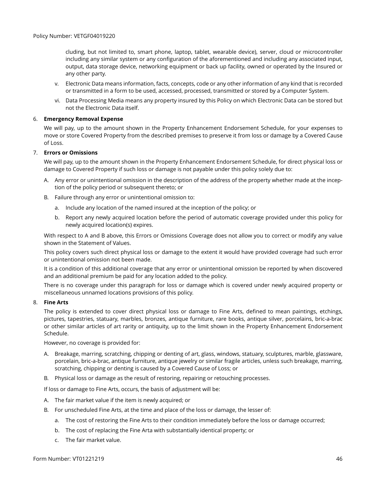cluding, but not limited to, smart phone, laptop, tablet, wearable device), server, cloud or microcontroller including any similar system or any configuration of the aforementioned and including any associated input, output, data storage device, networking equipment or back up facility, owned or operated by the Insured or any other party.

- v. Electronic Data means information, facts, concepts, code or any other information of any kind that is recorded or transmitted in a form to be used, accessed, processed, transmitted or stored by a Computer System.
- vi. Data Processing Media means any property insured by this Policy on which Electronic Data can be stored but not the Electronic Data itself.

## 6. **Emergency Removal Expense**

We will pay, up to the amount shown in the Property Enhancement Endorsement Schedule, for your expenses to move or store Covered Property from the described premises to preserve it from loss or damage by a Covered Cause of Loss.

## 7. **Errors or Omissions**

We will pay, up to the amount shown in the Property Enhancement Endorsement Schedule, for direct physical loss or damage to Covered Property if such loss or damage is not payable under this policy solely due to:

- A. Any error or unintentional omission in the description of the address of the property whether made at the inception of the policy period or subsequent thereto; or
- B. Failure through any error or unintentional omission to:
	- a. Include any location of the named insured at the inception of the policy; or
	- b. Report any newly acquired location before the period of automatic coverage provided under this policy for newly acquired location(s) expires.

With respect to A and B above, this Errors or Omissions Coverage does not allow you to correct or modify any value shown in the Statement of Values.

This policy covers such direct physical loss or damage to the extent it would have provided coverage had such error or unintentional omission not been made.

It is a condition of this additional coverage that any error or unintentional omission be reported by when discovered and an additional premium be paid for any location added to the policy.

There is no coverage under this paragraph for loss or damage which is covered under newly acquired property or miscellaneous unnamed locations provisions of this policy.

#### 8. **Fine Arts**

The policy is extended to cover direct physical loss or damage to Fine Arts, defined to mean paintings, etchings, pictures, tapestries, statuary, marbles, bronzes, antique furniture, rare books, antique silver, porcelains, bric-a-brac or other similar articles of art rarity or antiquity, up to the limit shown in the Property Enhancement Endorsement Schedule.

However, no coverage is provided for:

- A. Breakage, marring, scratching, chipping or denting of art, glass, windows, statuary, sculptures, marble, glassware, porcelain, bric-a-brac, antique furniture, antique jewelry or similar fragile articles, unless such breakage, marring, scratching, chipping or denting is caused by a Covered Cause of Loss; or
- B. Physical loss or damage as the result of restoring, repairing or retouching processes.

If loss or damage to Fine Arts, occurs, the basis of adjustment will be:

- A. The fair market value if the item is newly acquired; or
- B. For unscheduled Fine Arts, at the time and place of the loss or damage, the lesser of:
	- a. The cost of restoring the Fine Arts to their condition immediately before the loss or damage occurred;
	- b. The cost of replacing the Fine Arta with substantially identical property; or
	- c. The fair market value.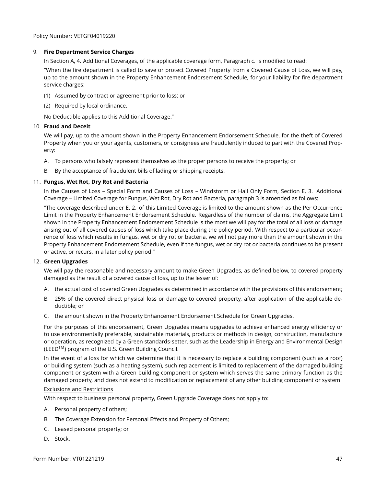## 9. **Fire Department Service Charges**

In Section A, 4. Additional Coverages, of the applicable coverage form, Paragraph c. is modified to read:

"When the fire department is called to save or protect Covered Property from a Covered Cause of Loss, we will pay, up to the amount shown in the Property Enhancement Endorsement Schedule, for your liability for fire department service charges:

- (1) Assumed by contract or agreement prior to loss; or
- (2) Required by local ordinance.

No Deductible applies to this Additional Coverage."

## 10. **Fraud and Deceit**

We will pay, up to the amount shown in the Property Enhancement Endorsement Schedule, for the theft of Covered Property when you or your agents, customers, or consignees are fraudulently induced to part with the Covered Property:

- A. To persons who falsely represent themselves as the proper persons to receive the property; or
- B. By the acceptance of fraudulent bills of lading or shipping receipts.

## 11. **Fungus, Wet Rot, Dry Rot and Bacteria**

In the Causes of Loss – Special Form and Causes of Loss – Windstorm or Hail Only Form, Section E. 3. Additional Coverage – Limited Coverage for Fungus, Wet Rot, Dry Rot and Bacteria, paragraph 3 is amended as follows:

"The coverage described under E. 2. of this Limited Coverage is limited to the amount shown as the Per Occurrence Limit in the Property Enhancement Endorsement Schedule. Regardless of the number of claims, the Aggregate Limit shown in the Property Enhancement Endorsement Schedule is the most we will pay for the total of all loss or damage arising out of all covered causes of loss which take place during the policy period. With respect to a particular occurrence of loss which results in fungus, wet or dry rot or bacteria, we will not pay more than the amount shown in the Property Enhancement Endorsement Schedule, even if the fungus, wet or dry rot or bacteria continues to be present or active, or recurs, in a later policy period."

#### 12. **Green Upgrades**

We will pay the reasonable and necessary amount to make Green Upgrades, as defined below, to covered property damaged as the result of a covered cause of loss, up to the lesser of:

- A. the actual cost of covered Green Upgrades as determined in accordance with the provisions of this endorsement;
- B. 25% of the covered direct physical loss or damage to covered property, after application of the applicable deductible; or
- C. the amount shown in the Property Enhancement Endorsement Schedule for Green Upgrades.

For the purposes of this endorsement, Green Upgrades means upgrades to achieve enhanced energy efficiency or to use environmentally preferable, sustainable materials, products or methods in design, construction, manufacture or operation, as recognized by a Green standards-setter, such as the Leadership in Energy and Environmental Design (LEED<sup>TM</sup>) program of the U.S. Green Building Council.

In the event of a loss for which we determine that it is necessary to replace a building component (such as a roof) or building system (such as a heating system), such replacement is limited to replacement of the damaged building component or system with a Green building component or system which serves the same primary function as the damaged property, and does not extend to modification or replacement of any other building component or system.

#### Exclusions and Restrictions

With respect to business personal property, Green Upgrade Coverage does not apply to:

- A. Personal property of others;
- B. The Coverage Extension for Personal Effects and Property of Others;
- C. Leased personal property; or
- D. Stock.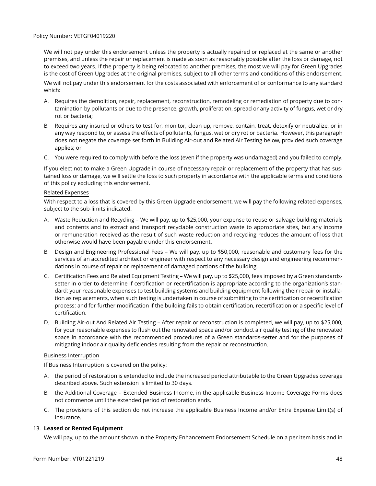We will not pay under this endorsement unless the property is actually repaired or replaced at the same or another premises, and unless the repair or replacement is made as soon as reasonably possible after the loss or damage, not to exceed two years. If the property is being relocated to another premises, the most we will pay for Green Upgrades is the cost of Green Upgrades at the original premises, subject to all other terms and conditions of this endorsement.

We will not pay under this endorsement for the costs associated with enforcement of or conformance to any standard which:

- A. Requires the demolition, repair, replacement, reconstruction, remodeling or remediation of property due to contamination by pollutants or due to the presence, growth, proliferation, spread or any activity of fungus, wet or dry rot or bacteria;
- B. Requires any insured or others to test for, monitor, clean up, remove, contain, treat, detoxify or neutralize, or in any way respond to, or assess the effects of pollutants, fungus, wet or dry rot or bacteria. However, this paragraph does not negate the coverage set forth in Building Air-out and Related Air Testing below, provided such coverage applies; or
- C. You were required to comply with before the loss (even if the property was undamaged) and you failed to comply.

If you elect not to make a Green Upgrade in course of necessary repair or replacement of the property that has sustained loss or damage, we will settle the loss to such property in accordance with the applicable terms and conditions of this policy excluding this endorsement.

## Related Expenses

With respect to a loss that is covered by this Green Upgrade endorsement, we will pay the following related expenses, subject to the sub-limits indicated:

- A. Waste Reduction and Recycling We will pay, up to \$25,000, your expense to reuse or salvage building materials and contents and to extract and transport recyclable construction waste to appropriate sites, but any income or remuneration received as the result of such waste reduction and recycling reduces the amount of loss that otherwise would have been payable under this endorsement.
- B. Design and Engineering Professional Fees We will pay, up to \$50,000, reasonable and customary fees for the services of an accredited architect or engineer with respect to any necessary design and engineering recommendations in course of repair or replacement of damaged portions of the building.
- C. Certification Fees and Related Equipment Testing We will pay, up to \$25,000, fees imposed by a Green standardssetter in order to determine if certification or recertification is appropriate according to the organization's standard; your reasonable expenses to test building systems and building equipment following their repair or installation as replacements, when such testing is undertaken in course of submitting to the certification or recertification process; and for further modification if the building fails to obtain certification, recertification or a specific level of certification.
- D. Building Air-out And Related Air Testing After repair or reconstruction is completed, we will pay, up to \$25,000, for your reasonable expenses to flush out the renovated space and/or conduct air quality testing of the renovated space in accordance with the recommended procedures of a Green standards-setter and for the purposes of mitigating indoor air quality deficiencies resulting from the repair or reconstruction.

## Business Interruption

If Business Interruption is covered on the policy:

- A. the period of restoration is extended to include the increased period attributable to the Green Upgrades coverage described above. Such extension is limited to 30 days.
- B. the Additional Coverage Extended Business Income, in the applicable Business Income Coverage Forms does not commence until the extended period of restoration ends.
- C. The provisions of this section do not increase the applicable Business Income and/or Extra Expense Limit(s) of Insurance.

## 13. **Leased or Rented Equipment**

We will pay, up to the amount shown in the Property Enhancement Endorsement Schedule on a per item basis and in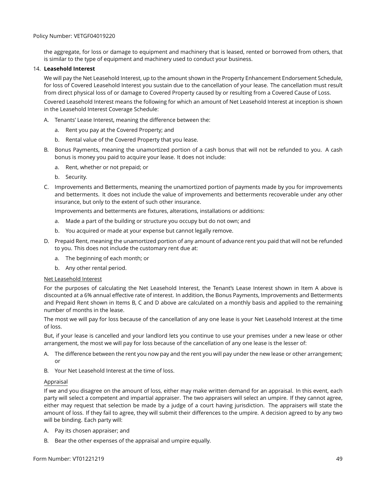the aggregate, for loss or damage to equipment and machinery that is leased, rented or borrowed from others, that is similar to the type of equipment and machinery used to conduct your business.

## 14. **Leasehold Interest**

We will pay the Net Leasehold Interest, up to the amount shown in the Property Enhancement Endorsement Schedule, for loss of Covered Leasehold Interest you sustain due to the cancellation of your lease. The cancellation must result from direct physical loss of or damage to Covered Property caused by or resulting from a Covered Cause of Loss.

Covered Leasehold Interest means the following for which an amount of Net Leasehold Interest at inception is shown in the Leasehold Interest Coverage Schedule:

- A. Tenants' Lease Interest, meaning the difference between the:
	- a. Rent you pay at the Covered Property; and
	- b. Rental value of the Covered Property that you lease.
- B. Bonus Payments, meaning the unamortized portion of a cash bonus that will not be refunded to you. A cash bonus is money you paid to acquire your lease. It does not include:
	- a. Rent, whether or not prepaid; or
	- b. Security.
- C. Improvements and Betterments, meaning the unamortized portion of payments made by you for improvements and betterments. It does not include the value of improvements and betterments recoverable under any other insurance, but only to the extent of such other insurance.

Improvements and betterments are fixtures, alterations, installations or additions:

- a. Made a part of the building or structure you occupy but do not own; and
- b. You acquired or made at your expense but cannot legally remove.
- D. Prepaid Rent, meaning the unamortized portion of any amount of advance rent you paid that will not be refunded to you. This does not include the customary rent due at:
	- a. The beginning of each month; or
	- b. Any other rental period.

#### Net Leasehold Interest

For the purposes of calculating the Net Leasehold Interest, the Tenant's Lease Interest shown in Item A above is discounted at a 6% annual effective rate of interest. In addition, the Bonus Payments, Improvements and Betterments and Prepaid Rent shown in Items B, C and D above are calculated on a monthly basis and applied to the remaining number of months in the lease.

The most we will pay for loss because of the cancellation of any one lease is your Net Leasehold Interest at the time of loss.

But, if your lease is cancelled and your landlord lets you continue to use your premises under a new lease or other arrangement, the most we will pay for loss because of the cancellation of any one lease is the lesser of:

- A. The difference between the rent you now pay and the rent you will pay under the new lease or other arrangement; or
- B. Your Net Leasehold Interest at the time of loss.

#### Appraisal

If we and you disagree on the amount of loss, either may make written demand for an appraisal. In this event, each party will select a competent and impartial appraiser. The two appraisers will select an umpire. If they cannot agree, either may request that selection be made by a judge of a court having jurisdiction. The appraisers will state the amount of loss. If they fail to agree, they will submit their differences to the umpire. A decision agreed to by any two will be binding. Each party will:

- A. Pay its chosen appraiser; and
- B. Bear the other expenses of the appraisal and umpire equally.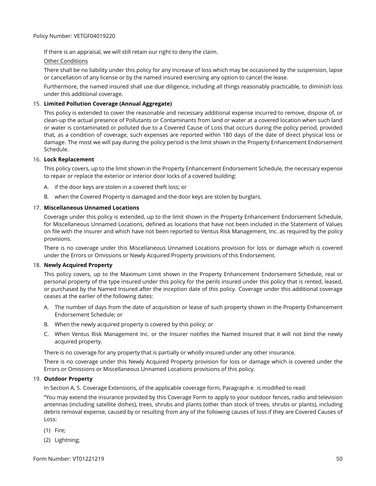If there is an appraisal, we will still retain our right to deny the claim.

#### Other Conditions

There shall be no liability under this policy for any increase of loss which may be occasioned by the suspension, lapse or cancellation of any license or by the named insured exercising any option to cancel the lease.

Furthermore, the named insured shall use due diligence, including all things reasonably practicable, to diminish loss under this additional coverage.

## 15. **Limited Pollution Coverage (Annual Aggregate)**

This policy is extended to cover the reasonable and necessary additional expense incurred to remove, dispose of, or clean-up the actual presence of Pollutants or Contaminants from land or water at a covered location when such land or water is contaminated or polluted due to a Covered Cause of Loss that occurs during the policy period, provided that, as a condition of coverage, such expenses are reported within 180 days of the date of direct physical loss or damage. The most we will pay during the policy period is the limit shown in the Property Enhancement Endorsement Schedule.

## 16. **Lock Replacement**

This policy covers, up to the limit shown in the Property Enhancement Endorsement Schedule, the necessary expense to repair or replace the exterior or interior door locks of a covered building:

- A. if the door keys are stolen in a covered theft loss; or
- B. when the Covered Property is damaged and the door keys are stolen by burglars.

## 17. **Miscellaneous Unnamed Locations**

Coverage under this policy is extended, up to the limit shown in the Property Enhancement Endorsement Schedule, for Miscellaneous Unnamed Locations, defined as locations that have not been included in the Statement of Values on file with the Insurer and which have not been reported to Ventus Risk Management, Inc. as required by the policy provisions.

There is no coverage under this Miscellaneous Unnamed Locations provision for loss or damage which is covered under the Errors or Omissions or Newly Acquired Property provisions of this Endorsement.

#### 18. **Newly Acquired Property**

This policy covers, up to the Maximum Limit shown in the Property Enhancement Endorsement Schedule, real or personal property of the type insured under this policy for the perils insured under this policy that is rented, leased, or purchased by the Named Insured after the inception date of this policy. Coverage under this additional coverage ceases at the earlier of the following dates:

- A. The number of days from the date of acquisition or lease of such property shown in the Property Enhancement Endorsement Schedule; or
- B. When the newly acquired property is covered by this policy; or
- C. When Ventus Risk Management Inc. or the Insurer notifies the Named Insured that it will not bind the newly acquired property.

There is no coverage for any property that is partially or wholly insured under any other insurance.

There is no coverage under this Newly Acquired Property provision for loss or damage which is covered under the Errors or Omissions or Miscellaneous Unnamed Locations provisions of this policy.

#### 19. **Outdoor Property**

In Section A, 5. Coverage Extensions, of the applicable coverage form, Paragraph e. is modified to read:

"You may extend the insurance provided by this Coverage Form to apply to your outdoor fences, radio and television antennas (including satellite dishes), trees, shrubs and plants (other than stock of trees, shrubs or plants), including debris removal expense, caused by or resulting from any of the following causes of loss if they are Covered Causes of Loss:

- (1) Fire;
- (2) Lightning;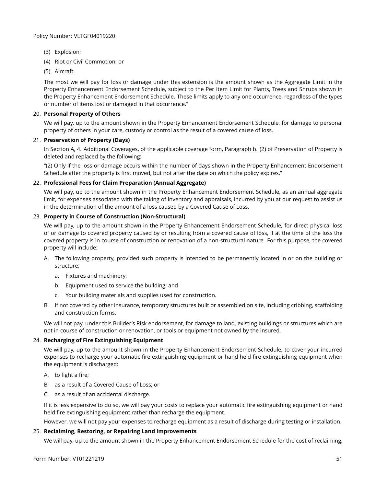- (3) Explosion;
- (4) Riot or Civil Commotion; or
- (5) Aircraft.

The most we will pay for loss or damage under this extension is the amount shown as the Aggregate Limit in the Property Enhancement Endorsement Schedule, subject to the Per Item Limit for Plants, Trees and Shrubs shown in the Property Enhancement Endorsement Schedule. These limits apply to any one occurrence, regardless of the types or number of items lost or damaged in that occurrence."

## 20. **Personal Property of Others**

We will pay, up to the amount shown in the Property Enhancement Endorsement Schedule, for damage to personal property of others in your care, custody or control as the result of a covered cause of loss.

## 21. **Preservation of Property (Days)**

In Section A, 4. Additional Coverages, of the applicable coverage form, Paragraph b. (2) of Preservation of Property is deleted and replaced by the following:

"(2) Only if the loss or damage occurs within the number of days shown in the Property Enhancement Endorsement Schedule after the property is first moved, but not after the date on which the policy expires."

## 22. **Professional Fees for Claim Preparation (Annual Aggregate)**

We will pay, up to the amount shown in the Property Enhancement Endorsement Schedule, as an annual aggregate limit, for expenses associated with the taking of inventory and appraisals, incurred by you at our request to assist us in the determination of the amount of a loss caused by a Covered Cause of Loss.

## 23. **Property in Course of Construction (Non-Structural)**

We will pay, up to the amount shown in the Property Enhancement Endorsement Schedule, for direct physical loss of or damage to covered property caused by or resulting from a covered cause of loss, if at the time of the loss the covered property is in course of construction or renovation of a non-structural nature. For this purpose, the covered property will include:

- A. The following property, provided such property is intended to be permanently located in or on the building or structure:
	- a. Fixtures and machinery;
	- b. Equipment used to service the building; and
	- c. Your building materials and supplies used for construction.
- B. If not covered by other insurance, temporary structures built or assembled on site, including cribbing, scaffolding and construction forms.

We will not pay, under this Builder's Risk endorsement, for damage to land, existing buildings or structures which are not in course of construction or renovation, or tools or equipment not owned by the insured.

#### 24. **Recharging of Fire Extinguishing Equipment**

We will pay, up to the amount shown in the Property Enhancement Endorsement Schedule, to cover your incurred expenses to recharge your automatic fire extinguishing equipment or hand held fire extinguishing equipment when the equipment is discharged:

- A. to fight a fire;
- B. as a result of a Covered Cause of Loss; or
- C. as a result of an accidental discharge.

If it is less expensive to do so, we will pay your costs to replace your automatic fire extinguishing equipment or hand held fire extinguishing equipment rather than recharge the equipment.

However, we will not pay your expenses to recharge equipment as a result of discharge during testing or installation.

#### 25. **Reclaiming, Restoring, or Repairing Land Improvements**

We will pay, up to the amount shown in the Property Enhancement Endorsement Schedule for the cost of reclaiming,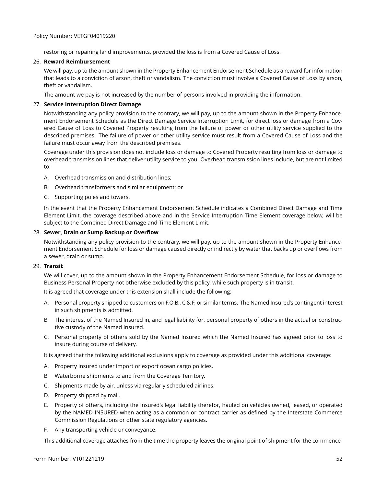restoring or repairing land improvements, provided the loss is from a Covered Cause of Loss.

## 26. **Reward Reimbursement**

We will pay, up to the amount shown in the Property Enhancement Endorsement Schedule as a reward for information that leads to a conviction of arson, theft or vandalism. The conviction must involve a Covered Cause of Loss by arson, theft or vandalism.

The amount we pay is not increased by the number of persons involved in providing the information.

## 27. **Service Interruption Direct Damage**

Notwithstanding any policy provision to the contrary, we will pay, up to the amount shown in the Property Enhancement Endorsement Schedule as the Direct Damage Service Interruption Limit, for direct loss or damage from a Covered Cause of Loss to Covered Property resulting from the failure of power or other utility service supplied to the described premises. The failure of power or other utility service must result from a Covered Cause of Loss and the failure must occur away from the described premises.

Coverage under this provision does not include loss or damage to Covered Property resulting from loss or damage to overhead transmission lines that deliver utility service to you. Overhead transmission lines include, but are not limited to:

- A. Overhead transmission and distribution lines;
- B. Overhead transformers and similar equipment; or
- C. Supporting poles and towers.

In the event that the Property Enhancement Endorsement Schedule indicates a Combined Direct Damage and Time Element Limit, the coverage described above and in the Service Interruption Time Element coverage below, will be subject to the Combined Direct Damage and Time Element Limit.

## 28. **Sewer, Drain or Sump Backup or Overflow**

Notwithstanding any policy provision to the contrary, we will pay, up to the amount shown in the Property Enhancement Endorsement Schedule for loss or damage caused directly or indirectly by water that backs up or overflows from a sewer, drain or sump.

## 29. **Transit**

We will cover, up to the amount shown in the Property Enhancement Endorsement Schedule, for loss or damage to Business Personal Property not otherwise excluded by this policy, while such property is in transit.

It is agreed that coverage under this extension shall include the following:

- A. Personal property shipped to customers on F.O.B., C & F, or similar terms. The Named Insured's contingent interest in such shipments is admitted.
- B. The interest of the Named Insured in, and legal liability for, personal property of others in the actual or constructive custody of the Named Insured.
- C. Personal property of others sold by the Named Insured which the Named Insured has agreed prior to loss to insure during course of delivery.

It is agreed that the following additional exclusions apply to coverage as provided under this additional coverage:

- A. Property insured under import or export ocean cargo policies.
- B. Waterborne shipments to and from the Coverage Territory.
- C. Shipments made by air, unless via regularly scheduled airlines.
- D. Property shipped by mail.
- E. Property of others, including the Insured's legal liability therefor, hauled on vehicles owned, leased, or operated by the NAMED INSURED when acting as a common or contract carrier as defined by the Interstate Commerce Commission Regulations or other state regulatory agencies.
- F. Any transporting vehicle or conveyance.

This additional coverage attaches from the time the property leaves the original point of shipment for the commence-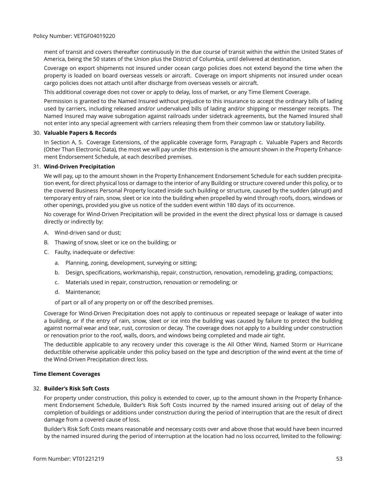ment of transit and covers thereafter continuously in the due course of transit within the within the United States of America, being the 50 states of the Union plus the District of Columbia, until delivered at destination.

Coverage on export shipments not insured under ocean cargo policies does not extend beyond the time when the property is loaded on board overseas vessels or aircraft. Coverage on import shipments not insured under ocean cargo policies does not attach until after discharge from overseas vessels or aircraft.

This additional coverage does not cover or apply to delay, loss of market, or any Time Element Coverage.

Permission is granted to the Named Insured without prejudice to this insurance to accept the ordinary bills of lading used by carriers, including released and/or undervalued bills of lading and/or shipping or messenger receipts. The Named Insured may waive subrogation against railroads under sidetrack agreements, but the Named Insured shall not enter into any special agreement with carriers releasing them from their common law or statutory liability.

## 30. **Valuable Papers & Records**

In Section A, 5. Coverage Extensions, of the applicable coverage form, Paragraph c. Valuable Papers and Records (Other Than Electronic Data), the most we will pay under this extension is the amount shown in the Property Enhancement Endorsement Schedule, at each described premises.

## 31. **Wind-Driven Precipitation**

We will pay, up to the amount shown in the Property Enhancement Endorsement Schedule for each sudden precipitation event, for direct physical loss or damage to the interior of any Building or structure covered under this policy, or to the covered Business Personal Property located inside such building or structure, caused by the sudden (abrupt) and temporary entry of rain, snow, sleet or ice into the building when propelled by wind through roofs, doors, windows or other openings, provided you give us notice of the sudden event within 180 days of its occurrence.

No coverage for Wind-Driven Precipitation will be provided in the event the direct physical loss or damage is caused directly or indirectly by:

- A. Wind-driven sand or dust;
- B. Thawing of snow, sleet or ice on the building; or
- C. Faulty, inadequate or defective:
	- a. Planning, zoning, development, surveying or sitting;
	- b. Design, specifications, workmanship, repair, construction, renovation, remodeling, grading, compactions;
	- c. Materials used in repair, construction, renovation or remodeling; or
	- d. Maintenance;

of part or all of any property on or off the described premises.

Coverage for Wind-Driven Precipitation does not apply to continuous or repeated seepage or leakage of water into a building, or if the entry of rain, snow, sleet or ice into the building was caused by failure to protect the building against normal wear and tear, rust, corrosion or decay. The coverage does not apply to a building under construction or renovation prior to the roof, walls, doors, and windows being completed and made air tight.

The deductible applicable to any recovery under this coverage is the All Other Wind, Named Storm or Hurricane deductible otherwise applicable under this policy based on the type and description of the wind event at the time of the Wind-Driven Precipitation direct loss.

## **Time Element Coverages**

#### 32. **Builder's Risk Soft Costs**

For property under construction, this policy is extended to cover, up to the amount shown in the Property Enhancement Endorsement Schedule, Builder's Risk Soft Costs incurred by the named insured arising out of delay of the completion of buildings or additions under construction during the period of interruption that are the result of direct damage from a covered cause of loss.

Builder's Risk Soft Costs means reasonable and necessary costs over and above those that would have been incurred by the named insured during the period of interruption at the location had no loss occurred, limited to the following: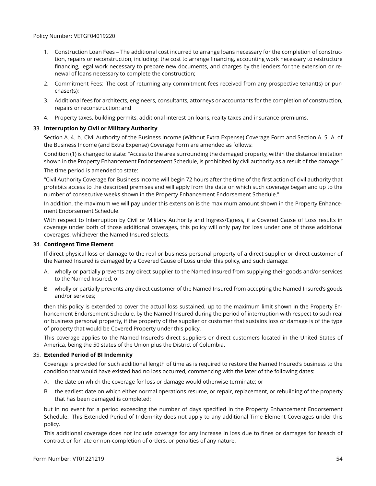- 1. Construction Loan Fees The additional cost incurred to arrange loans necessary for the completion of construction, repairs or reconstruction, including: the cost to arrange financing, accounting work necessary to restructure financing, legal work necessary to prepare new documents, and charges by the lenders for the extension or renewal of loans necessary to complete the construction;
- 2. Commitment Fees: The cost of returning any commitment fees received from any prospective tenant(s) or purchaser(s);
- 3. Additional fees for architects, engineers, consultants, attorneys or accountants for the completion of construction, repairs or reconstruction; and
- 4. Property taxes, building permits, additional interest on loans, realty taxes and insurance premiums.

## 33. **Interruption by Civil or Military Authority**

Section A. 4. b. Civil Authority of the Business Income (Without Extra Expense) Coverage Form and Section A. 5. A. of the Business Income (and Extra Expense) Coverage Form are amended as follows:

Condition (1) is changed to state: "Access to the area surrounding the damaged property, within the distance limitation shown in the Property Enhancement Endorsement Schedule, is prohibited by civil authority as a result of the damage."

The time period is amended to state:

"Civil Authority Coverage for Business Income will begin 72 hours after the time of the first action of civil authority that prohibits access to the described premises and will apply from the date on which such coverage began and up to the number of consecutive weeks shown in the Property Enhancement Endorsement Schedule."

In addition, the maximum we will pay under this extension is the maximum amount shown in the Property Enhancement Endorsement Schedule.

With respect to Interruption by Civil or Military Authority and Ingress/Egress, if a Covered Cause of Loss results in coverage under both of those additional coverages, this policy will only pay for loss under one of those additional coverages, whichever the Named Insured selects.

## 34. **Contingent Time Element**

If direct physical loss or damage to the real or business personal property of a direct supplier or direct customer of the Named Insured is damaged by a Covered Cause of Loss under this policy, and such damage:

- A. wholly or partially prevents any direct supplier to the Named Insured from supplying their goods and/or services to the Named Insured; or
- B. wholly or partially prevents any direct customer of the Named Insured from accepting the Named Insured's goods and/or services;

then this policy is extended to cover the actual loss sustained, up to the maximum limit shown in the Property Enhancement Endorsement Schedule, by the Named Insured during the period of interruption with respect to such real or business personal property, if the property of the supplier or customer that sustains loss or damage is of the type of property that would be Covered Property under this policy.

This coverage applies to the Named Insured's direct suppliers or direct customers located in the United States of America, being the 50 states of the Union plus the District of Columbia.

## 35. **Extended Period of BI Indemnity**

Coverage is provided for such additional length of time as is required to restore the Named Insured's business to the condition that would have existed had no loss occurred, commencing with the later of the following dates:

- A. the date on which the coverage for loss or damage would otherwise terminate; or
- B. the earliest date on which either normal operations resume, or repair, replacement, or rebuilding of the property that has been damaged is completed;

but in no event for a period exceeding the number of days specified in the Property Enhancement Endorsement Schedule. This Extended Period of Indemnity does not apply to any additional Time Element Coverages under this policy.

This additional coverage does not include coverage for any increase in loss due to fines or damages for breach of contract or for late or non-completion of orders, or penalties of any nature.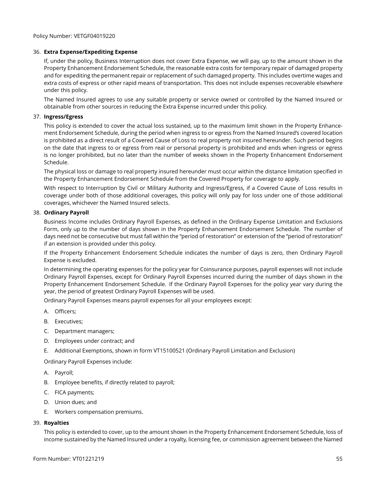#### 36. **Extra Expense/Expediting Expense**

If, under the policy, Business Interruption does not cover Extra Expense, we will pay, up to the amount shown in the Property Enhancement Endorsement Schedule, the reasonable extra costs for temporary repair of damaged property and for expediting the permanent repair or replacement of such damaged property. This includes overtime wages and extra costs of express or other rapid means of transportation. This does not include expenses recoverable elsewhere under this policy.

The Named Insured agrees to use any suitable property or service owned or controlled by the Named Insured or obtainable from other sources in reducing the Extra Expense incurred under this policy.

## 37. **Ingress/Egress**

This policy is extended to cover the actual loss sustained, up to the maximum limit shown in the Property Enhancement Endorsement Schedule, during the period when ingress to or egress from the Named Insured's covered location is prohibited as a direct result of a Covered Cause of Loss to real property not insured hereunder. Such period begins on the date that ingress to or egress from real or personal property is prohibited and ends when ingress or egress is no longer prohibited, but no later than the number of weeks shown in the Property Enhancement Endorsement Schedule.

The physical loss or damage to real property insured hereunder must occur within the distance limitation specified in the Property Enhancement Endorsement Schedule from the Covered Property for coverage to apply.

With respect to Interruption by Civil or Military Authority and Ingress/Egress, if a Covered Cause of Loss results in coverage under both of those additional coverages, this policy will only pay for loss under one of those additional coverages, whichever the Named Insured selects.

## 38. **Ordinary Payroll**

Business Income includes Ordinary Payroll Expenses, as defined in the Ordinary Expense Limitation and Exclusions Form, only up to the number of days shown in the Property Enhancement Endorsement Schedule. The number of days need not be consecutive but must fall within the "period of restoration" or extension of the "period of restoration" if an extension is provided under this policy.

If the Property Enhancement Endorsement Schedule indicates the number of days is zero, then Ordinary Payroll Expense is excluded.

In determining the operating expenses for the policy year for Coinsurance purposes, payroll expenses will not include Ordinary Payroll Expenses, except for Ordinary Payroll Expenses incurred during the number of days shown in the Property Enhancement Endorsement Schedule. If the Ordinary Payroll Expenses for the policy year vary during the year, the period of greatest Ordinary Payroll Expenses will be used.

Ordinary Payroll Expenses means payroll expenses for all your employees except:

- A. Officers;
- B. Executives;
- C. Department managers;
- D. Employees under contract; and
- E. Additional Exemptions, shown in form VT15100521 (Ordinary Payroll Limitation and Exclusion)

Ordinary Payroll Expenses include:

- A. Payroll;
- B. Employee benefits, if directly related to payroll;
- C. FICA payments;
- D. Union dues; and
- E. Workers compensation premiums.

#### 39. **Royalties**

This policy is extended to cover, up to the amount shown in the Property Enhancement Endorsement Schedule, loss of income sustained by the Named Insured under a royalty, licensing fee, or commission agreement between the Named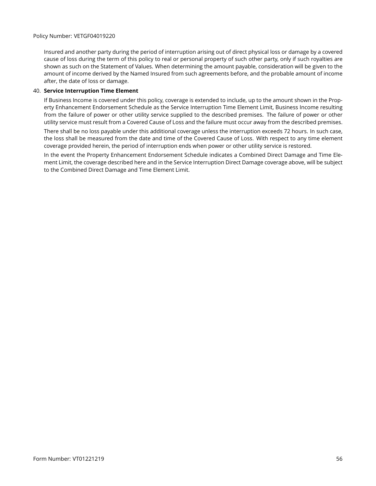Insured and another party during the period of interruption arising out of direct physical loss or damage by a covered cause of loss during the term of this policy to real or personal property of such other party, only if such royalties are shown as such on the Statement of Values. When determining the amount payable, consideration will be given to the amount of income derived by the Named Insured from such agreements before, and the probable amount of income after, the date of loss or damage.

## 40. **Service Interruption Time Element**

If Business Income is covered under this policy, coverage is extended to include, up to the amount shown in the Property Enhancement Endorsement Schedule as the Service Interruption Time Element Limit, Business Income resulting from the failure of power or other utility service supplied to the described premises. The failure of power or other utility service must result from a Covered Cause of Loss and the failure must occur away from the described premises.

There shall be no loss payable under this additional coverage unless the interruption exceeds 72 hours. In such case, the loss shall be measured from the date and time of the Covered Cause of Loss. With respect to any time element coverage provided herein, the period of interruption ends when power or other utility service is restored.

In the event the Property Enhancement Endorsement Schedule indicates a Combined Direct Damage and Time Element Limit, the coverage described here and in the Service Interruption Direct Damage coverage above, will be subject to the Combined Direct Damage and Time Element Limit.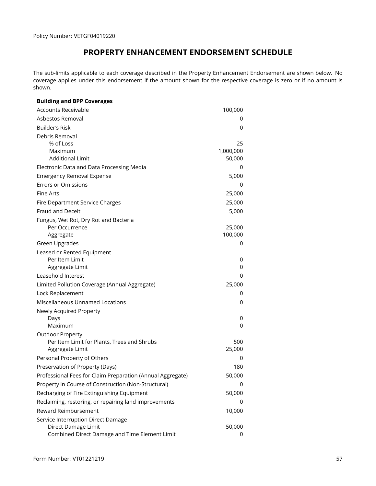# **PROPERTY ENHANCEMENT ENDORSEMENT SCHEDULE**

The sub-limits applicable to each coverage described in the Property Enhancement Endorsement are shown below. No coverage applies under this endorsement if the amount shown for the respective coverage is zero or if no amount is shown.

| <b>Building and BPP Coverages</b>                          |           |
|------------------------------------------------------------|-----------|
| <b>Accounts Receivable</b>                                 | 100,000   |
| Asbestos Removal                                           | 0         |
| <b>Builder's Risk</b>                                      | 0         |
| Debris Removal                                             |           |
| % of Loss                                                  | 25        |
| Maximum<br><b>Additional Limit</b>                         | 1,000,000 |
|                                                            | 50,000    |
| Electronic Data and Data Processing Media                  | 0         |
| <b>Emergency Removal Expense</b>                           | 5,000     |
| <b>Errors or Omissions</b>                                 | 0         |
| Fine Arts                                                  | 25,000    |
| Fire Department Service Charges                            | 25,000    |
| <b>Fraud and Deceit</b>                                    | 5,000     |
| Fungus, Wet Rot, Dry Rot and Bacteria                      |           |
| Per Occurrence                                             | 25,000    |
| Aggregate                                                  | 100,000   |
| <b>Green Upgrades</b>                                      | 0         |
| Leased or Rented Equipment                                 |           |
| Per Item Limit<br>Aggregate Limit                          | 0<br>0    |
| Leasehold Interest                                         | 0         |
|                                                            | 25,000    |
| Limited Pollution Coverage (Annual Aggregate)              | 0         |
| Lock Replacement<br><b>Miscellaneous Unnamed Locations</b> |           |
|                                                            | 0         |
| Newly Acquired Property<br>Days                            | 0         |
| Maximum                                                    | 0         |
| <b>Outdoor Property</b>                                    |           |
| Per Item Limit for Plants, Trees and Shrubs                | 500       |
| Aggregate Limit                                            | 25,000    |
| Personal Property of Others                                | 0         |
| Preservation of Property (Days)                            | 180       |
| Professional Fees for Claim Preparation (Annual Aggregate) | 50,000    |
| Property in Course of Construction (Non-Structural)        | 0         |
| Recharging of Fire Extinguishing Equipment                 | 50,000    |
| Reclaiming, restoring, or repairing land improvements      | 0         |
| Reward Reimbursement                                       | 10,000    |
| Service Interruption Direct Damage                         |           |
| Direct Damage Limit                                        | 50,000    |
| Combined Direct Damage and Time Element Limit              | 0         |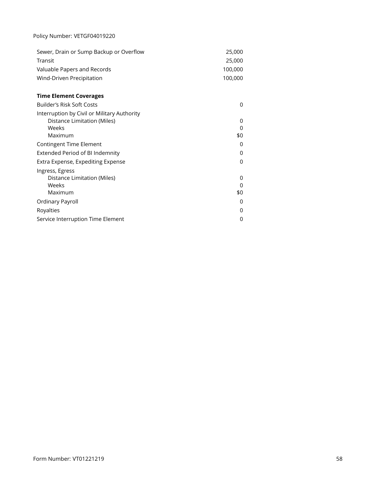| Sewer, Drain or Sump Backup or Overflow | 25,000  |
|-----------------------------------------|---------|
| Transit                                 | 25.000  |
| Valuable Papers and Records             | 100.000 |
| Wind-Driven Precipitation               | 100,000 |

## **Time Element Coverages**

| Builder's Risk Soft Costs                   | 0            |
|---------------------------------------------|--------------|
| Interruption by Civil or Military Authority |              |
| Distance Limitation (Miles)                 | O            |
| Weeks                                       | 0            |
| Maximum                                     | \$0          |
| Contingent Time Element                     | 0            |
| Extended Period of BI Indemnity             | 0            |
| Extra Expense, Expediting Expense           | 0            |
| Ingress, Egress                             |              |
| Distance Limitation (Miles)                 | O            |
| Weeks                                       | 0            |
| Maximum                                     | \$0          |
| Ordinary Payroll                            | 0            |
| Royalties                                   | <sup>0</sup> |
| Service Interruption Time Element           | 0            |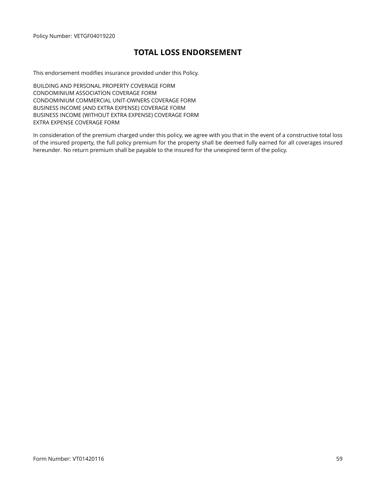## **TOTAL LOSS ENDORSEMENT**

This endorsement modifies insurance provided under this Policy.

BUILDING AND PERSONAL PROPERTY COVERAGE FORM CONDOMINIUM ASSOCIATION COVERAGE FORM CONDOMINIUM COMMERCIAL UNIT-OWNERS COVERAGE FORM BUSINESS INCOME (AND EXTRA EXPENSE) COVERAGE FORM BUSINESS INCOME (WITHOUT EXTRA EXPENSE) COVERAGE FORM EXTRA EXPENSE COVERAGE FORM

In consideration of the premium charged under this policy, we agree with you that in the event of a constructive total loss of the insured property, the full policy premium for the property shall be deemed fully earned for all coverages insured hereunder. No return premium shall be payable to the insured for the unexpired term of the policy.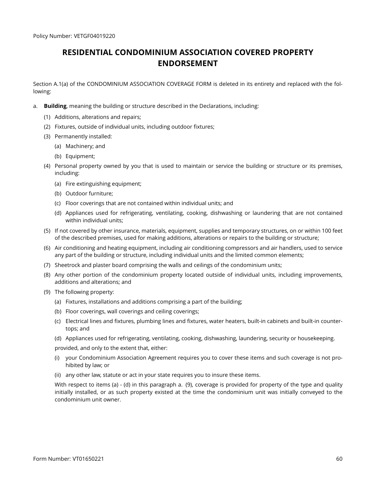# **RESIDENTIAL CONDOMINIUM ASSOCIATION COVERED PROPERTY ENDORSEMENT**

Section A.1(a) of the CONDOMINIUM ASSOCIATION COVERAGE FORM is deleted in its entirety and replaced with the following:

- a. **Building**, meaning the building or structure described in the Declarations, including:
	- (1) Additions, alterations and repairs;
	- (2) Fixtures, outside of individual units, including outdoor fixtures;
	- (3) Permanently installed:
		- (a) Machinery; and
		- (b) Equipment;
	- (4) Personal property owned by you that is used to maintain or service the building or structure or its premises, including:
		- (a) Fire extinguishing equipment;
		- (b) Outdoor furniture;
		- (c) Floor coverings that are not contained within individual units; and
		- (d) Appliances used for refrigerating, ventilating, cooking, dishwashing or laundering that are not contained within individual units;
	- (5) If not covered by other insurance, materials, equipment, supplies and temporary structures, on or within 100 feet of the described premises, used for making additions, alterations or repairs to the building or structure;
	- (6) Air conditioning and heating equipment, including air conditioning compressors and air handlers, used to service any part of the building or structure, including individual units and the limited common elements;
	- (7) Sheetrock and plaster board comprising the walls and ceilings of the condominium units;
	- (8) Any other portion of the condominium property located outside of individual units, including improvements, additions and alterations; and
	- (9) The following property:
		- (a) Fixtures, installations and additions comprising a part of the building;
		- (b) Floor coverings, wall coverings and ceiling coverings;
		- (c) Electrical lines and fixtures, plumbing lines and fixtures, water heaters, built-in cabinets and built-in countertops; and
		- (d) Appliances used for refrigerating, ventilating, cooking, dishwashing, laundering, security or housekeeping.

provided, and only to the extent that, either:

- (i) your Condominium Association Agreement requires you to cover these items and such coverage is not prohibited by law; or
- (ii) any other law, statute or act in your state requires you to insure these items.

With respect to items (a) - (d) in this paragraph a. (9), coverage is provided for property of the type and quality initially installed, or as such property existed at the time the condominium unit was initially conveyed to the condominium unit owner.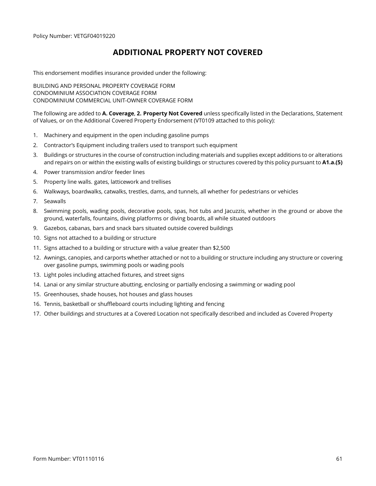## **ADDITIONAL PROPERTY NOT COVERED**

This endorsement modifies insurance provided under the following:

BUILDING AND PERSONAL PROPERTY COVERAGE FORM CONDOMINIUM ASSOCIATION COVERAGE FORM CONDOMINIUM COMMERCIAL UNIT-OWNER COVERAGE FORM

The following are added to **A. Coverage**, **2. Property Not Covered** unless specifically listed in the Declarations, Statement of Values, or on the Additional Covered Property Endorsement (VT0109 attached to this policy):

- 1. Machinery and equipment in the open including gasoline pumps
- 2. Contractor's Equipment including trailers used to transport such equipment
- 3. Buildings or structures in the course of construction including materials and supplies except additions to or alterations and repairs on or within the existing walls of existing buildings or structures covered by this policy pursuant to **A1.a.(5)**
- 4. Power transmission and/or feeder lines
- 5. Property line walls. gates, latticework and trellises
- 6. Walkways, boardwalks, catwalks, trestles, dams, and tunnels, all whether for pedestrians or vehicles
- 7. Seawalls
- 8. Swimming pools, wading pools, decorative pools, spas, hot tubs and Jacuzzis, whether in the ground or above the ground, waterfalls, fountains, diving platforms or diving boards, all while situated outdoors
- 9. Gazebos, cabanas, bars and snack bars situated outside covered buildings
- 10. Signs not attached to a building or structure
- 11. Signs attached to a building or structure with a value greater than \$2,500
- 12. Awnings, canopies, and carports whether attached or not to a building or structure including any structure or covering over gasoline pumps, swimming pools or wading pools
- 13. Light poles including attached fixtures, and street signs
- 14. Lanai or any similar structure abutting, enclosing or partially enclosing a swimming or wading pool
- 15. Greenhouses, shade houses, hot houses and glass houses
- 16. Tennis, basketball or shuffleboard courts including lighting and fencing
- 17. Other buildings and structures at a Covered Location not specifically described and included as Covered Property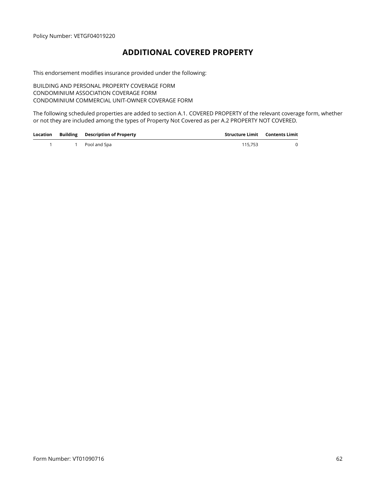## **ADDITIONAL COVERED PROPERTY**

This endorsement modifies insurance provided under the following:

BUILDING AND PERSONAL PROPERTY COVERAGE FORM CONDOMINIUM ASSOCIATION COVERAGE FORM CONDOMINIUM COMMERCIAL UNIT-OWNER COVERAGE FORM

The following scheduled properties are added to section A.1. COVERED PROPERTY of the relevant coverage form, whether or not they are included among the types of Property Not Covered as per A.2 PROPERTY NOT COVERED.

|  | Location Building Description of Property |         | <b>Structure Limit</b> Contents Limit |
|--|-------------------------------------------|---------|---------------------------------------|
|  | Pool and Spa                              | 115.753 |                                       |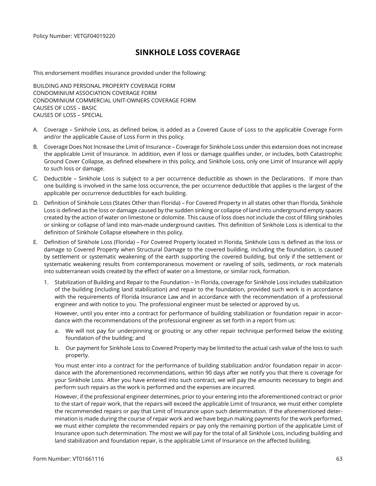## **SINKHOLE LOSS COVERAGE**

This endorsement modifies insurance provided under the following:

BUILDING AND PERSONAL PROPERTY COVERAGE FORM CONDOMINIUM ASSOCIATION COVERAGE FORM CONDOMINIUM COMMERCIAL UNIT-OWNERS COVERAGE FORM CAUSES OF LOSS – BASIC CAUSES OF LOSS – SPECIAL

- A. Coverage Sinkhole Loss, as defined below, is added as a Covered Cause of Loss to the applicable Coverage Form and/or the applicable Cause of Loss Form in this policy.
- B. Coverage Does Not Increase the Limit of Insurance Coverage for Sinkhole Loss under this extension does not increase the applicable Limit of Insurance. In addition, even if loss or damage qualifies under, or includes, both Catastrophic Ground Cover Collapse, as defined elsewhere in this policy, and Sinkhole Loss, only one Limit of Insurance will apply to such loss or damage.
- C. Deductible Sinkhole Loss is subject to a per occurrence deductible as shown in the Declarations. If more than one building is involved in the same loss occurrence, the per occurrence deductible that applies is the largest of the applicable per occurrence deductibles for each building.
- D. Definition of Sinkhole Loss (States Other than Florida) For Covered Property in all states other than Florida, Sinkhole Loss is defined as the loss or damage caused by the sudden sinking or collapse of land into underground empty spaces created by the action of water on limestone or dolomite. This cause of loss does not include the cost of filling sinkholes or sinking or collapse of land into man-made underground cavities. This definition of Sinkhole Loss is identical to the definition of Sinkhole Collapse elsewhere in this policy.
- E. Definition of Sinkhole Loss (Florida) For Covered Property located in Florida, Sinkhole Loss is defined as the loss or damage to Covered Property when Structural Damage to the covered building, including the foundation, is caused by settlement or systematic weakening of the earth supporting the covered building, but only if the settlement or systematic weakening results from contemporaneous movement or raveling of soils, sediments, or rock materials into subterranean voids created by the effect of water on a limestone, or similar rock, formation.
	- 1. Stabilization of Building and Repair to the Foundation In Florida, coverage for Sinkhole Loss includes stabilization of the building (including land stabilization) and repair to the foundation, provided such work is in accordance with the requirements of Florida Insurance Law and in accordance with the recommendation of a professional engineer and with notice to you. The professional engineer must be selected or approved by us.

However, until you enter into a contract for performance of building stabilization or foundation repair in accordance with the recommendations of the professional engineer as set forth in a report from us:

- a. We will not pay for underpinning or grouting or any other repair technique performed below the existing foundation of the building; and
- b. Our payment for Sinkhole Loss to Covered Property may be limited to the actual cash value of the loss to such property.

You must enter into a contract for the performance of building stabilization and/or foundation repair in accordance with the aforementioned recommendations, within 90 days after we notify you that there is coverage for your Sinkhole Loss. After you have entered into such contract, we will pay the amounts necessary to begin and perform such repairs as the work is performed and the expenses are incurred.

However, if the professional engineer determines, prior to your entering into the aforementioned contract or prior to the start of repair work, that the repairs will exceed the applicable Limit of Insurance, we must either complete the recommended repairs or pay that Limit of Insurance upon such determination. If the aforementioned determination is made during the course of repair work and we have begun making payments for the work performed, we must either complete the recommended repairs or pay only the remaining portion of the applicable Limit of Insurance upon such determination. The most we will pay for the total of all Sinkhole Loss, including building and land stabilization and foundation repair, is the applicable Limit of Insurance on the affected building.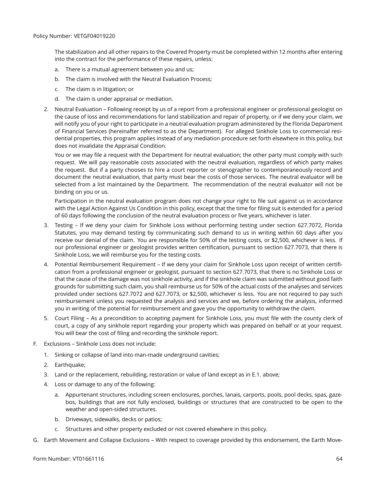The stabilization and all other repairs to the Covered Property must be completed within 12 months after entering into the contract for the performance of these repairs, unless:

- a. There is a mutual agreement between you and us;
- b. The claim is involved with the Neutral Evaluation Process;
- c. The claim is in litigation; or
- d. The claim is under appraisal or mediation.
- 2. Neutral Evaluation Following receipt by us of a report from a professional engineer or professional geologist on the cause of loss and recommendations for land stabilization and repair of property, or if we deny your claim, we will notify you of your right to participate in a neutral evaluation program administered by the Florida Department of Financial Services (hereinafter referred to as the Department). For alleged Sinkhole Loss to commercial residential properties, this program applies instead of any mediation procedure set forth elsewhere in this policy, but does not invalidate the Appraisal Condition.

You or we may file a request with the Department for neutral evaluation; the other party must comply with such request. We will pay reasonable costs associated with the neutral evaluation, regardless of which party makes the request. But if a party chooses to hire a court reporter or stenographer to contemporaneously record and document the neutral evaluation, that party must bear the costs of those services. The neutral evaluator will be selected from a list maintained by the Department. The recommendation of the neutral evaluator will not be binding on you or us.

Participation in the neutral evaluation program does not change your right to file suit against us in accordance with the Legal Action Against Us Condition in this policy, except that the time for filing suit is extended for a period of 60 days following the conclusion of the neutral evaluation process or five years, whichever is later.

- 3. Testing If we deny your claim for Sinkhole Loss without performing testing under section 627.7072, Florida Statutes, you may demand testing by communicating such demand to us in writing within 60 days after you receive our denial of the claim. You are responsible for 50% of the testing costs, or \$2,500, whichever is less. If our professional engineer or geologist provides written certification, pursuant to section 627.7073, that there is Sinkhole Loss, we will reimburse you for the testing costs.
- 4. Potential Reimbursement Requirement If we deny your claim for Sinkhole Loss upon receipt of written certification from a professional engineer or geologist, pursuant to section 627.7073, that there is no Sinkhole Loss or that the cause of the damage was not sinkhole activity, and if the sinkhole claim was submitted without good faith grounds for submitting such claim, you shall reimburse us for 50% of the actual costs of the analyses and services provided under sections 627.7072 and 627.7073, or \$2,500, whichever is less. You are not required to pay such reimbursement unless you requested the analysis and services and we, before ordering the analysis, informed you in writing of the potential for reimbursement and gave you the opportunity to withdraw the claim.
- 5. Court Filing As a precondition to accepting payment for Sinkhole Loss, you must file with the county clerk of court, a copy of any sinkhole report regarding your property which was prepared on behalf or at your request. You will bear the cost of filing and recording the sinkhole report.
- F. Exclusions Sinkhole Loss does not include:
	- 1. Sinking or collapse of land into man-made underground cavities;
	- 2. Earthquake;
	- 3. Land or the replacement, rebuilding, restoration or value of land except as in E.1. above;
	- 4. Loss or damage to any of the following:
		- a. Appurtenant structures, including screen enclosures, porches, lanais, carports, pools, pool decks, spas, gazebos, buildings that are not fully enclosed, buildings or structures that are constructed to be open to the weather and open-sided structures.
		- b. Driveways, sidewalks, decks or patios;
		- c. Structures and other property excluded or not covered elsewhere in this policy.
- G. Earth Movement and Collapse Exclusions With respect to coverage provided by this endorsement, the Earth Move-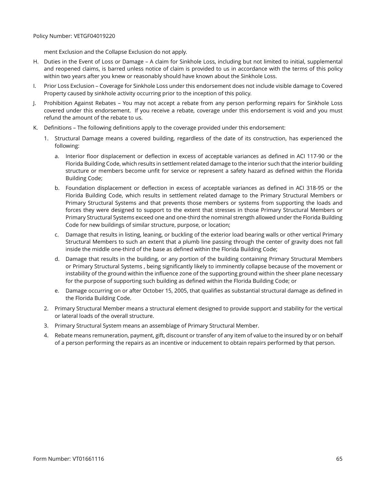ment Exclusion and the Collapse Exclusion do not apply.

- H. Duties in the Event of Loss or Damage A claim for Sinkhole Loss, including but not limited to initial, supplemental and reopened claims, is barred unless notice of claim is provided to us in accordance with the terms of this policy within two years after you knew or reasonably should have known about the Sinkhole Loss.
- I. Prior Loss Exclusion Coverage for Sinkhole Loss under this endorsement does not include visible damage to Covered Property caused by sinkhole activity occurring prior to the inception of this policy.
- J. Prohibition Against Rebates You may not accept a rebate from any person performing repairs for Sinkhole Loss covered under this endorsement. If you receive a rebate, coverage under this endorsement is void and you must refund the amount of the rebate to us.
- K. Definitions The following definitions apply to the coverage provided under this endorsement:
	- 1. Structural Damage means a covered building, regardless of the date of its construction, has experienced the following:
		- a. Interior floor displacement or deflection in excess of acceptable variances as defined in ACI 117-90 or the Florida Building Code, which results in settlement related damage to the interior such that the interior building structure or members become unfit for service or represent a safety hazard as defined within the Florida Building Code;
		- b. Foundation displacement or deflection in excess of acceptable variances as defined in ACI 318-95 or the Florida Building Code, which results in settlement related damage to the Primary Structural Members or Primary Structural Systems and that prevents those members or systems from supporting the loads and forces they were designed to support to the extent that stresses in those Primary Structural Members or Primary Structural Systems exceed one and one-third the nominal strength allowed under the Florida Building Code for new buildings of similar structure, purpose, or location;
		- c. Damage that results in listing, leaning, or buckling of the exterior load bearing walls or other vertical Primary Structural Members to such an extent that a plumb line passing through the center of gravity does not fall inside the middle one-third of the base as defined within the Florida Building Code;
		- d. Damage that results in the building, or any portion of the building containing Primary Structural Members or Primary Structural Systems , being significantly likely to imminently collapse because of the movement or instability of the ground within the influence zone of the supporting ground within the sheer plane necessary for the purpose of supporting such building as defined within the Florida Building Code; or
		- e. Damage occurring on or after October 15, 2005, that qualifies as substantial structural damage as defined in the Florida Building Code.
	- 2. Primary Structural Member means a structural element designed to provide support and stability for the vertical or lateral loads of the overall structure.
	- 3. Primary Structural System means an assemblage of Primary Structural Member.
	- 4. Rebate means remuneration, payment, gift, discount or transfer of any item of value to the insured by or on behalf of a person performing the repairs as an incentive or inducement to obtain repairs performed by that person.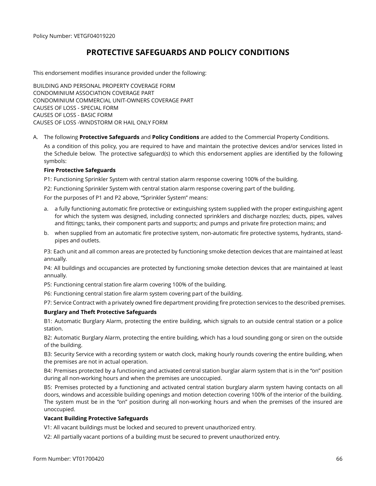## **PROTECTIVE SAFEGUARDS AND POLICY CONDITIONS**

This endorsement modifies insurance provided under the following:

BUILDING AND PERSONAL PROPERTY COVERAGE FORM CONDOMINIUM ASSOCIATION COVERAGE PART CONDOMINIUM COMMERCIAL UNIT-OWNERS COVERAGE PART CAUSES OF LOSS - SPECIAL FORM CAUSES OF LOSS - BASIC FORM CAUSES OF LOSS -WINDSTORM OR HAIL ONLY FORM

A. The following **Protective Safeguards** and **Policy Conditions** are added to the Commercial Property Conditions.

As a condition of this policy, you are required to have and maintain the protective devices and/or services listed in the Schedule below. The protective safeguard(s) to which this endorsement applies are identified by the following symbols:

## **Fire Protective Safeguards**

P1: Functioning Sprinkler System with central station alarm response covering 100% of the building.

P2: Functioning Sprinkler System with central station alarm response covering part of the building.

For the purposes of P1 and P2 above, "Sprinkler System" means:

- a. a fully functioning automatic fire protective or extinguishing system supplied with the proper extinguishing agent for which the system was designed, including connected sprinklers and discharge nozzles; ducts, pipes, valves and fittings; tanks, their component parts and supports; and pumps and private fire protection mains; and
- b. when supplied from an automatic fire protective system, non-automatic fire protective systems, hydrants, standpipes and outlets.

P3: Each unit and all common areas are protected by functioning smoke detection devices that are maintained at least annually.

P4: All buildings and occupancies are protected by functioning smoke detection devices that are maintained at least annually.

P5: Functioning central station fire alarm covering 100% of the building.

P6: Functioning central station fire alarm system covering part of the building.

P7: Service Contract with a privately owned fire department providing fire protection services to the described premises.

## **Burglary and Theft Protective Safeguards**

B1: Automatic Burglary Alarm, protecting the entire building, which signals to an outside central station or a police station.

B2: Automatic Burglary Alarm, protecting the entire building, which has a loud sounding gong or siren on the outside of the building.

B3: Security Service with a recording system or watch clock, making hourly rounds covering the entire building, when the premises are not in actual operation.

B4: Premises protected by a functioning and activated central station burglar alarm system that is in the "on" position during all non-working hours and when the premises are unoccupied.

B5: Premises protected by a functioning and activated central station burglary alarm system having contacts on all doors, windows and accessible building openings and motion detection covering 100% of the interior of the building. The system must be in the "on" position during all non-working hours and when the premises of the insured are unoccupied.

## **Vacant Building Protective Safeguards**

V1: All vacant buildings must be locked and secured to prevent unauthorized entry.

V2: All partially vacant portions of a building must be secured to prevent unauthorized entry.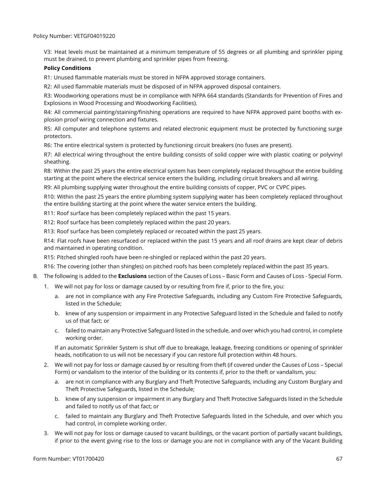V3: Heat levels must be maintained at a minimum temperature of 55 degrees or all plumbing and sprinkler piping must be drained, to prevent plumbing and sprinkler pipes from freezing.

#### **Policy Conditions**

R1: Unused flammable materials must be stored in NFPA approved storage containers.

R2: All used flammable materials must be disposed of in NFPA approved disposal containers.

R3: Woodworking operations must be in compliance with NFPA 664 standards (Standards for Prevention of Fires and Explosions in Wood Processing and Woodworking Facilities).

R4: All commercial painting/staining/finishing operations are required to have NFPA approved paint booths with explosion proof wiring connection and fixtures.

R5: All computer and telephone systems and related electronic equipment must be protected by functioning surge protectors.

R6: The entire electrical system is protected by functioning circuit breakers (no fuses are present).

R7: All electrical wiring throughout the entire building consists of solid copper wire with plastic coating or polyvinyl sheathing.

R8: Within the past 25 years the entire electrical system has been completely replaced throughout the entire building starting at the point where the electrical service enters the building, including circuit breakers and all wiring.

R9: All plumbing supplying water throughout the entire building consists of copper, PVC or CVPC pipes.

R10: Within the past 25 years the entire plumbing system supplying water has been completely replaced throughout the entire building starting at the point where the water service enters the building.

R11: Roof surface has been completely replaced within the past 15 years.

R12: Roof surface has been completely replaced within the past 20 years.

R13: Roof surface has been completely replaced or recoated within the past 25 years.

R14: Flat roofs have been resurfaced or replaced within the past 15 years and all roof drains are kept clear of debris and maintained in operating condition.

R15: Pitched shingled roofs have been re-shingled or replaced within the past 20 years.

R16: The covering (other than shingles) on pitched roofs has been completely replaced within the past 35 years.

- B. The following is added to the **Exclusions** section of the Causes of Loss Basic Form and Causes of Loss Special Form.
	- 1. We will not pay for loss or damage caused by or resulting from fire if, prior to the fire, you:
		- a. are not in compliance with any Fire Protective Safeguards, including any Custom Fire Protective Safeguards, listed in the Schedule;
		- b. knew of any suspension or impairment in any Protective Safeguard listed in the Schedule and failed to notify us of that fact; or
		- c. failed to maintain any Protective Safeguard listed in the schedule, and over which you had control, in complete working order.

If an automatic Sprinkler System is shut off due to breakage, leakage, freezing conditions or opening of sprinkler heads, notification to us will not be necessary if you can restore full protection within 48 hours.

- 2. We will not pay for loss or damage caused by or resulting from theft (if covered under the Causes of Loss Special Form) or vandalism to the interior of the building or its contents if, prior to the theft or vandalism, you:
	- a. are not in compliance with any Burglary and Theft Protective Safeguards, including any Custom Burglary and Theft Protective Safeguards, listed in the Schedule;
	- b. knew of any suspension or impairment in any Burglary and Theft Protective Safeguards listed in the Schedule and failed to notify us of that fact; or
	- c. failed to maintain any Burglary and Theft Protective Safeguards listed in the Schedule, and over which you had control, in complete working order.
- 3. We will not pay for loss or damage caused to vacant buildings, or the vacant portion of partially vacant buildings, if prior to the event giving rise to the loss or damage you are not in compliance with any of the Vacant Building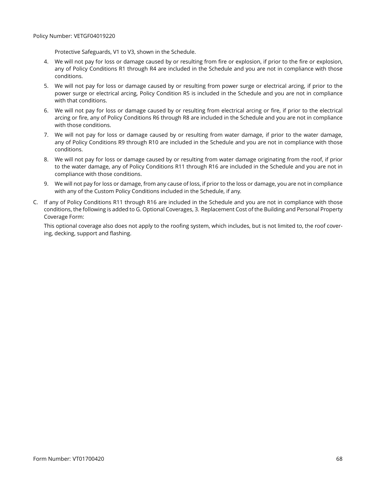Protective Safeguards, V1 to V3, shown in the Schedule.

- 4. We will not pay for loss or damage caused by or resulting from fire or explosion, if prior to the fire or explosion, any of Policy Conditions R1 through R4 are included in the Schedule and you are not in compliance with those conditions.
- 5. We will not pay for loss or damage caused by or resulting from power surge or electrical arcing, if prior to the power surge or electrical arcing, Policy Condition R5 is included in the Schedule and you are not in compliance with that conditions.
- 6. We will not pay for loss or damage caused by or resulting from electrical arcing or fire, if prior to the electrical arcing or fire, any of Policy Conditions R6 through R8 are included in the Schedule and you are not in compliance with those conditions.
- 7. We will not pay for loss or damage caused by or resulting from water damage, if prior to the water damage, any of Policy Conditions R9 through R10 are included in the Schedule and you are not in compliance with those conditions.
- 8. We will not pay for loss or damage caused by or resulting from water damage originating from the roof, if prior to the water damage, any of Policy Conditions R11 through R16 are included in the Schedule and you are not in compliance with those conditions.
- 9. We will not pay for loss or damage, from any cause of loss, if prior to the loss or damage, you are not in compliance with any of the Custom Policy Conditions included in the Schedule, if any.
- C. If any of Policy Conditions R11 through R16 are included in the Schedule and you are not in compliance with those conditions, the following is added to G. Optional Coverages, 3. Replacement Cost of the Building and Personal Property Coverage Form:

This optional coverage also does not apply to the roofing system, which includes, but is not limited to, the roof covering, decking, support and flashing.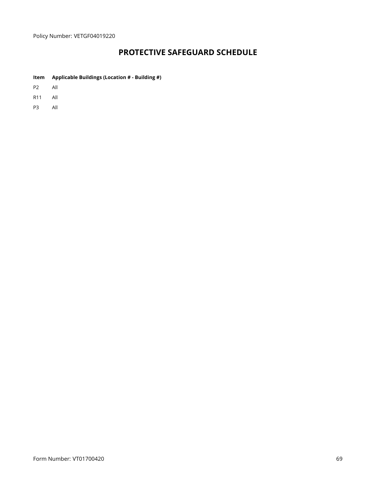# **PROTECTIVE SAFEGUARD SCHEDULE**

| ltem | Applicable Buildings (Location # - Building #) |  |  |
|------|------------------------------------------------|--|--|
|------|------------------------------------------------|--|--|

- P2 All
- R11 All
- P3 All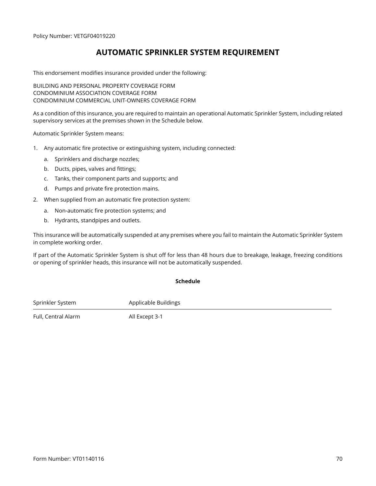## **AUTOMATIC SPRINKLER SYSTEM REQUIREMENT**

This endorsement modifies insurance provided under the following:

BUILDING AND PERSONAL PROPERTY COVERAGE FORM CONDOMINIUM ASSOCIATION COVERAGE FORM CONDOMINIUM COMMERCIAL UNIT-OWNERS COVERAGE FORM

As a condition of this insurance, you are required to maintain an operational Automatic Sprinkler System, including related supervisory services at the premises shown in the Schedule below.

Automatic Sprinkler System means:

- 1. Any automatic fire protective or extinguishing system, including connected:
	- a. Sprinklers and discharge nozzles;
	- b. Ducts, pipes, valves and fittings;
	- c. Tanks, their component parts and supports; and
	- d. Pumps and private fire protection mains.
- 2. When supplied from an automatic fire protection system:
	- a. Non-automatic fire protection systems; and
	- b. Hydrants, standpipes and outlets.

This insurance will be automatically suspended at any premises where you fail to maintain the Automatic Sprinkler System in complete working order.

If part of the Automatic Sprinkler System is shut off for less than 48 hours due to breakage, leakage, freezing conditions or opening of sprinkler heads, this insurance will not be automatically suspended.

#### **Schedule**

Sprinkler System Applicable Buildings

Full, Central Alarm All Except 3-1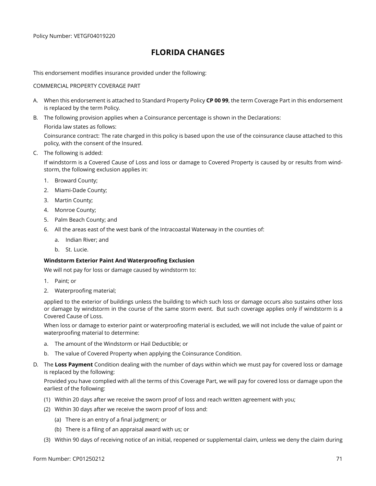## **FLORIDA CHANGES**

This endorsement modifies insurance provided under the following:

COMMERCIAL PROPERTY COVERAGE PART

- A. When this endorsement is attached to Standard Property Policy **CP 00 99**, the term Coverage Part in this endorsement is replaced by the term Policy.
- B. The following provision applies when a Coinsurance percentage is shown in the Declarations:

Florida law states as follows:

Coinsurance contract: The rate charged in this policy is based upon the use of the coinsurance clause attached to this policy, with the consent of the Insured.

C. The following is added:

If windstorm is a Covered Cause of Loss and loss or damage to Covered Property is caused by or results from windstorm, the following exclusion applies in:

- 1. Broward County;
- 2. Miami-Dade County;
- 3. Martin County;
- 4. Monroe County;
- 5. Palm Beach County; and
- 6. All the areas east of the west bank of the Intracoastal Waterway in the counties of:
	- a. Indian River; and
	- b. St. Lucie.

#### **Windstorm Exterior Paint And Waterproofing Exclusion**

We will not pay for loss or damage caused by windstorm to:

- 1. Paint; or
- 2. Waterproofing material;

applied to the exterior of buildings unless the building to which such loss or damage occurs also sustains other loss or damage by windstorm in the course of the same storm event. But such coverage applies only if windstorm is a Covered Cause of Loss.

When loss or damage to exterior paint or waterproofing material is excluded, we will not include the value of paint or waterproofing material to determine:

- a. The amount of the Windstorm or Hail Deductible; or
- b. The value of Covered Property when applying the Coinsurance Condition.

D. The **Loss Payment** Condition dealing with the number of days within which we must pay for covered loss or damage is replaced by the following:

Provided you have complied with all the terms of this Coverage Part, we will pay for covered loss or damage upon the earliest of the following:

- (1) Within 20 days after we receive the sworn proof of loss and reach written agreement with you;
- (2) Within 30 days after we receive the sworn proof of loss and:
	- (a) There is an entry of a final judgment; or
	- (b) There is a filing of an appraisal award with us; or
- (3) Within 90 days of receiving notice of an initial, reopened or supplemental claim, unless we deny the claim during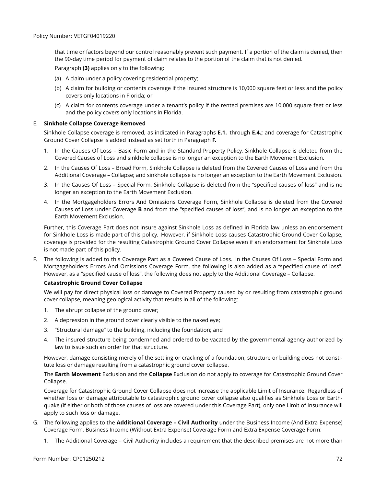that time or factors beyond our control reasonably prevent such payment. If a portion of the claim is denied, then the 90-day time period for payment of claim relates to the portion of the claim that is not denied.

Paragraph **(3)** applies only to the following:

- (a) A claim under a policy covering residential property;
- (b) A claim for building or contents coverage if the insured structure is 10,000 square feet or less and the policy covers only locations in Florida; or
- (c) A claim for contents coverage under a tenant's policy if the rented premises are 10,000 square feet or less and the policy covers only locations in Florida.

### E. **Sinkhole Collapse Coverage Removed**

Sinkhole Collapse coverage is removed, as indicated in Paragraphs **E.1.** through **E.4.;** and coverage for Catastrophic Ground Cover Collapse is added instead as set forth in Paragraph **F.**

- 1. In the Causes Of Loss Basic Form and in the Standard Property Policy, Sinkhole Collapse is deleted from the Covered Causes of Loss and sinkhole collapse is no longer an exception to the Earth Movement Exclusion.
- 2. In the Causes Of Loss Broad Form, Sinkhole Collapse is deleted from the Covered Causes of Loss and from the Additional Coverage – Collapse; and sinkhole collapse is no longer an exception to the Earth Movement Exclusion.
- 3. In the Causes Of Loss Special Form, Sinkhole Collapse is deleted from the "specified causes of loss" and is no longer an exception to the Earth Movement Exclusion.
- 4. In the Mortgageholders Errors And Omissions Coverage Form, Sinkhole Collapse is deleted from the Covered Causes of Loss under Coverage **B** and from the "specified causes of loss", and is no longer an exception to the Earth Movement Exclusion.

Further, this Coverage Part does not insure against Sinkhole Loss as defined in Florida law unless an endorsement for Sinkhole Loss is made part of this policy. However, if Sinkhole Loss causes Catastrophic Ground Cover Collapse, coverage is provided for the resulting Catastrophic Ground Cover Collapse even if an endorsement for Sinkhole Loss is not made part of this policy.

F. The following is added to this Coverage Part as a Covered Cause of Loss. In the Causes Of Loss – Special Form and Mortgageholders Errors And Omissions Coverage Form, the following is also added as a "specified cause of loss". However, as a "specified cause of loss", the following does not apply to the Additional Coverage – Collapse.

### **Catastrophic Ground Cover Collapse**

We will pay for direct physical loss or damage to Covered Property caused by or resulting from catastrophic ground cover collapse, meaning geological activity that results in all of the following:

- 1. The abrupt collapse of the ground cover;
- 2. A depression in the ground cover clearly visible to the naked eye;
- 3. "Structural damage" to the building, including the foundation; and
- 4. The insured structure being condemned and ordered to be vacated by the governmental agency authorized by law to issue such an order for that structure.

However, damage consisting merely of the settling or cracking of a foundation, structure or building does not constitute loss or damage resulting from a catastrophic ground cover collapse.

The **Earth Movement** Exclusion and the **Collapse** Exclusion do not apply to coverage for Catastrophic Ground Cover Collapse.

Coverage for Catastrophic Ground Cover Collapse does not increase the applicable Limit of Insurance. Regardless of whether loss or damage attributable to catastrophic ground cover collapse also qualifies as Sinkhole Loss or Earthquake (if either or both of those causes of loss are covered under this Coverage Part), only one Limit of Insurance will apply to such loss or damage.

- G. The following applies to the **Additional Coverage – Civil Authority** under the Business Income (And Extra Expense) Coverage Form, Business Income (Without Extra Expense) Coverage Form and Extra Expense Coverage Form:
	- 1. The Additional Coverage Civil Authority includes a requirement that the described premises are not more than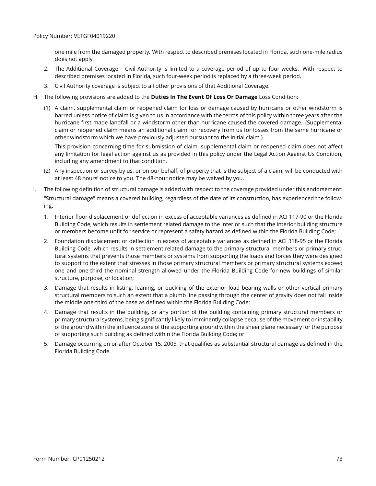one mile from the damaged property. With respect to described premises located in Florida, such one-mile radius does not apply.

- 2. The Additional Coverage Civil Authority is limited to a coverage period of up to four weeks. With respect to described premises located in Florida, such four-week period is replaced by a three-week period.
- 3. Civil Authority coverage is subject to all other provisions of that Additional Coverage.
- H. The following provisions are added to the **Duties In The Event Of Loss Or Damage** Loss Condition:
	- (1) A claim, supplemental claim or reopened claim for loss or damage caused by hurricane or other windstorm is barred unless notice of claim is given to us in accordance with the terms of this policy within three years after the hurricane first made landfall or a windstorm other than hurricane caused the covered damage. (Supplemental claim or reopened claim means an additional claim for recovery from us for losses from the same hurricane or other windstorm which we have previously adjusted pursuant to the initial claim.)

This provision concerning time for submission of claim, supplemental claim or reopened claim does not affect any limitation for legal action against us as provided in this policy under the Legal Action Against Us Condition, including any amendment to that condition.

- (2) Any inspection or survey by us, or on our behalf, of property that is the subject of a claim, will be conducted with at least 48 hours' notice to you. The 48-hour notice may be waived by you.
- I. The following definition of structural damage is added with respect to the coverage provided under this endorsement: "Structural damage" means a covered building, regardless of the date of its construction, has experienced the following.
	- 1. Interior floor displacement or deflection in excess of acceptable variances as defined in ACI 117-90 or the Florida Building Code, which results in settlement related damage to the interior such that the interior building structure or members become unfit for service or represent a safety hazard as defined within the Florida Building Code;
	- 2. Foundation displacement or deflection in excess of acceptable variances as defined in ACI 318-95 or the Florida Building Code, which results in settlement related damage to the primary structural members or primary structural systems that prevents those members or systems from supporting the loads and forces they were designed to support to the extent that stresses in those primary structural members or primary structural systems exceed one and one-third the nominal strength allowed under the Florida Building Code for new buildings of similar structure, purpose, or location;
	- 3. Damage that results in listing, leaning, or buckling of the exterior load bearing walls or other vertical primary structural members to such an extent that a plumb line passing through the center of gravity does not fall inside the middle one-third of the base as defined within the Florida Building Code;
	- 4. Damage that results in the building, or any portion of the building containing primary structural members or primary structural systems, being significantly likely to imminently collapse because of the movement or instability of the ground within the influence zone of the supporting ground within the sheer plane necessary for the purpose of supporting such building as defined within the Florida Building Code; or
	- 5. Damage occurring on or after October 15, 2005, that qualifies as substantial structural damage as defined in the Florida Building Code.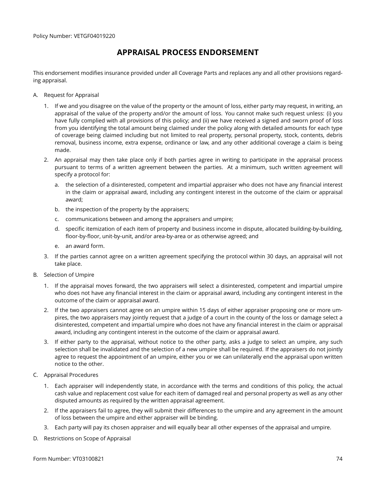## **APPRAISAL PROCESS ENDORSEMENT**

This endorsement modifies insurance provided under all Coverage Parts and replaces any and all other provisions regarding appraisal.

- A. Request for Appraisal
	- 1. If we and you disagree on the value of the property or the amount of loss, either party may request, in writing, an appraisal of the value of the property and/or the amount of loss. You cannot make such request unless: (i) you have fully complied with all provisions of this policy; and (ii) we have received a signed and sworn proof of loss from you identifying the total amount being claimed under the policy along with detailed amounts for each type of coverage being claimed including but not limited to real property, personal property, stock, contents, debris removal, business income, extra expense, ordinance or law, and any other additional coverage a claim is being made.
	- 2. An appraisal may then take place only if both parties agree in writing to participate in the appraisal process pursuant to terms of a written agreement between the parties. At a minimum, such written agreement will specify a protocol for:
		- a. the selection of a disinterested, competent and impartial appraiser who does not have any financial interest in the claim or appraisal award, including any contingent interest in the outcome of the claim or appraisal award;
		- b. the inspection of the property by the appraisers;
		- c. communications between and among the appraisers and umpire;
		- d. specific itemization of each item of property and business income in dispute, allocated building-by-building, floor-by-floor, unit-by-unit, and/or area-by-area or as otherwise agreed; and
		- e. an award form.
	- 3. If the parties cannot agree on a written agreement specifying the protocol within 30 days, an appraisal will not take place.
- B. Selection of Umpire
	- 1. If the appraisal moves forward, the two appraisers will select a disinterested, competent and impartial umpire who does not have any financial interest in the claim or appraisal award, including any contingent interest in the outcome of the claim or appraisal award.
	- 2. If the two appraisers cannot agree on an umpire within 15 days of either appraiser proposing one or more umpires, the two appraisers may jointly request that a judge of a court in the county of the loss or damage select a disinterested, competent and impartial umpire who does not have any financial interest in the claim or appraisal award, including any contingent interest in the outcome of the claim or appraisal award.
	- 3. If either party to the appraisal, without notice to the other party, asks a judge to select an umpire, any such selection shall be invalidated and the selection of a new umpire shall be required. If the appraisers do not jointly agree to request the appointment of an umpire, either you or we can unilaterally end the appraisal upon written notice to the other.
- C. Appraisal Procedures
	- 1. Each appraiser will independently state, in accordance with the terms and conditions of this policy, the actual cash value and replacement cost value for each item of damaged real and personal property as well as any other disputed amounts as required by the written appraisal agreement.
	- 2. If the appraisers fail to agree, they will submit their differences to the umpire and any agreement in the amount of loss between the umpire and either appraiser will be binding.
	- 3. Each party will pay its chosen appraiser and will equally bear all other expenses of the appraisal and umpire.
- D. Restrictions on Scope of Appraisal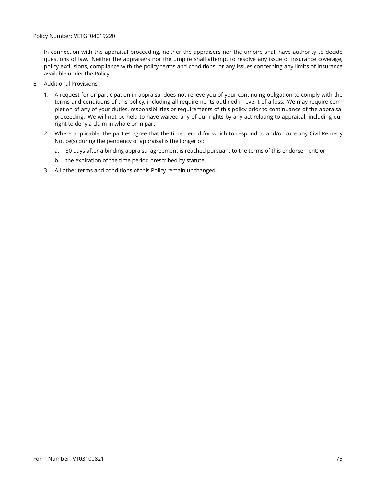In connection with the appraisal proceeding, neither the appraisers nor the umpire shall have authority to decide questions of law. Neither the appraisers nor the umpire shall attempt to resolve any issue of insurance coverage, policy exclusions, compliance with the policy terms and conditions, or any issues concerning any limits of insurance available under the Policy.

- E. Additional Provisions
	- 1. A request for or participation in appraisal does not relieve you of your continuing obligation to comply with the terms and conditions of this policy, including all requirements outlined in event of a loss. We may require completion of any of your duties, responsibilities or requirements of this policy prior to continuance of the appraisal proceeding. We will not be held to have waived any of our rights by any act relating to appraisal, including our right to deny a claim in whole or in part.
	- 2. Where applicable, the parties agree that the time period for which to respond to and/or cure any Civil Remedy Notice(s) during the pendency of appraisal is the longer of:
		- a. 30 days after a binding appraisal agreement is reached pursuant to the terms of this endorsement; or
		- b. the expiration of the time period prescribed by statute.
	- 3. All other terms and conditions of this Policy remain unchanged.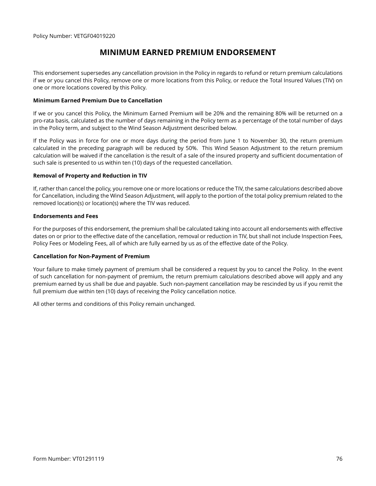## **MINIMUM EARNED PREMIUM ENDORSEMENT**

This endorsement supersedes any cancellation provision in the Policy in regards to refund or return premium calculations if we or you cancel this Policy, remove one or more locations from this Policy, or reduce the Total Insured Values (TIV) on one or more locations covered by this Policy.

### **Minimum Earned Premium Due to Cancellation**

If we or you cancel this Policy, the Minimum Earned Premium will be 20% and the remaining 80% will be returned on a pro-rata basis, calculated as the number of days remaining in the Policy term as a percentage of the total number of days in the Policy term, and subject to the Wind Season Adjustment described below.

If the Policy was in force for one or more days during the period from June 1 to November 30, the return premium calculated in the preceding paragraph will be reduced by 50%. This Wind Season Adjustment to the return premium calculation will be waived if the cancellation is the result of a sale of the insured property and sufficient documentation of such sale is presented to us within ten (10) days of the requested cancellation.

### **Removal of Property and Reduction in TIV**

If, rather than cancel the policy, you remove one or more locations or reduce the TIV, the same calculations described above for Cancellation, including the Wind Season Adjustment, will apply to the portion of the total policy premium related to the removed location(s) or location(s) where the TIV was reduced.

### **Endorsements and Fees**

For the purposes of this endorsement, the premium shall be calculated taking into account all endorsements with effective dates on or prior to the effective date of the cancellation, removal or reduction in TIV, but shall not include Inspection Fees, Policy Fees or Modeling Fees, all of which are fully earned by us as of the effective date of the Policy.

### **Cancellation for Non-Payment of Premium**

Your failure to make timely payment of premium shall be considered a request by you to cancel the Policy. In the event of such cancellation for non-payment of premium, the return premium calculations described above will apply and any premium earned by us shall be due and payable. Such non-payment cancellation may be rescinded by us if you remit the full premium due within ten (10) days of receiving the Policy cancellation notice.

All other terms and conditions of this Policy remain unchanged.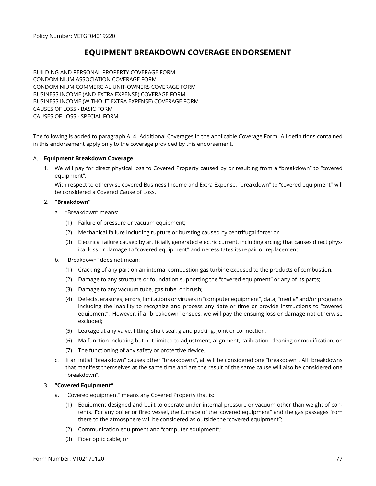## **EQUIPMENT BREAKDOWN COVERAGE ENDORSEMENT**

BUILDING AND PERSONAL PROPERTY COVERAGE FORM CONDOMINIUM ASSOCIATION COVERAGE FORM CONDOMINIUM COMMERCIAL UNIT-OWNERS COVERAGE FORM BUSINESS INCOME (AND EXTRA EXPENSE) COVERAGE FORM BUSINESS INCOME (WITHOUT EXTRA EXPENSE) COVERAGE FORM CAUSES OF LOSS - BASIC FORM CAUSES OF LOSS - SPECIAL FORM

The following is added to paragraph A. 4. Additional Coverages in the applicable Coverage Form. All definitions contained in this endorsement apply only to the coverage provided by this endorsement.

### A. **Equipment Breakdown Coverage**

1. We will pay for direct physical loss to Covered Property caused by or resulting from a "breakdown" to "covered equipment".

With respect to otherwise covered Business Income and Extra Expense, "breakdown" to "covered equipment" will be considered a Covered Cause of Loss.

## 2. **"Breakdown"**

- a. "Breakdown" means:
	- (1) Failure of pressure or vacuum equipment;
	- (2) Mechanical failure including rupture or bursting caused by centrifugal force; or
	- (3) Electrical failure caused by artificially generated electric current, including arcing; that causes direct physical loss or damage to "covered equipment" and necessitates its repair or replacement.
- b. "Breakdown" does not mean:
	- (1) Cracking of any part on an internal combustion gas turbine exposed to the products of combustion;
	- (2) Damage to any structure or foundation supporting the "covered equipment" or any of its parts;
	- (3) Damage to any vacuum tube, gas tube, or brush;
	- (4) Defects, erasures, errors, limitations or viruses in "computer equipment", data, "media" and/or programs including the inability to recognize and process any date or time or provide instructions to "covered equipment". However, if a "breakdown" ensues, we will pay the ensuing loss or damage not otherwise excluded;
	- (5) Leakage at any valve, fitting, shaft seal, gland packing, joint or connection;
	- (6) Malfunction including but not limited to adjustment, alignment, calibration, cleaning or modification; or
	- (7) The functioning of any safety or protective device.
- c. If an initial "breakdown" causes other "breakdowns", all will be considered one "breakdown". All "breakdowns that manifest themselves at the same time and are the result of the same cause will also be considered one "breakdown".

#### 3. **"Covered Equipment"**

- a. "Covered equipment" means any Covered Property that is:
	- (1) Equipment designed and built to operate under internal pressure or vacuum other than weight of contents. For any boiler or fired vessel, the furnace of the "covered equipment" and the gas passages from there to the atmosphere will be considered as outside the "covered equipment";
	- (2) Communication equipment and "computer equipment";
	- (3) Fiber optic cable; or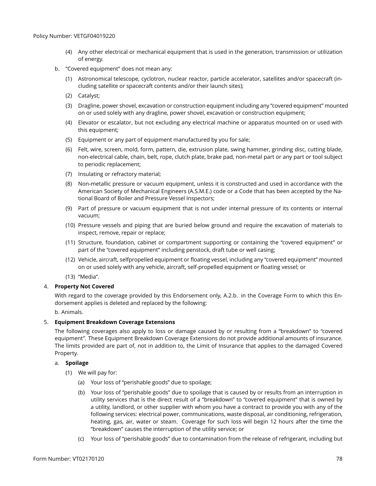- (4) Any other electrical or mechanical equipment that is used in the generation, transmission or utilization of energy.
- b. "Covered equipment" does not mean any:
	- (1) Astronomical telescope, cyclotron, nuclear reactor, particle accelerator, satellites and/or spacecraft (including satellite or spacecraft contents and/or their launch sites);
	- (2) Catalyst;
	- (3) Dragline, power shovel, excavation or construction equipment including any "covered equipment" mounted on or used solely with any dragline, power shovel, excavation or construction equipment;
	- (4) Elevator or escalator, but not excluding any electrical machine or apparatus mounted on or used with this equipment;
	- (5) Equipment or any part of equipment manufactured by you for sale;
	- (6) Felt, wire, screen, mold, form, pattern, die, extrusion plate, swing hammer, grinding disc, cutting blade, non-electrical cable, chain, belt, rope, clutch plate, brake pad, non-metal part or any part or tool subject to periodic replacement;
	- (7) Insulating or refractory material;
	- (8) Non-metallic pressure or vacuum equipment, unless it is constructed and used in accordance with the American Society of Mechanical Engineers (A.S.M.E.) code or a Code that has been accepted by the National Board of Boiler and Pressure Vessel Inspectors;
	- (9) Part of pressure or vacuum equipment that is not under internal pressure of its contents or internal vacuum;
	- (10) Pressure vessels and piping that are buried below ground and require the excavation of materials to inspect, remove, repair or replace;
	- (11) Structure, foundation, cabinet or compartment supporting or containing the "covered equipment" or part of the "covered equipment" including penstock, draft tube or well casing;
	- (12) Vehicle, aircraft, selfpropelled equipment or floating vessel, including any "covered equipment" mounted on or used solely with any vehicle, aircraft, self-propelled equipment or floating vessel; or
	- (13) "Media".

### 4. **Property Not Covered**

With regard to the coverage provided by this Endorsement only, A.2.b. in the Coverage Form to which this Endorsement applies is deleted and replaced by the following:

b. Animals.

### 5. **Equipment Breakdown Coverage Extensions**

The following coverages also apply to loss or damage caused by or resulting from a "breakdown" to "covered equipment". These Equipment Breakdown Coverage Extensions do not provide additional amounts of insurance. The limits provided are part of, not in addition to, the Limit of Insurance that applies to the damaged Covered Property.

## a. **Spoilage**

- (1) We will pay for:
	- (a) Your loss of "perishable goods" due to spoilage;
	- (b) Your loss of "perishable goods" due to spoilage that is caused by or results from an interruption in utility services that is the direct result of a "breakdown" to "covered equipment" that is owned by a utility, landlord, or other supplier with whom you have a contract to provide you with any of the following services: electrical power, communications, waste disposal, air conditioning, refrigeration, heating, gas, air, water or steam. Coverage for such loss will begin 12 hours after the time the "breakdown" causes the interruption of the utility service; or
	- (c) Your loss of "perishable goods" due to contamination from the release of refrigerant, including but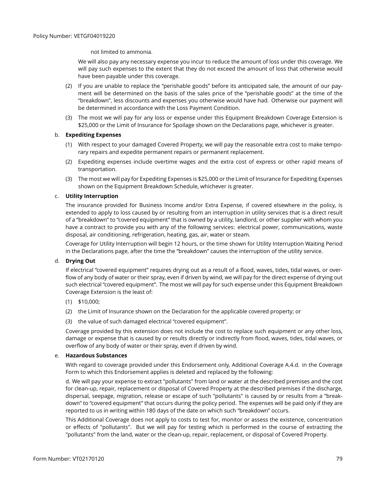not limited to ammonia.

We will also pay any necessary expense you incur to reduce the amount of loss under this coverage. We will pay such expenses to the extent that they do not exceed the amount of loss that otherwise would have been payable under this coverage.

- (2) If you are unable to replace the "perishable goods" before its anticipated sale, the amount of our payment will be determined on the basis of the sales price of the "perishable goods" at the time of the "breakdown", less discounts and expenses you otherwise would have had. Otherwise our payment will be determined in accordance with the Loss Payment Condition.
- (3) The most we will pay for any loss or expense under this Equipment Breakdown Coverage Extension is \$25,000 or the Limit of Insurance for Spoilage shown on the Declarations page, whichever is greater.

## b. **Expediting Expenses**

- (1) With respect to your damaged Covered Property, we will pay the reasonable extra cost to make temporary repairs and expedite permanent repairs or permanent replacement.
- (2) Expediting expenses include overtime wages and the extra cost of express or other rapid means of transportation.
- (3) The most we will pay for Expediting Expenses is \$25,000 or the Limit of Insurance for Expediting Expenses shown on the Equipment Breakdown Schedule, whichever is greater.

### c. **Utility Interruption**

The insurance provided for Business Income and/or Extra Expense, if covered elsewhere in the policy, is extended to apply to loss caused by or resulting from an interruption in utility services that is a direct result of a "breakdown" to "covered equipment" that is owned by a utility, landlord, or other supplier with whom you have a contract to provide you with any of the following services: electrical power, communications, waste disposal, air conditioning, refrigeration, heating, gas, air, water or steam.

Coverage for Utility Interruption will begin 12 hours, or the time shown for Utility Interruption Waiting Period in the Declarations page, after the time the "breakdown" causes the interruption of the utility service.

#### d. **Drying Out**

If electrical "covered equipment" requires drying out as a result of a flood, waves, tides, tidal waves, or overflow of any body of water or their spray, even if driven by wind, we will pay for the direct expense of drying out such electrical "covered equipment". The most we will pay for such expense under this Equipment Breakdown Coverage Extension is the least of:

- (1) \$10,000;
- (2) the Limit of Insurance shown on the Declaration for the applicable covered property; or
- (3) the value of such damaged electrical "covered equipment".

Coverage provided by this extension does not include the cost to replace such equipment or any other loss, damage or expense that is caused by or results directly or indirectly from flood, waves, tides, tidal waves, or overflow of any body of water or their spray, even if driven by wind.

### e. **Hazardous Substances**

With regard to coverage provided under this Endorsement only, Additional Coverage A.4.d. in the Coverage Form to which this Endorsement applies is deleted and replaced by the following:

d. We will pay your expense to extract "pollutants" from land or water at the described premises and the cost for clean-up, repair, replacement or disposal of Covered Property at the described premises if the discharge, dispersal, seepage, migration, release or escape of such "pollutants" is caused by or results from a "breakdown" to "covered equipment" that occurs during the policy period. The expenses will be paid only if they are reported to us in writing within 180 days of the date on which such "breakdown" occurs.

This Additional Coverage does not apply to costs to test for, monitor or assess the existence, concentration or effects of "pollutants". But we will pay for testing which is performed in the course of extracting the "pollutants" from the land, water or the clean-up, repair, replacement, or disposal of Covered Property.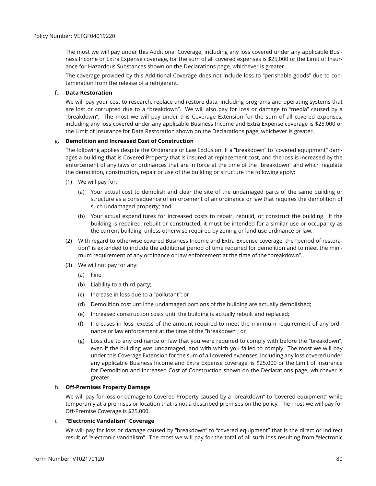The most we will pay under this Additional Coverage, including any loss covered under any applicable Business Income or Extra Expense coverage, for the sum of all covered expenses is \$25,000 or the Limit of Insurance for Hazardous Substances shown on the Declarations page, whichever is greater.

The coverage provided by this Additional Coverage does not include loss to "perishable goods" due to contamination from the release of a refrigerant.

### f. **Data Restoration**

We will pay your cost to research, replace and restore data, including programs and operating systems that are lost or corrupted due to a "breakdown". We will also pay for loss or damage to "media" caused by a "breakdown". The most we will pay under this Coverage Extension for the sum of all covered expenses, including any loss covered under any applicable Business Income and Extra Expense coverage is \$25,000 or the Limit of Insurance for Data Restoration shown on the Declarations page, whichever is greater.

### g. **Demolition and Increased Cost of Construction**

The following applies despite the Ordinance or Law Exclusion. If a "breakdown" to "covered equipment" damages a building that is Covered Property that is insured at replacement cost, and the loss is increased by the enforcement of any laws or ordinances that are in force at the time of the "breakdown" and which regulate the demolition, construction, repair or use of the building or structure the following apply:

- (1) We will pay for:
	- (a) Your actual cost to demolish and clear the site of the undamaged parts of the same building or structure as a consequence of enforcement of an ordinance or law that requires the demolition of such undamaged property; and
	- (b) Your actual expenditures for increased costs to repair, rebuild, or construct the building. If the building is repaired, rebuilt or constructed, it must be intended for a similar use or occupancy as the current building, unless otherwise required by zoning or land use ordinance or law;
- (2) With regard to otherwise covered Business Income and Extra Expense coverage, the "period of restoration" is extended to include the additional period of time required for demolition and to meet the minimum requirement of any ordinance or law enforcement at the time of the "breakdown".
- (3) We will not pay for any:
	- (a) Fine;
	- (b) Liability to a third party;
	- (c) Increase in loss due to a "pollutant"; or
	- (d) Demolition cost until the undamaged portions of the building are actually demolished;
	- (e) Increased construction costs until the building is actually rebuilt and replaced;
	- (f) Increases in loss, excess of the amount required to meet the minimum requirement of any ordinance or law enforcement at the time of the "breakdown"; or
	- (g) Loss due to any ordinance or law that you were required to comply with before the "breakdown", even if the building was undamaged, and with which you failed to comply. The most we will pay under this Coverage Extension for the sum of all covered expenses, including any loss covered under any applicable Business Income and Extra Expense coverage, is \$25,000 or the Limit of Insurance for Demolition and Increased Cost of Construction shown on the Declarations page, whichever is greater.

#### h. **Off-Premises Property Damage**

We will pay for loss or damage to Covered Property caused by a "breakdown" to "covered equipment" while temporarily at a premises or location that is not a described premises on the policy. The most we will pay for Off-Premise Coverage is \$25,000.

#### i. **"Electronic Vandalism" Coverage**

We will pay for loss or damage caused by "breakdown" to "covered equipment" that is the direct or indirect result of "electronic vandalism". The most we will pay for the total of all such loss resulting from "electronic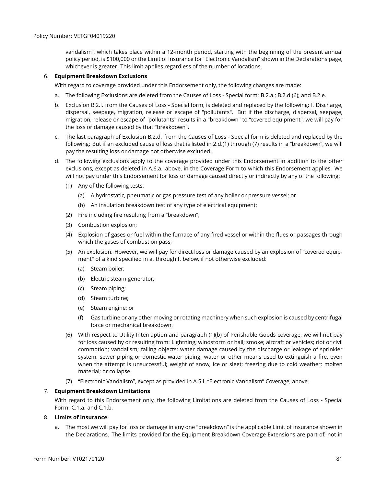vandalism", which takes place within a 12-month period, starting with the beginning of the present annual policy period, is \$100,000 or the Limit of Insurance for "Electronic Vandalism" shown in the Declarations page, whichever is greater. This limit applies regardless of the number of locations.

### 6. **Equipment Breakdown Exclusions**

With regard to coverage provided under this Endorsement only, the following changes are made:

- a. The following Exclusions are deleted from the Causes of Loss Special form: B.2.a.; B.2.d.(6); and B.2.e.
- b. Exclusion B.2.l. from the Causes of Loss Special form, is deleted and replaced by the following: l. Discharge, dispersal, seepage, migration, release or escape of "pollutants". But if the discharge, dispersal, seepage, migration, release or escape of "pollutants" results in a "breakdown" to "covered equipment", we will pay for the loss or damage caused by that "breakdown".
- c. The last paragraph of Exclusion B.2.d. from the Causes of Loss Special form is deleted and replaced by the following: But if an excluded cause of loss that is listed in 2.d.(1) through (7) results in a "breakdown", we will pay the resulting loss or damage not otherwise excluded.
- d. The following exclusions apply to the coverage provided under this Endorsement in addition to the other exclusions, except as deleted in A.6.a. above, in the Coverage Form to which this Endorsement applies. We will not pay under this Endorsement for loss or damage caused directly or indirectly by any of the following:
	- (1) Any of the following tests:
		- (a) A hydrostatic, pneumatic or gas pressure test of any boiler or pressure vessel; or
		- (b) An insulation breakdown test of any type of electrical equipment;
	- (2) Fire including fire resulting from a "breakdown";
	- (3) Combustion explosion;
	- (4) Explosion of gases or fuel within the furnace of any fired vessel or within the flues or passages through which the gases of combustion pass;
	- (5) An explosion. However, we will pay for direct loss or damage caused by an explosion of "covered equipment" of a kind specified in a. through f. below, if not otherwise excluded:
		- (a) Steam boiler;
		- (b) Electric steam generator;
		- (c) Steam piping;
		- (d) Steam turbine;
		- (e) Steam engine; or
		- (f) Gas turbine or any other moving or rotating machinery when such explosion is caused by centrifugal force or mechanical breakdown.
	- (6) With respect to Utility Interruption and paragraph (1)(b) of Perishable Goods coverage, we will not pay for loss caused by or resulting from: Lightning; windstorm or hail; smoke; aircraft or vehicles; riot or civil commotion; vandalism; falling objects; water damage caused by the discharge or leakage of sprinkler system, sewer piping or domestic water piping; water or other means used to extinguish a fire, even when the attempt is unsuccessful; weight of snow, ice or sleet; freezing due to cold weather; molten material; or collapse.
	- (7) "Electronic Vandalism", except as provided in A.5.i. "Electronic Vandalism" Coverage, above.

### 7. **Equipment Breakdown Limitations**

With regard to this Endorsement only, the following Limitations are deleted from the Causes of Loss - Special Form: C.1.a. and C.1.b.

## 8. **Limits of Insurance**

a. The most we will pay for loss or damage in any one "breakdown" is the applicable Limit of Insurance shown in the Declarations. The limits provided for the Equipment Breakdown Coverage Extensions are part of, not in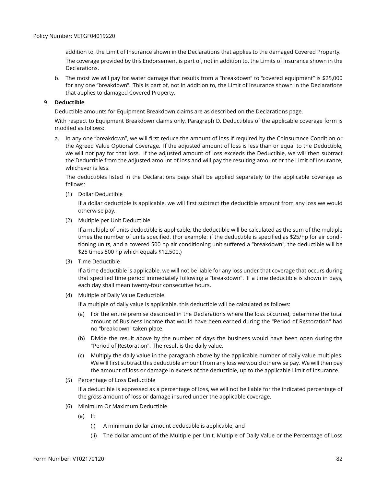addition to, the Limit of Insurance shown in the Declarations that applies to the damaged Covered Property. The coverage provided by this Endorsement is part of, not in addition to, the Limits of Insurance shown in the Declarations.

b. The most we will pay for water damage that results from a "breakdown" to "covered equipment" is \$25,000 for any one "breakdown". This is part of, not in addition to, the Limit of Insurance shown in the Declarations that applies to damaged Covered Property.

### 9. **Deductible**

Deductible amounts for Equipment Breakdown claims are as described on the Declarations page.

With respect to Equipment Breakdown claims only, Paragraph D. Deductibles of the applicable coverage form is modifed as follows:

a. In any one "breakdown", we will first reduce the amount of loss if required by the Coinsurance Condition or the Agreed Value Optional Coverage. If the adjusted amount of loss is less than or equal to the Deductible, we will not pay for that loss. If the adjusted amount of loss exceeds the Deductible, we will then subtract the Deductible from the adjusted amount of loss and will pay the resulting amount or the Limit of Insurance, whichever is less.

The deductibles listed in the Declarations page shall be applied separately to the applicable coverage as follows:

(1) Dollar Deductible

If a dollar deductible is applicable, we will first subtract the deductible amount from any loss we would otherwise pay.

(2) Multiple per Unit Deductible

If a multiple of units deductible is applicable, the deductible will be calculated as the sum of the multiple times the number of units specified. (For example: if the deductible is specified as \$25/hp for air conditioning units, and a covered 500 hp air conditioning unit suffered a "breakdown", the deductible will be \$25 times 500 hp which equals \$12,500.)

(3) Time Deductible

If a time deductible is applicable, we will not be liable for any loss under that coverage that occurs during that specified time period immediately following a "breakdown". If a time deductible is shown in days, each day shall mean twenty-four consecutive hours.

(4) Multiple of Daily Value Deductible

If a multiple of daily value is applicable, this deductible will be calculated as follows:

- (a) For the entire premise described in the Declarations where the loss occurred, determine the total amount of Business Income that would have been earned during the "Period of Restoration" had no "breakdown" taken place.
- (b) Divide the result above by the number of days the business would have been open during the "Period of Restoration". The result is the daily value.
- (c) Multiply the daily value in the paragraph above by the applicable number of daily value multiples. We will first subtract this deductible amount from any loss we would otherwise pay. We will then pay the amount of loss or damage in excess of the deductible, up to the applicable Limit of Insurance.
- (5) Percentage of Loss Deductible

If a deductible is expressed as a percentage of loss, we will not be liable for the indicated percentage of the gross amount of loss or damage insured under the applicable coverage.

- (6) Minimum Or Maximum Deductible
	- (a) If:
		- (i) A minimum dollar amount deductible is applicable, and
		- (ii) The dollar amount of the Multiple per Unit, Multiple of Daily Value or the Percentage of Loss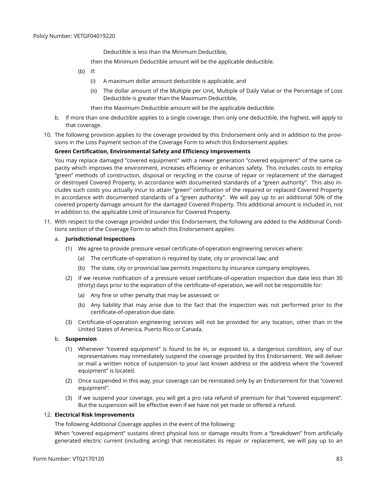Deductible is less than the Minimum Deductible,

then the Minimum Deductible amount will be the applicable deductible.

- (b) If:
	- (i) A maximum dollar amount deductible is applicable, and
	- (ii) The dollar amount of the Multiple per Unit, Multiple of Daily Value or the Percentage of Loss Deductible is greater than the Maximum Deductible,

then the Maximum Deductible amount will be the applicable deductible.

- b. If more than one deductible applies to a single coverage, then only one deductible, the highest, will apply to that coverage.
- 10. The following provision applies to the coverage provided by this Endorsement only and in addition to the provisions in the Loss Payment section of the Coverage Form to which this Endorsement applies:

### **Green Certification, Environmental Safety and Efficiency Improvements**

You may replace damaged "covered equipment" with a newer generation "covered equipment" of the same capacity which improves the environment, increases efficiency or enhances safety. This includes costs to employ "green" methods of construction, disposal or recycling in the course of repair or replacement of the damaged or destroyed Covered Property, in accordance with documented standards of a "green authority". This also includes such costs you actually incur to attain "green" certification of the repaired or replaced Covered Property in accordance with documented standards of a "green authority". We will pay up to an additional 50% of the covered property damage amount for the damaged Covered Property. This additional amount is included in, not in addition to, the applicable Limit of Insurance for Covered Property.

11. With respect to the coverage provided under this Endorsement, the following are added to the Additional Conditions section of the Coverage Form to which this Endorsement applies:

#### a. **Jurisdictional Inspections**

- (1) We agree to provide pressure vessel certificate-of-operation engineering services where:
	- (a) The certificate-of-operation is required by state, city or provincial law; and
	- (b) The state, city or provincial law permits inspections by insurance company employees.
- (2) If we receive notification of a pressure vessel certificate-of-operation inspection due date less than 30 (thirty) days prior to the expiration of the certificate-of-operation, we will not be responsible for:
	- (a) Any fine or other penalty that may be assessed; or
	- (b) Any liability that may arise due to the fact that the inspection was not performed prior to the certificate-of-operation due date.
- (3) Certificate-of-operation engineering services will not be provided for any location, other than in the United States of America, Puerto Rico or Canada.

#### b. **Suspension**

- (1) Whenever "covered equipment" is found to be in, or exposed to, a dangerous condition, any of our representatives may immediately suspend the coverage provided by this Endorsement. We will deliver or mail a written notice of suspension to your last known address or the address where the "covered equipment" is located.
- (2) Once suspended in this way, your coverage can be reinstated only by an Endorsement for that "covered equipment".
- (3) If we suspend your coverage, you will get a pro rata refund of premium for that "covered equipment". But the suspension will be effective even if we have not yet made or offered a refund.

### 12. **Electrical Risk Improvements**

The following Additional Coverage applies in the event of the following:

When "covered equipment" sustains direct physical loss or damage results from a "breakdown" from artificially generated electric current (including arcing) that necessitates its repair or replacement, we will pay up to an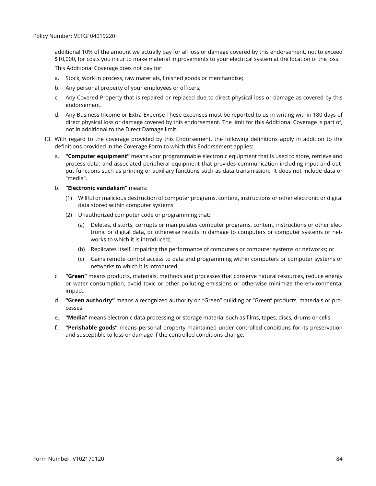additional 10% of the amount we actually pay for all loss or damage covered by this endorsement, not to exceed \$10,000, for costs you incur to make material improvements to your electrical system at the location of the loss.

This Additional Coverage does not pay for:

- a. Stock, work in process, raw materials, finished goods or merchandise;
- b. Any personal property of your employees or officers;
- c. Any Covered Property that is repaired or replaced due to direct physical loss or damage as covered by this endorsement.
- d. Any Business Income or Extra Expense These expenses must be reported to us in writing within 180 days of direct physical loss or damage covered by this endorsement. The limit for this Additional Coverage is part of, not in additional to the Direct Damage limit.
- 13. With regard to the coverage provided by this Endorsement, the following definitions apply in addition to the definitions provided in the Coverage Form to which this Endorsement applies:
	- a. **"Computer equipment"** means your programmable electronic equipment that is used to store, retrieve and process data; and associated peripheral equipment that provides communication including input and output functions such as printing or auxiliary functions such as data transmission. It does not include data or "media".
	- b. **"Electronic vandalism"** means:
		- (1) Willful or malicious destruction of computer programs, content, instructions or other electronic or digital data stored within computer systems.
		- (2) Unauthorized computer code or programming that:
			- (a) Deletes, distorts, corrupts or manipulates computer programs, content, instructions or other electronic or digital data, or otherwise results in damage to computers or computer systems or networks to which it is introduced;
			- (b) Replicates itself, impairing the performance of computers or computer systems or networks; or
			- (c) Gains remote control access to data and programming within computers or computer systems or networks to which it is introduced.
	- c. **"Green"** means products, materials, methods and processes that conserve natural resources, reduce energy or water consumption, avoid toxic or other polluting emissions or otherwise minimize the environmental impact.
	- d. **"Green authority"** means a recognized authority on "Green" building or "Green" products, materials or processes.
	- e. **"Media"** means electronic data processing or storage material such as films, tapes, discs, drums or cells.
	- f. **"Perishable goods"** means personal property maintained under controlled conditions for its preservation and susceptible to loss or damage if the controlled conditions change.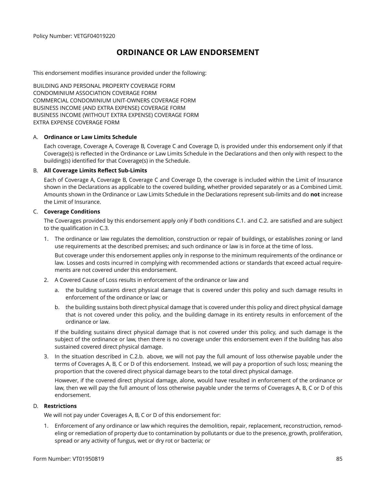## **ORDINANCE OR LAW ENDORSEMENT**

This endorsement modifies insurance provided under the following:

BUILDING AND PERSONAL PROPERTY COVERAGE FORM CONDOMINIUM ASSOCIATION COVERAGE FORM COMMERCIAL CONDOMINIUM UNIT-OWNERS COVERAGE FORM BUSINESS INCOME (AND EXTRA EXPENSE) COVERAGE FORM BUSINESS INCOME (WITHOUT EXTRA EXPENSE) COVERAGE FORM EXTRA EXPENSE COVERAGE FORM

### A. **Ordinance or Law Limits Schedule**

Each coverage, Coverage A, Coverage B, Coverage C and Coverage D, is provided under this endorsement only if that Coverage(s) is reflected in the Ordinance or Law Limits Schedule in the Declarations and then only with respect to the building(s) identified for that Coverage(s) in the Schedule.

### B. **All Coverage Limits Reflect Sub-Limits**

Each of Coverage A, Coverage B, Coverage C and Coverage D, the coverage is included within the Limit of Insurance shown in the Declarations as applicable to the covered building, whether provided separately or as a Combined Limit. Amounts shown in the Ordinance or Law Limits Schedule in the Declarations represent sub-limits and do **not** increase the Limit of Insurance.

### C. **Coverage Conditions**

The Coverages provided by this endorsement apply only if both conditions C.1. and C.2. are satisfied and are subject to the qualification in C.3.

1. The ordinance or law regulates the demolition, construction or repair of buildings, or establishes zoning or land use requirements at the described premises; and such ordinance or law is in force at the time of loss.

But coverage under this endorsement applies only in response to the minimum requirements of the ordinance or law. Losses and costs incurred in complying with recommended actions or standards that exceed actual requirements are not covered under this endorsement.

- 2. A Covered Cause of Loss results in enforcement of the ordinance or law and
	- a. the building sustains direct physical damage that is covered under this policy and such damage results in enforcement of the ordinance or law; or
	- b. the building sustains both direct physical damage that is covered under this policy and direct physical damage that is not covered under this policy, and the building damage in its entirety results in enforcement of the ordinance or law.

If the building sustains direct physical damage that is not covered under this policy, and such damage is the subject of the ordinance or law, then there is no coverage under this endorsement even if the building has also sustained covered direct physical damage.

3. In the situation described in C.2.b. above, we will not pay the full amount of loss otherwise payable under the terms of Coverages A, B, C or D of this endorsement. Instead, we will pay a proportion of such loss; meaning the proportion that the covered direct physical damage bears to the total direct physical damage.

However, if the covered direct physical damage, alone, would have resulted in enforcement of the ordinance or law, then we will pay the full amount of loss otherwise payable under the terms of Coverages A, B, C or D of this endorsement.

## D. **Restrictions**

We will not pay under Coverages A, B, C or D of this endorsement for:

1. Enforcement of any ordinance or law which requires the demolition, repair, replacement, reconstruction, remodeling or remediation of property due to contamination by pollutants or due to the presence, growth, proliferation, spread or any activity of fungus, wet or dry rot or bacteria; or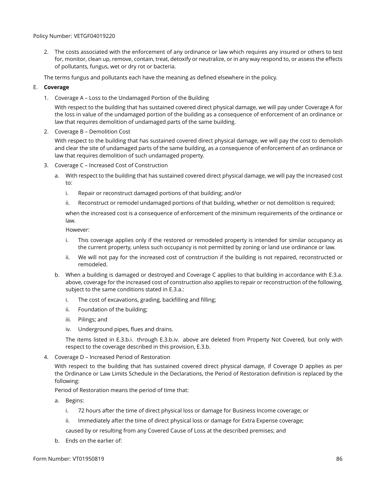2. The costs associated with the enforcement of any ordinance or law which requires any insured or others to test for, monitor, clean up, remove, contain, treat, detoxify or neutralize, or in any way respond to, or assess the effects of pollutants, fungus, wet or dry rot or bacteria.

The terms fungus and pollutants each have the meaning as defined elsewhere in the policy.

## E. **Coverage**

1. Coverage A – Loss to the Undamaged Portion of the Building

With respect to the building that has sustained covered direct physical damage, we will pay under Coverage A for the loss in value of the undamaged portion of the building as a consequence of enforcement of an ordinance or law that requires demolition of undamaged parts of the same building.

2. Coverage B – Demolition Cost

With respect to the building that has sustained covered direct physical damage, we will pay the cost to demolish and clear the site of undamaged parts of the same building, as a consequence of enforcement of an ordinance or law that requires demolition of such undamaged property.

- 3. Coverage C Increased Cost of Construction
	- a. With respect to the building that has sustained covered direct physical damage, we will pay the increased cost to:
		- i. Repair or reconstruct damaged portions of that building; and/or
		- ii. Reconstruct or remodel undamaged portions of that building, whether or not demolition is required;

when the increased cost is a consequence of enforcement of the minimum requirements of the ordinance or law.

However:

- i. This coverage applies only if the restored or remodeled property is intended for similar occupancy as the current property, unless such occupancy is not permitted by zoning or land use ordinance or law.
- ii. We will not pay for the increased cost of construction if the building is not repaired, reconstructed or remodeled.
- b. When a building is damaged or destroyed and Coverage C applies to that building in accordance with E.3.a. above, coverage for the increased cost of construction also applies to repair or reconstruction of the following, subject to the same conditions stated in E.3.a.:
	- i. The cost of excavations, grading, backfilling and filling;
	- ii. Foundation of the building;
	- iii. Pilings; and
	- iv. Underground pipes, flues and drains.

The items listed in E.3.b.i. through E.3.b.iv. above are deleted from Property Not Covered, but only with respect to the coverage described in this provision, E.3.b.

4. Coverage D – Increased Period of Restoration

With respect to the building that has sustained covered direct physical damage, if Coverage D applies as per the Ordinance or Law Limits Schedule in the Declarations, the Period of Restoration definition is replaced by the following:

Period of Restoration means the period of time that:

- a. Begins:
	- i. 72 hours after the time of direct physical loss or damage for Business Income coverage; or
	- ii. Immediately after the time of direct physical loss or damage for Extra Expense coverage;

caused by or resulting from any Covered Cause of Loss at the described premises; and

b. Ends on the earlier of: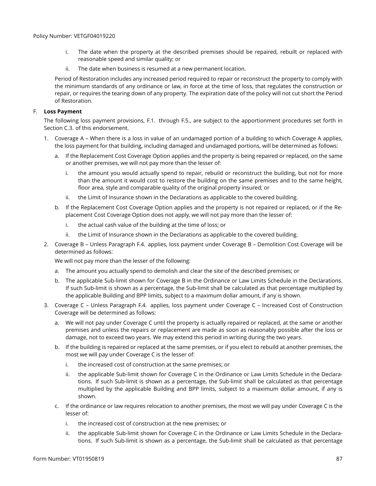- i. The date when the property at the described premises should be repaired, rebuilt or replaced with reasonable speed and similar quality; or
- ii. The date when business is resumed at a new permanent location.

Period of Restoration includes any increased period required to repair or reconstruct the property to comply with the minimum standards of any ordinance or law, in force at the time of loss, that regulates the construction or repair, or requires the tearing down of any property. The expiration date of the policy will not cut short the Period of Restoration.

### F. **Loss Payment**

The following loss payment provisions, F.1. through F.5., are subject to the apportionment procedures set forth in Section C.3. of this endorsement.

- 1. Coverage A When there is a loss in value of an undamaged portion of a building to which Coverage A applies, the loss payment for that building, including damaged and undamaged portions, will be determined as follows:
	- a. If the Replacement Cost Coverage Option applies and the property is being repaired or replaced, on the same or another premises, we will not pay more than the lesser of:
		- i. the amount you would actually spend to repair, rebuild or reconstruct the building, but not for more than the amount it would cost to restore the building on the same premises and to the same height, floor area, style and comparable quality of the original property insured; or
		- ii. the Limit of Insurance shown in the Declarations as applicable to the covered building.
	- b. If the Replacement Cost Coverage Option applies and the property is not repaired or replaced, or if the Replacement Cost Coverage Option does not apply, we will not pay more than the lesser of:
		- i. the actual cash value of the building at the time of loss; or
		- ii. the Limit of Insurance shown in the Declarations as applicable to the covered building.
- 2. Coverage B Unless Paragraph F.4. applies, loss payment under Coverage B Demolition Cost Coverage will be determined as follows:

We will not pay more than the lesser of the following:

- a. The amount you actually spend to demolish and clear the site of the described premises; or
- b. The applicable Sub-limit shown for Coverage B in the Ordinance or Law Limits Schedule in the Declarations. If such Sub-limit is shown as a percentage, the Sub-limit shall be calculated as that percentage multiplied by the applicable Building and BPP limits, subject to a maximum dollar amount, if any is shown.
- 3. Coverage C Unless Paragraph F.4. applies, loss payment under Coverage C Increased Cost of Construction Coverage will be determined as follows:
	- a. We will not pay under Coverage C until the property is actually repaired or replaced, at the same or another premises and unless the repairs or replacement are made as soon as reasonably possible after the loss or damage, not to exceed two years. We may extend this period in writing during the two years.
	- b. If the building is repaired or replaced at the same premises, or if you elect to rebuild at another premises, the most we will pay under Coverage C is the lesser of:
		- i. the increased cost of construction at the same premises; or
		- ii. the applicable Sub-limit shown for Coverage C in the Ordinance or Law Limits Schedule in the Declarations. If such Sub-limit is shown as a percentage, the Sub-limit shall be calculated as that percentage multiplied by the applicable Building and BPP limits, subject to a maximum dollar amount, if any is shown.
	- c. If the ordinance or law requires relocation to another premises, the most we will pay under Coverage C is the lesser of:
		- i. the increased cost of construction at the new premises; or
		- ii. the applicable Sub-limit shown for Coverage C in the Ordinance or Law Limits Schedule in the Declarations. If such Sub-limit is shown as a percentage, the Sub-limit shall be calculated as that percentage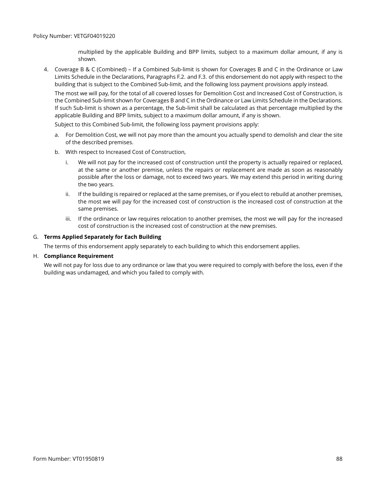multiplied by the applicable Building and BPP limits, subject to a maximum dollar amount, if any is shown.

4. Coverage B & C (Combined) – If a Combined Sub-limit is shown for Coverages B and C in the Ordinance or Law Limits Schedule in the Declarations, Paragraphs F.2. and F.3. of this endorsement do not apply with respect to the building that is subject to the Combined Sub-limit, and the following loss payment provisions apply instead.

The most we will pay, for the total of all covered losses for Demolition Cost and Increased Cost of Construction, is the Combined Sub-limit shown for Coverages B and C in the Ordinance or Law Limits Schedule in the Declarations. If such Sub-limit is shown as a percentage, the Sub-limit shall be calculated as that percentage multiplied by the applicable Building and BPP limits, subject to a maximum dollar amount, if any is shown.

Subject to this Combined Sub-limit, the following loss payment provisions apply:

- a. For Demolition Cost, we will not pay more than the amount you actually spend to demolish and clear the site of the described premises.
- b. With respect to Increased Cost of Construction,
	- We will not pay for the increased cost of construction until the property is actually repaired or replaced, at the same or another premise, unless the repairs or replacement are made as soon as reasonably possible after the loss or damage, not to exceed two years. We may extend this period in writing during the two years.
	- ii. If the building is repaired or replaced at the same premises, or if you elect to rebuild at another premises, the most we will pay for the increased cost of construction is the increased cost of construction at the same premises.
	- iii. If the ordinance or law requires relocation to another premises, the most we will pay for the increased cost of construction is the increased cost of construction at the new premises.

### G. **Terms Applied Separately for Each Building**

The terms of this endorsement apply separately to each building to which this endorsement applies.

#### H. **Compliance Requirement**

We will not pay for loss due to any ordinance or law that you were required to comply with before the loss, even if the building was undamaged, and which you failed to comply with.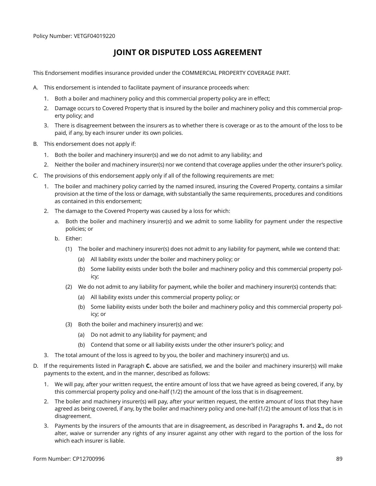## **JOINT OR DISPUTED LOSS AGREEMENT**

This Endorsement modifies insurance provided under the COMMERCIAL PROPERTY COVERAGE PART.

- A. This endorsement is intended to facilitate payment of insurance proceeds when:
	- 1. Both a boiler and machinery policy and this commercial property policy are in effect;
	- 2. Damage occurs to Covered Property that is insured by the boiler and machinery policy and this commercial property policy; and
	- 3. There is disagreement between the insurers as to whether there is coverage or as to the amount of the loss to be paid, if any, by each insurer under its own policies.
- B. This endorsement does not apply if:
	- 1. Both the boiler and machinery insurer(s) and we do not admit to any liability; and
	- 2. Neither the boiler and machinery insurer(s) nor we contend that coverage applies under the other insurer's policy.
- C. The provisions of this endorsement apply only if all of the following requirements are met:
	- 1. The boiler and machinery policy carried by the named insured, insuring the Covered Property, contains a similar provision at the time of the loss or damage, with substantially the same requirements, procedures and conditions as contained in this endorsement;
	- 2. The damage to the Covered Property was caused by a loss for which:
		- a. Both the boiler and machinery insurer(s) and we admit to some liability for payment under the respective policies; or
		- b. Either:
			- (1) The boiler and machinery insurer(s) does not admit to any liability for payment, while we contend that:
				- (a) All liability exists under the boiler and machinery policy; or
				- (b) Some liability exists under both the boiler and machinery policy and this commercial property policy;
			- (2) We do not admit to any liability for payment, while the boiler and machinery insurer(s) contends that:
				- (a) All liability exists under this commercial property policy; or
				- (b) Some liability exists under both the boiler and machinery policy and this commercial property policy; or
			- (3) Both the boiler and machinery insurer(s) and we:
				- (a) Do not admit to any liability for payment; and
				- (b) Contend that some or all liability exists under the other insurer's policy; and
	- 3. The total amount of the loss is agreed to by you, the boiler and machinery insurer(s) and us.
- D. If the requirements listed in Paragraph **C.** above are satisfied, we and the boiler and machinery insurer(s) will make payments to the extent, and in the manner, described as follows:
	- 1. We will pay, after your written request, the entire amount of loss that we have agreed as being covered, if any, by this commercial property policy and one-half (1/2) the amount of the loss that is in disagreement.
	- 2. The boiler and machinery insurer(s) will pay, after your written request, the entire amount of loss that they have agreed as being covered, if any, by the boiler and machinery policy and one-half (1/2) the amount of loss that is in disagreement.
	- 3. Payments by the insurers of the amounts that are in disagreement, as described in Paragraphs **1.** and **2.,** do not alter, waive or surrender any rights of any insurer against any other with regard to the portion of the loss for which each insurer is liable.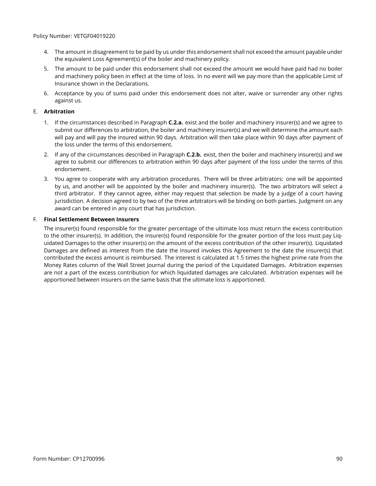- 4. The amount in disagreement to be paid by us under this endorsement shall not exceed the amount payable under the equivalent Loss Agreement(s) of the boiler and machinery policy.
- 5. The amount to be paid under this endorsement shall not exceed the amount we would have paid had no boiler and machinery policy been in effect at the time of loss. In no event will we pay more than the applicable Limit of Insurance shown in the Declarations.
- 6. Acceptance by you of sums paid under this endorsement does not alter, waive or surrender any other rights against us.

### E. **Arbitration**

- 1. If the circumstances described in Paragraph **C.2.a.** exist and the boiler and machinery insurer(s) and we agree to submit our differences to arbitration, the boiler and machinery insurer(s) and we will determine the amount each will pay and will pay the insured within 90 days. Arbitration will then take place within 90 days after payment of the loss under the terms of this endorsement.
- 2. If any of the circumstances described in Paragraph **C.2.b.** exist, then the boiler and machinery insurer(s) and we agree to submit our differences to arbitration within 90 days after payment of the loss under the terms of this endorsement.
- 3. You agree to cooperate with any arbitration procedures. There will be three arbitrators: one will be appointed by us, and another will be appointed by the boiler and machinery insurer(s). The two arbitrators will select a third arbitrator. If they cannot agree, either may request that selection be made by a judge of a court having jurisdiction. A decision agreed to by two of the three arbitrators will be binding on both parties. Judgment on any award can be entered in any court that has jurisdiction.

### F. **Final Settlement Between Insurers**

The insurer(s) found responsible for the greater percentage of the ultimate loss must return the excess contribution to the other insurer(s). In addition, the insurer(s) found responsible for the greater portion of the loss must pay Liquidated Damages to the other insurer(s) on the amount of the excess contribution of the other insurer(s). Liquidated Damages are defined as interest from the date the insured invokes this Agreement to the date the insurer(s) that contributed the excess amount is reimbursed. The interest is calculated at 1.5 times the highest prime rate from the Money Rates column of the Wall Street Journal during the period of the Liquidated Damages. Arbitration expenses are not a part of the excess contribution for which liquidated damages are calculated. Arbitration expenses will be apportioned between insurers on the same basis that the ultimate loss is apportioned.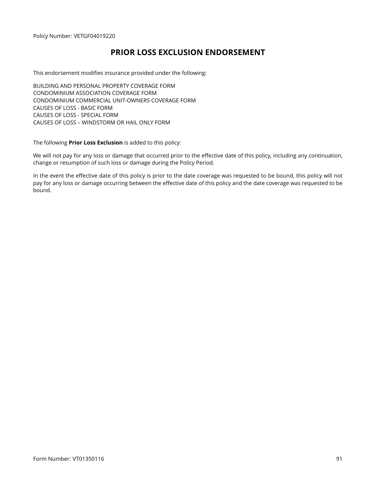## **PRIOR LOSS EXCLUSION ENDORSEMENT**

This endorsement modifies insurance provided under the following:

BUILDING AND PERSONAL PROPERTY COVERAGE FORM CONDOMINIUM ASSOCIATION COVERAGE FORM CONDOMINIUM COMMERCIAL UNIT-OWNERS COVERAGE FORM CAUSES OF LOSS - BASIC FORM CAUSES OF LOSS - SPECIAL FORM CAUSES OF LOSS – WINDSTORM OR HAIL ONLY FORM

### The following **Prior Loss Exclusion** is added to this policy:

We will not pay for any loss or damage that occurred prior to the effective date of this policy, including any continuation, change or resumption of such loss or damage during the Policy Period.

In the event the effective date of this policy is prior to the date coverage was requested to be bound, this policy will not pay for any loss or damage occurring between the effective date of this policy and the date coverage was requested to be bound.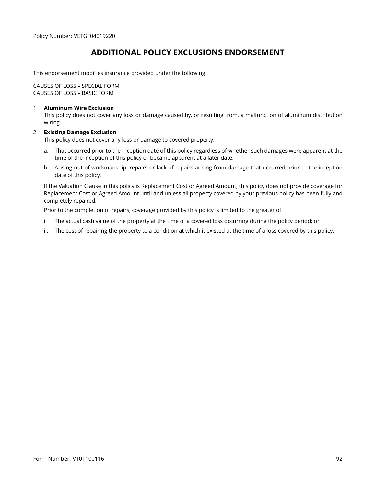## **ADDITIONAL POLICY EXCLUSIONS ENDORSEMENT**

This endorsement modifies insurance provided under the following:

CAUSES OF LOSS – SPECIAL FORM CAUSES OF LOSS – BASIC FORM

## 1. **Aluminum Wire Exclusion**

This policy does not cover any loss or damage caused by, or resulting from, a malfunction of aluminum distribution wiring.

### 2. **Existing Damage Exclusion**

This policy does not cover any loss or damage to covered property:

- a. That occurred prior to the inception date of this policy regardless of whether such damages were apparent at the time of the inception of this policy or became apparent at a later date.
- b. Arising out of workmanship, repairs or lack of repairs arising from damage that occurred prior to the inception date of this policy.

If the Valuation Clause in this policy is Replacement Cost or Agreed Amount, this policy does not provide coverage for Replacement Cost or Agreed Amount until and unless all property covered by your previous policy has been fully and completely repaired.

Prior to the completion of repairs, coverage provided by this policy is limited to the greater of:

- i. The actual cash value of the property at the time of a covered loss occurring during the policy period; or
- ii. The cost of repairing the property to a condition at which it existed at the time of a loss covered by this policy.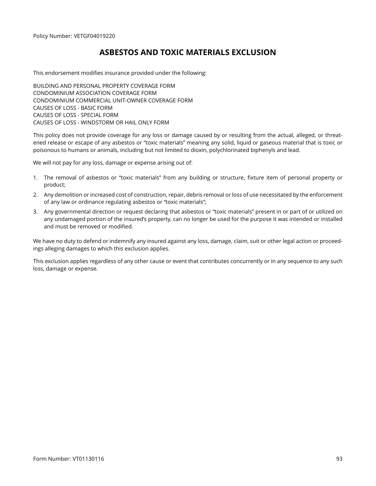## **ASBESTOS AND TOXIC MATERIALS EXCLUSION**

This endorsement modifies insurance provided under the following:

BUILDING AND PERSONAL PROPERTY COVERAGE FORM CONDOMINIUM ASSOCIATION COVERAGE FORM CONDOMINIUM COMMERCIAL UNIT-OWNER COVERAGE FORM CAUSES OF LOSS - BASIC FORM CAUSES OF LOSS - SPECIAL FORM CAUSES OF LOSS - WINDSTORM OR HAIL ONLY FORM

This policy does not provide coverage for any loss or damage caused by or resulting from the actual, alleged, or threatened release or escape of any asbestos or "toxic materials" meaning any solid, liquid or gaseous material that is toxic or poisonous to humans or animals, including but not limited to dioxin, polychlorinated biphenyls and lead.

We will not pay for any loss, damage or expense arising out of:

- 1. The removal of asbestos or "toxic materials" from any building or structure, fixture item of personal property or product;
- 2. Any demolition or increased cost of construction, repair, debris removal or loss of use necessitated by the enforcement of any law or ordinance regulating asbestos or "toxic materials";
- 3. Any governmental direction or request declaring that asbestos or "toxic materials" present in or part of or utilized on any undamaged portion of the insured's property, can no longer be used for the purpose it was intended or installed and must be removed or modified.

We have no duty to defend or indemnify any insured against any loss, damage, claim, suit or other legal action or proceedings alleging damages to which this exclusion applies.

This exclusion applies regardless of any other cause or event that contributes concurrently or in any sequence to any such loss, damage or expense.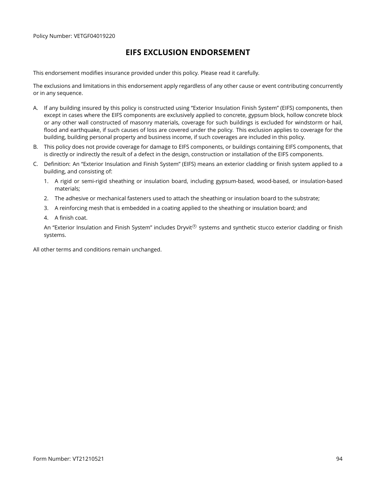## **EIFS EXCLUSION ENDORSEMENT**

This endorsement modifies insurance provided under this policy. Please read it carefully.

The exclusions and limitations in this endorsement apply regardless of any other cause or event contributing concurrently or in any sequence.

- A. If any building insured by this policy is constructed using "Exterior Insulation Finish System" (EIFS) components, then except in cases where the EIFS components are exclusively applied to concrete, gypsum block, hollow concrete block or any other wall constructed of masonry materials, coverage for such buildings is excluded for windstorm or hail, flood and earthquake, if such causes of loss are covered under the policy. This exclusion applies to coverage for the building, building personal property and business income, if such coverages are included in this policy.
- B. This policy does not provide coverage for damage to EIFS components, or buildings containing EIFS components, that is directly or indirectly the result of a defect in the design, construction or installation of the EIFS components.
- C. Definition: An "Exterior Insulation and Finish System" (EIFS) means an exterior cladding or finish system applied to a building, and consisting of:
	- 1. A rigid or semi-rigid sheathing or insulation board, including gypsum-based, wood-based, or insulation-based materials;
	- 2. The adhesive or mechanical fasteners used to attach the sheathing or insulation board to the substrate;
	- 3. A reinforcing mesh that is embedded in a coating applied to the sheathing or insulation board; and
	- 4. A finish coat.

An "Exterior Insulation and Finish System" includes Drvvit $^\circledR$  systems and synthetic stucco exterior cladding or finish systems.

All other terms and conditions remain unchanged.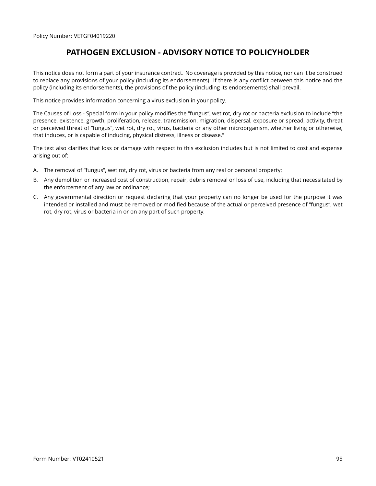## **PATHOGEN EXCLUSION - ADVISORY NOTICE TO POLICYHOLDER**

This notice does not form a part of your insurance contract. No coverage is provided by this notice, nor can it be construed to replace any provisions of your policy (including its endorsements). If there is any conflict between this notice and the policy (including its endorsements), the provisions of the policy (including its endorsements) shall prevail.

This notice provides information concerning a virus exclusion in your policy.

The Causes of Loss - Special form in your policy modifies the "fungus", wet rot, dry rot or bacteria exclusion to include "the presence, existence, growth, proliferation, release, transmission, migration, dispersal, exposure or spread, activity, threat or perceived threat of "fungus", wet rot, dry rot, virus, bacteria or any other microorganism, whether living or otherwise, that induces, or is capable of inducing, physical distress, illness or disease."

The text also clarifies that loss or damage with respect to this exclusion includes but is not limited to cost and expense arising out of:

- A. The removal of "fungus", wet rot, dry rot, virus or bacteria from any real or personal property;
- B. Any demolition or increased cost of construction, repair, debris removal or loss of use, including that necessitated by the enforcement of any law or ordinance;
- C. Any governmental direction or request declaring that your property can no longer be used for the purpose it was intended or installed and must be removed or modified because of the actual or perceived presence of "fungus", wet rot, dry rot, virus or bacteria in or on any part of such property.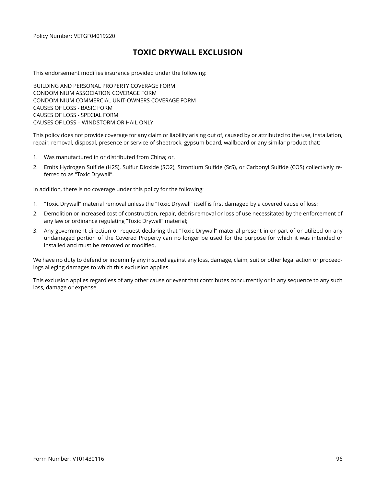## **TOXIC DRYWALL EXCLUSION**

This endorsement modifies insurance provided under the following:

BUILDING AND PERSONAL PROPERTY COVERAGE FORM CONDOMINIUM ASSOCIATION COVERAGE FORM CONDOMINIUM COMMERCIAL UNIT-OWNERS COVERAGE FORM CAUSES OF LOSS - BASIC FORM CAUSES OF LOSS - SPECIAL FORM CAUSES OF LOSS – WINDSTORM OR HAIL ONLY

This policy does not provide coverage for any claim or liability arising out of, caused by or attributed to the use, installation, repair, removal, disposal, presence or service of sheetrock, gypsum board, wallboard or any similar product that:

- 1. Was manufactured in or distributed from China; or,
- 2. Emits Hydrogen Sulfide (H2S), Sulfur Dioxide (SO2), Strontium Sulfide (SrS), or Carbonyl Sulfide (COS) collectively referred to as "Toxic Drywall".

In addition, there is no coverage under this policy for the following:

- 1. "Toxic Drywall" material removal unless the "Toxic Drywall" itself is first damaged by a covered cause of loss;
- 2. Demolition or increased cost of construction, repair, debris removal or loss of use necessitated by the enforcement of any law or ordinance regulating "Toxic Drywall" material;
- 3. Any government direction or request declaring that "Toxic Drywall" material present in or part of or utilized on any undamaged portion of the Covered Property can no longer be used for the purpose for which it was intended or installed and must be removed or modified.

We have no duty to defend or indemnify any insured against any loss, damage, claim, suit or other legal action or proceedings alleging damages to which this exclusion applies.

This exclusion applies regardless of any other cause or event that contributes concurrently or in any sequence to any such loss, damage or expense.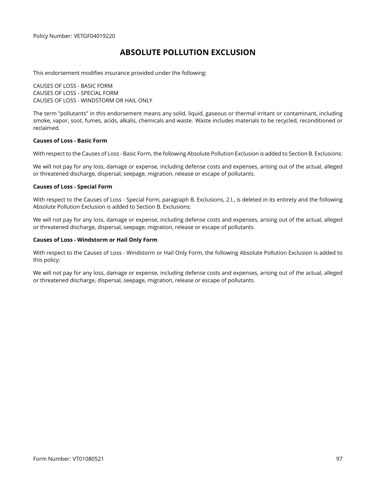## **ABSOLUTE POLLUTION EXCLUSION**

This endorsement modifies insurance provided under the following:

CAUSES OF LOSS - BASIC FORM CAUSES OF LOSS - SPECIAL FORM CAUSES OF LOSS - WINDSTORM OR HAIL ONLY

The term "pollutants" in this endorsement means any solid, liquid, gaseous or thermal irritant or contaminant, including smoke, vapor, soot, fumes, acids, alkalis, chemicals and waste. Waste includes materials to be recycled, reconditioned or reclaimed.

### **Causes of Loss - Basic Form**

With respect to the Causes of Loss - Basic Form, the following Absolute Pollution Exclusion is added to Section B. Exclusions:

We will not pay for any loss, damage or expense, including defense costs and expenses, arising out of the actual, alleged or threatened discharge, dispersal, seepage, migration, release or escape of pollutants.

### **Causes of Loss - Special Form**

With respect to the Causes of Loss - Special Form, paragraph B. Exclusions, 2.l., is deleted in its entirety and the following Absolute Pollution Exclusion is added to Section B. Exclusions:

We will not pay for any loss, damage or expense, including defense costs and expenses, arising out of the actual, alleged or threatened discharge, dispersal, seepage, migration, release or escape of pollutants.

#### **Causes of Loss - Windstorm or Hail Only Form**

With respect to the Causes of Loss - Windstorm or Hail Only Form, the following Absolute Pollution Exclusion is added to this policy:

We will not pay for any loss, damage or expense, including defense costs and expenses, arising out of the actual, alleged or threatened discharge, dispersal, seepage, migration, release or escape of pollutants.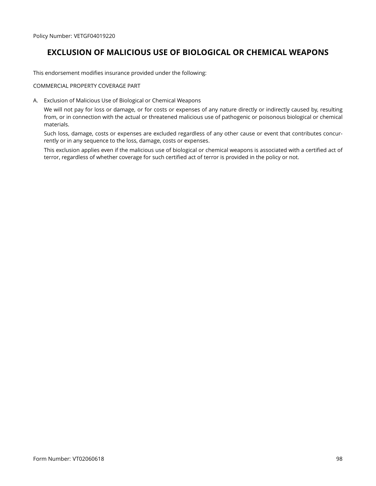## **EXCLUSION OF MALICIOUS USE OF BIOLOGICAL OR CHEMICAL WEAPONS**

This endorsement modifies insurance provided under the following:

COMMERCIAL PROPERTY COVERAGE PART

A. Exclusion of Malicious Use of Biological or Chemical Weapons

We will not pay for loss or damage, or for costs or expenses of any nature directly or indirectly caused by, resulting from, or in connection with the actual or threatened malicious use of pathogenic or poisonous biological or chemical materials.

Such loss, damage, costs or expenses are excluded regardless of any other cause or event that contributes concurrently or in any sequence to the loss, damage, costs or expenses.

This exclusion applies even if the malicious use of biological or chemical weapons is associated with a certified act of terror, regardless of whether coverage for such certified act of terror is provided in the policy or not.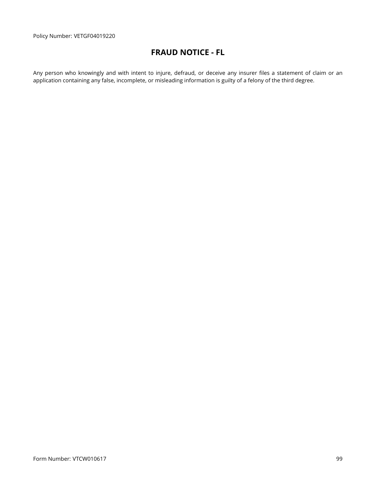# **FRAUD NOTICE - FL**

Any person who knowingly and with intent to injure, defraud, or deceive any insurer files a statement of claim or an application containing any false, incomplete, or misleading information is guilty of a felony of the third degree.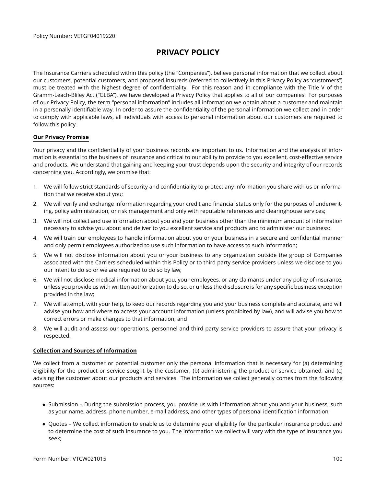## **PRIVACY POLICY**

The Insurance Carriers scheduled within this policy (the "Companies"), believe personal information that we collect about our customers, potential customers, and proposed insureds (referred to collectively in this Privacy Policy as "customers") must be treated with the highest degree of confidentiality. For this reason and in compliance with the Title V of the Gramm-Leach-Bliley Act ("GLBA"), we have developed a Privacy Policy that applies to all of our companies. For purposes of our Privacy Policy, the term "personal information" includes all information we obtain about a customer and maintain in a personally identifiable way. In order to assure the confidentiality of the personal information we collect and in order to comply with applicable laws, all individuals with access to personal information about our customers are required to follow this policy.

## **Our Privacy Promise**

Your privacy and the confidentiality of your business records are important to us. Information and the analysis of information is essential to the business of insurance and critical to our ability to provide to you excellent, cost-effective service and products. We understand that gaining and keeping your trust depends upon the security and integrity of our records concerning you. Accordingly, we promise that:

- 1. We will follow strict standards of security and confidentiality to protect any information you share with us or information that we receive about you;
- 2. We will verify and exchange information regarding your credit and financial status only for the purposes of underwriting, policy administration, or risk management and only with reputable references and clearinghouse services;
- 3. We will not collect and use information about you and your business other than the minimum amount of information necessary to advise you about and deliver to you excellent service and products and to administer our business;
- 4. We will train our employees to handle information about you or your business in a secure and confidential manner and only permit employees authorized to use such information to have access to such information;
- 5. We will not disclose information about you or your business to any organization outside the group of Companies associated with the Carriers scheduled within this Policy or to third party service providers unless we disclose to you our intent to do so or we are required to do so by law;
- 6. We will not disclose medical information about you, your employees, or any claimants under any policy of insurance, unless you provide us with written authorization to do so, or unless the disclosure is for any specific business exception provided in the law;
- 7. We will attempt, with your help, to keep our records regarding you and your business complete and accurate, and will advise you how and where to access your account information (unless prohibited by law), and will advise you how to correct errors or make changes to that information; and
- 8. We will audit and assess our operations, personnel and third party service providers to assure that your privacy is respected.

### **Collection and Sources of Information**

We collect from a customer or potential customer only the personal information that is necessary for (a) determining eligibility for the product or service sought by the customer, (b) administering the product or service obtained, and (c) advising the customer about our products and services. The information we collect generally comes from the following sources:

- Submission During the submission process, you provide us with information about you and your business, such as your name, address, phone number, e-mail address, and other types of personal identification information;
- Quotes We collect information to enable us to determine your eligibility for the particular insurance product and to determine the cost of such insurance to you. The information we collect will vary with the type of insurance you seek;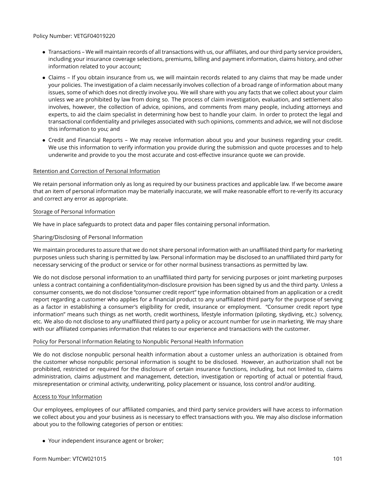- Transactions We will maintain records of all transactions with us, our affiliates, and our third party service providers, including your insurance coverage selections, premiums, billing and payment information, claims history, and other information related to your account;
- Claims If you obtain insurance from us, we will maintain records related to any claims that may be made under your policies. The investigation of a claim necessarily involves collection of a broad range of information about many issues, some of which does not directly involve you. We will share with you any facts that we collect about your claim unless we are prohibited by law from doing so. The process of claim investigation, evaluation, and settlement also involves, however, the collection of advice, opinions, and comments from many people, including attorneys and experts, to aid the claim specialist in determining how best to handle your claim. In order to protect the legal and transactional confidentiality and privileges associated with such opinions, comments and advice, we will not disclose this information to you; and
- Credit and Financial Reports We may receive information about you and your business regarding your credit. We use this information to verify information you provide during the submission and quote processes and to help underwrite and provide to you the most accurate and cost-effective insurance quote we can provide.

### Retention and Correction of Personal Information

We retain personal information only as long as required by our business practices and applicable law. If we become aware that an item of personal information may be materially inaccurate, we will make reasonable effort to re-verify its accuracy and correct any error as appropriate.

### Storage of Personal Information

We have in place safeguards to protect data and paper files containing personal information.

### Sharing/Disclosing of Personal Information

We maintain procedures to assure that we do not share personal information with an unaffiliated third party for marketing purposes unless such sharing is permitted by law. Personal information may be disclosed to an unaffiliated third party for necessary servicing of the product or service or for other normal business transactions as permitted by law.

We do not disclose personal information to an unaffiliated third party for servicing purposes or joint marketing purposes unless a contract containing a confidentiality/non-disclosure provision has been signed by us and the third party. Unless a consumer consents, we do not disclose "consumer credit report" type information obtained from an application or a credit report regarding a customer who applies for a financial product to any unaffiliated third party for the purpose of serving as a factor in establishing a consumer's eligibility for credit, insurance or employment. "Consumer credit report type information" means such things as net worth, credit worthiness, lifestyle information (piloting, skydiving, etc.) solvency, etc. We also do not disclose to any unaffiliated third party a policy or account number for use in marketing. We may share with our affiliated companies information that relates to our experience and transactions with the customer.

### Policy for Personal Information Relating to Nonpublic Personal Health Information

We do not disclose nonpublic personal health information about a customer unless an authorization is obtained from the customer whose nonpublic personal information is sought to be disclosed. However, an authorization shall not be prohibited, restricted or required for the disclosure of certain insurance functions, including, but not limited to, claims administration, claims adjustment and management, detection, investigation or reporting of actual or potential fraud, misrepresentation or criminal activity, underwriting, policy placement or issuance, loss control and/or auditing.

### Access to Your Information

Our employees, employees of our affiliated companies, and third party service providers will have access to information we collect about you and your business as is necessary to effect transactions with you. We may also disclose information about you to the following categories of person or entities:

• Your independent insurance agent or broker;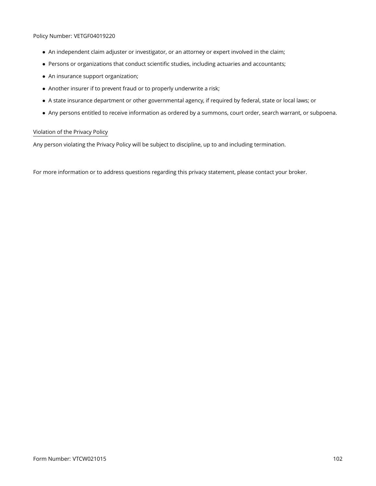- An independent claim adjuster or investigator, or an attorney or expert involved in the claim;
- Persons or organizations that conduct scientific studies, including actuaries and accountants;
- An insurance support organization;
- Another insurer if to prevent fraud or to properly underwrite a risk;
- A state insurance department or other governmental agency, if required by federal, state or local laws; or
- Any persons entitled to receive information as ordered by a summons, court order, search warrant, or subpoena.

#### Violation of the Privacy Policy

Any person violating the Privacy Policy will be subject to discipline, up to and including termination.

For more information or to address questions regarding this privacy statement, please contact your broker.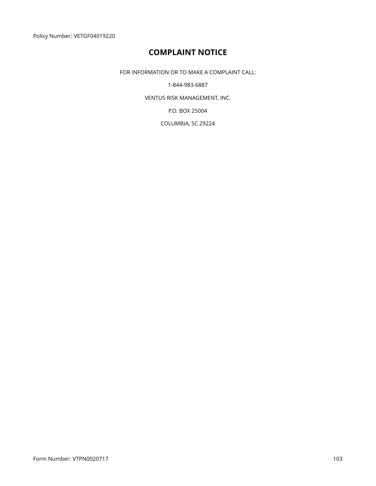# **COMPLAINT NOTICE**

FOR INFORMATION OR TO MAKE A COMPLAINT CALL:

1-844-983-6887

VENTUS RISK MANAGEMENT, INC.

P.O. BOX 25004

COLUMBIA, SC 29224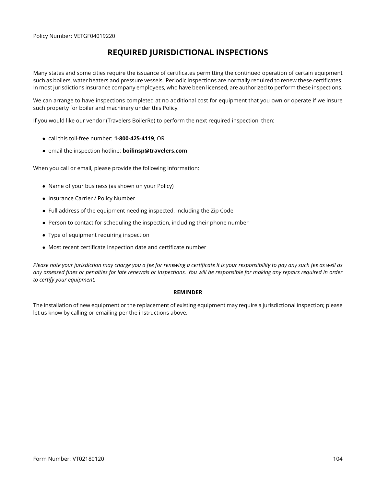## **REQUIRED JURISDICTIONAL INSPECTIONS**

Many states and some cities require the issuance of certificates permitting the continued operation of certain equipment such as boilers, water heaters and pressure vessels. Periodic inspections are normally required to renew these certificates. In most jurisdictions insurance company employees, who have been licensed, are authorized to perform these inspections.

We can arrange to have inspections completed at no additional cost for equipment that you own or operate if we insure such property for boiler and machinery under this Policy.

If you would like our vendor (Travelers BoilerRe) to perform the next required inspection, then:

- call this toll-free number: **1-800-425-4119**, OR
- email the inspection hotline: **boilinsp@travelers.com**

When you call or email, please provide the following information:

- Name of your business (as shown on your Policy)
- Insurance Carrier / Policy Number
- Full address of the equipment needing inspected, including the Zip Code
- Person to contact for scheduling the inspection, including their phone number
- Type of equipment requiring inspection
- Most recent certificate inspection date and certificate number

*Please note your jurisdiction may charge you a fee for renewing a certificate It is your responsibility to pay any such fee as well as any assessed fines or penalties for late renewals or inspections. You will be responsible for making any repairs required in order to certify your equipment.*

### **REMINDER**

The installation of new equipment or the replacement of existing equipment may require a jurisdictional inspection; please let us know by calling or emailing per the instructions above.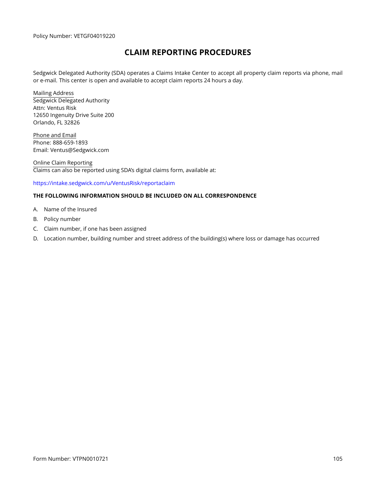## **CLAIM REPORTING PROCEDURES**

Sedgwick Delegated Authority (SDA) operates a Claims Intake Center to accept all property claim reports via phone, mail or e-mail. This center is open and available to accept claim reports 24 hours a day.

Mailing Address Sedgwick Delegated Authority Attn: Ventus Risk 12650 Ingenuity Drive Suite 200 Orlando, FL 32826

Phone and Email Phone: 888-659-1893 Email: Ventus@Sedgwick.com

Online Claim Reporting Claims can also be reported using SDA's digital claims form, available at:

<https://intake.sedgwick.com/u/VentusRisk/reportaclaim>

## **THE FOLLOWING INFORMATION SHOULD BE INCLUDED ON ALL CORRESPONDENCE**

- A. Name of the Insured
- B. Policy number
- C. Claim number, if one has been assigned
- D. Location number, building number and street address of the building(s) where loss or damage has occurred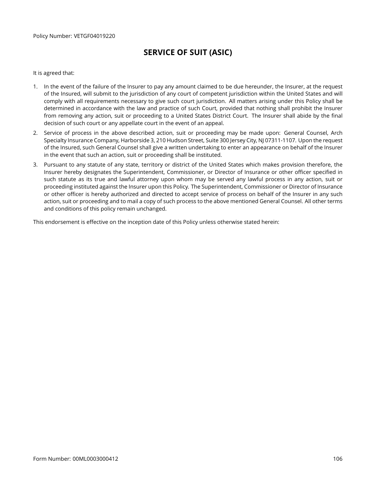# **SERVICE OF SUIT (ASIC)**

It is agreed that:

- 1. In the event of the failure of the Insurer to pay any amount claimed to be due hereunder, the Insurer, at the request of the Insured, will submit to the jurisdiction of any court of competent jurisdiction within the United States and will comply with all requirements necessary to give such court jurisdiction. All matters arising under this Policy shall be determined in accordance with the law and practice of such Court, provided that nothing shall prohibit the Insurer from removing any action, suit or proceeding to a United States District Court. The Insurer shall abide by the final decision of such court or any appellate court in the event of an appeal.
- 2. Service of process in the above described action, suit or proceeding may be made upon: General Counsel, Arch Specialty Insurance Company, Harborside 3, 210 Hudson Street, Suite 300 Jersey City, NJ 07311-1107. Upon the request of the Insured, such General Counsel shall give a written undertaking to enter an appearance on behalf of the Insurer in the event that such an action, suit or proceeding shall be instituted.
- 3. Pursuant to any statute of any state, territory or district of the United States which makes provision therefore, the Insurer hereby designates the Superintendent, Commissioner, or Director of Insurance or other officer specified in such statute as its true and lawful attorney upon whom may be served any lawful process in any action, suit or proceeding instituted against the Insurer upon this Policy. The Superintendent, Commissioner or Director of Insurance or other officer is hereby authorized and directed to accept service of process on behalf of the Insurer in any such action, suit or proceeding and to mail a copy of such process to the above mentioned General Counsel. All other terms and conditions of this policy remain unchanged.

This endorsement is effective on the inception date of this Policy unless otherwise stated herein: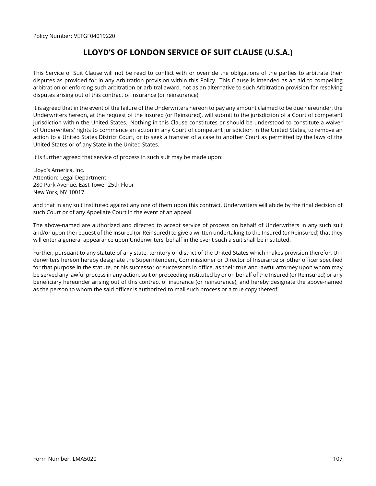# **LLOYD'S OF LONDON SERVICE OF SUIT CLAUSE (U.S.A.)**

This Service of Suit Clause will not be read to conflict with or override the obligations of the parties to arbitrate their disputes as provided for in any Arbitration provision within this Policy. This Clause is intended as an aid to compelling arbitration or enforcing such arbitration or arbitral award, not as an alternative to such Arbitration provision for resolving disputes arising out of this contract of insurance (or reinsurance).

It is agreed that in the event of the failure of the Underwriters hereon to pay any amount claimed to be due hereunder, the Underwriters hereon, at the request of the Insured (or Reinsured), will submit to the jurisdiction of a Court of competent jurisdiction within the United States. Nothing in this Clause constitutes or should be understood to constitute a waiver of Underwriters' rights to commence an action in any Court of competent jurisdiction in the United States, to remove an action to a United States District Court, or to seek a transfer of a case to another Court as permitted by the laws of the United States or of any State in the United States.

It is further agreed that service of process in such suit may be made upon:

Lloyd's America, Inc. Attention: Legal Department 280 Park Avenue, East Tower 25th Floor New York, NY 10017

and that in any suit instituted against any one of them upon this contract, Underwriters will abide by the final decision of such Court or of any Appellate Court in the event of an appeal.

The above-named are authorized and directed to accept service of process on behalf of Underwriters in any such suit and/or upon the request of the Insured (or Reinsured) to give a written undertaking to the Insured (or Reinsured) that they will enter a general appearance upon Underwriters' behalf in the event such a suit shall be instituted.

Further, pursuant to any statute of any state, territory or district of the United States which makes provision therefor, Underwriters hereon hereby designate the Superintendent, Commissioner or Director of Insurance or other officer specified for that purpose in the statute, or his successor or successors in office, as their true and lawful attorney upon whom may be served any lawful process in any action, suit or proceeding instituted by or on behalf of the Insured (or Reinsured) or any beneficiary hereunder arising out of this contract of insurance (or reinsurance), and hereby designate the above-named as the person to whom the said officer is authorized to mail such process or a true copy thereof.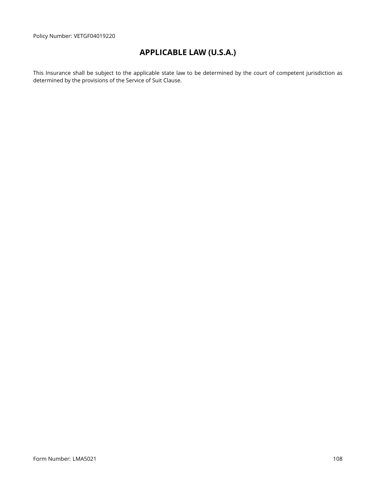# **APPLICABLE LAW (U.S.A.)**

This Insurance shall be subject to the applicable state law to be determined by the court of competent jurisdiction as determined by the provisions of the Service of Suit Clause.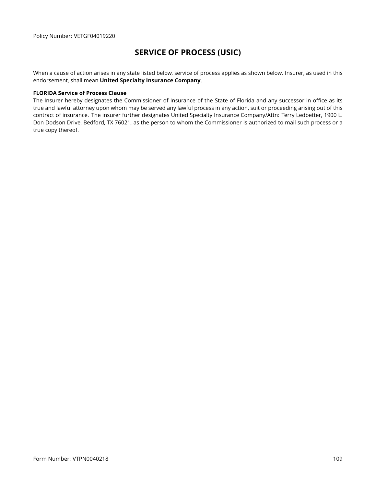## **SERVICE OF PROCESS (USIC)**

When a cause of action arises in any state listed below, service of process applies as shown below. Insurer, as used in this endorsement, shall mean **United Specialty Insurance Company**.

#### **FLORIDA Service of Process Clause**

The Insurer hereby designates the Commissioner of Insurance of the State of Florida and any successor in office as its true and lawful attorney upon whom may be served any lawful process in any action, suit or proceeding arising out of this contract of insurance. The insurer further designates United Specialty Insurance Company/Attn: Terry Ledbetter, 1900 L. Don Dodson Drive, Bedford, TX 76021, as the person to whom the Commissioner is authorized to mail such process or a true copy thereof.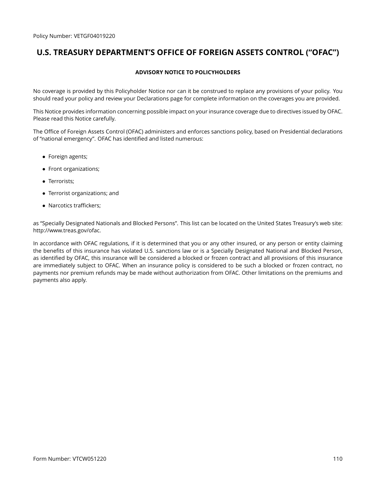### **U.S. TREASURY DEPARTMENT'S OFFICE OF FOREIGN ASSETS CONTROL ("OFAC")**

#### **ADVISORY NOTICE TO POLICYHOLDERS**

No coverage is provided by this Policyholder Notice nor can it be construed to replace any provisions of your policy. You should read your policy and review your Declarations page for complete information on the coverages you are provided.

This Notice provides information concerning possible impact on your insurance coverage due to directives issued by OFAC. Please read this Notice carefully.

The Office of Foreign Assets Control (OFAC) administers and enforces sanctions policy, based on Presidential declarations of "national emergency". OFAC has identified and listed numerous:

- Foreign agents;
- Front organizations;
- Terrorists:
- Terrorist organizations; and
- Narcotics traffickers;

as "Specially Designated Nationals and Blocked Persons". This list can be located on the United States Treasury's web site: http://www.treas.gov/ofac.

In accordance with OFAC regulations, if it is determined that you or any other insured, or any person or entity claiming the benefits of this insurance has violated U.S. sanctions law or is a Specially Designated National and Blocked Person, as identified by OFAC, this insurance will be considered a blocked or frozen contract and all provisions of this insurance are immediately subject to OFAC. When an insurance policy is considered to be such a blocked or frozen contract, no payments nor premium refunds may be made without authorization from OFAC. Other limitations on the premiums and payments also apply.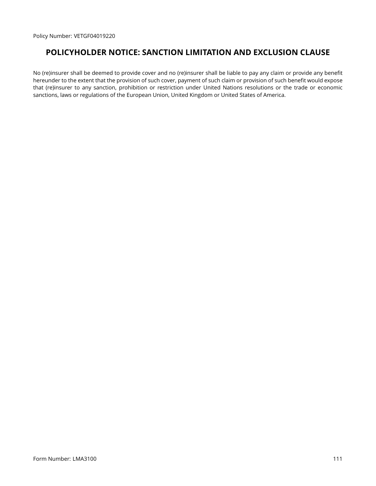### **POLICYHOLDER NOTICE: SANCTION LIMITATION AND EXCLUSION CLAUSE**

No (re)insurer shall be deemed to provide cover and no (re)insurer shall be liable to pay any claim or provide any benefit hereunder to the extent that the provision of such cover, payment of such claim or provision of such benefit would expose that (re)insurer to any sanction, prohibition or restriction under United Nations resolutions or the trade or economic sanctions, laws or regulations of the European Union, United Kingdom or United States of America.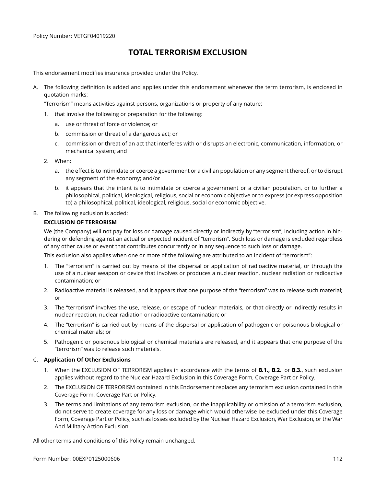### **TOTAL TERRORISM EXCLUSION**

This endorsement modifies insurance provided under the Policy.

A. The following definition is added and applies under this endorsement whenever the term terrorism, is enclosed in quotation marks:

"Terrorism" means activities against persons, organizations or property of any nature:

- 1. that involve the following or preparation for the following:
	- a. use or threat of force or violence; or
	- b. commission or threat of a dangerous act; or
	- c. commission or threat of an act that interferes with or disrupts an electronic, communication, information, or mechanical system; and
- 2. When:
	- a. the effect is to intimidate or coerce a government or a civilian population or any segment thereof, or to disrupt any segment of the economy; and/or
	- b. it appears that the intent is to intimidate or coerce a government or a civilian population, or to further a philosophical, political, ideological, religious, social or economic objective or to express (or express opposition to) a philosophical, political, ideological, religious, social or economic objective.
- B. The following exclusion is added:

#### **EXCLUSION OF TERRORISM**

We (the Company) will not pay for loss or damage caused directly or indirectly by "terrorism", including action in hindering or defending against an actual or expected incident of "terrorism". Such loss or damage is excluded regardless of any other cause or event that contributes concurrently or in any sequence to such loss or damage.

This exclusion also applies when one or more of the following are attributed to an incident of "terrorism":

- 1. The "terrorism" is carried out by means of the dispersal or application of radioactive material, or through the use of a nuclear weapon or device that involves or produces a nuclear reaction, nuclear radiation or radioactive contamination; or
- 2. Radioactive material is released, and it appears that one purpose of the "terrorism" was to release such material; or
- 3. The "terrorism" involves the use, release, or escape of nuclear materials, or that directly or indirectly results in nuclear reaction, nuclear radiation or radioactive contamination; or
- 4. The "terrorism" is carried out by means of the dispersal or application of pathogenic or poisonous biological or chemical materials; or
- 5. Pathogenic or poisonous biological or chemical materials are released, and it appears that one purpose of the "terrorism" was to release such materials.

#### C. **Application Of Other Exclusions**

- 1. When the EXCLUSION OF TERRORISM applies in accordance with the terms of **B.1., B.2.** or **B.3.**, such exclusion applies without regard to the Nuclear Hazard Exclusion in this Coverage Form, Coverage Part or Policy.
- 2. The EXCLUSION OF TERRORISM contained in this Endorsement replaces any terrorism exclusion contained in this Coverage Form, Coverage Part or Policy.
- 3. The terms and limitations of any terrorism exclusion, or the inapplicability or omission of a terrorism exclusion, do not serve to create coverage for any loss or damage which would otherwise be excluded under this Coverage Form, Coverage Part or Policy, such as losses excluded by the Nuclear Hazard Exclusion, War Exclusion, or the War And Military Action Exclusion.

All other terms and conditions of this Policy remain unchanged.